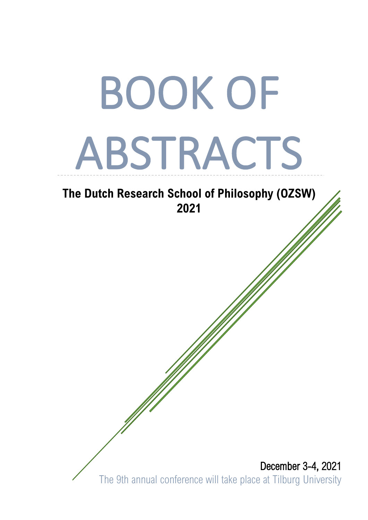# BOOK OF ABSTRACTS

## **The Dutch Research School of Philosophy (OZSW) 2021**

 December 3-4, 2021 The 9th annual conference will take place at Tilburg University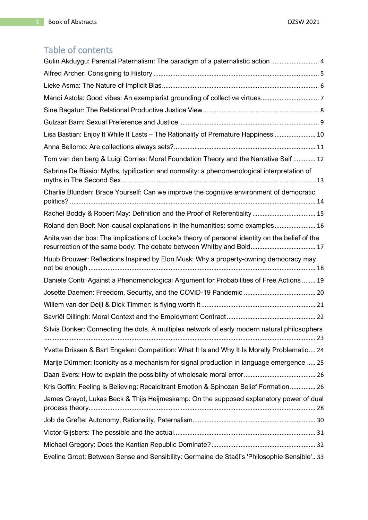## Table of contents

| Gulin Akduygu: Parental Paternalism: The paradigm of a paternalistic action  4                                                                                          |
|-------------------------------------------------------------------------------------------------------------------------------------------------------------------------|
|                                                                                                                                                                         |
|                                                                                                                                                                         |
|                                                                                                                                                                         |
|                                                                                                                                                                         |
|                                                                                                                                                                         |
| Lisa Bastian: Enjoy It While It Lasts - The Rationality of Premature Happiness  10                                                                                      |
|                                                                                                                                                                         |
| Tom van den berg & Luigi Corrias: Moral Foundation Theory and the Narrative Self  12                                                                                    |
| Sabrina De Biasio: Myths, typification and normality: a phenomenological interpretation of                                                                              |
| Charlie Blunden: Brace Yourself: Can we improve the cognitive environment of democratic                                                                                 |
|                                                                                                                                                                         |
| Roland den Boef: Non-causal explanations in the humanities: some examples 16                                                                                            |
| Anita van der bos: The implications of Locke's theory of personal identity on the belief of the<br>resurrection of the same body: The debate between Whitby and Bold 17 |
| Huub Brouwer: Reflections Inspired by Elon Musk: Why a property-owning democracy may                                                                                    |
| Daniele Conti: Against a Phenomenological Argument for Probabilities of Free Actions  19                                                                                |
|                                                                                                                                                                         |
|                                                                                                                                                                         |
|                                                                                                                                                                         |
| Silvia Donker: Connecting the dots. A multiplex network of early modern natural philosophers                                                                            |
| Yvette Drissen & Bart Engelen: Competition: What It Is and Why It Is Morally Problematic 24                                                                             |
| Marije Dümmer: Iconicity as a mechanism for signal production in language emergence  25                                                                                 |
|                                                                                                                                                                         |
| Kris Goffin: Feeling is Believing: Recalcitrant Emotion & Spinozan Belief Formation 26                                                                                  |
| James Grayot, Lukas Beck & Thijs Heijmeskamp: On the supposed explanatory power of dual                                                                                 |
|                                                                                                                                                                         |
|                                                                                                                                                                         |
|                                                                                                                                                                         |
| Eveline Groot: Between Sense and Sensibility: Germaine de Staël's 'Philosophie Sensible' 33                                                                             |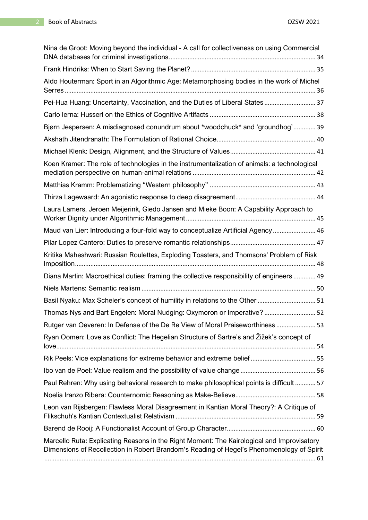| Nina de Groot: Moving beyond the individual - A call for collectiveness on using Commercial                                                                                             |  |
|-----------------------------------------------------------------------------------------------------------------------------------------------------------------------------------------|--|
|                                                                                                                                                                                         |  |
| Aldo Houterman: Sport in an Algorithmic Age: Metamorphosing bodies in the work of Michel                                                                                                |  |
| Pei-Hua Huang: Uncertainty, Vaccination, and the Duties of Liberal States 37                                                                                                            |  |
|                                                                                                                                                                                         |  |
| Bjørn Jespersen: A misdiagnosed conundrum about *woodchuck* and 'groundhog' 39                                                                                                          |  |
|                                                                                                                                                                                         |  |
|                                                                                                                                                                                         |  |
| Koen Kramer: The role of technologies in the instrumentalization of animals: a technological                                                                                            |  |
|                                                                                                                                                                                         |  |
|                                                                                                                                                                                         |  |
| Laura Lamers, Jeroen Meijerink, Giedo Jansen and Mieke Boon: A Capability Approach to                                                                                                   |  |
| Maud van Lier: Introducing a four-fold way to conceptualize Artificial Agency 46                                                                                                        |  |
|                                                                                                                                                                                         |  |
| Kritika Maheshwari: Russian Roulettes, Exploding Toasters, and Thomsons' Problem of Risk                                                                                                |  |
| Diana Martin: Macroethical duties: framing the collective responsibility of engineers  49                                                                                               |  |
|                                                                                                                                                                                         |  |
| Basil Nyaku: Max Scheler's concept of humility in relations to the Other  51                                                                                                            |  |
| Thomas Nys and Bart Engelen: Moral Nudging: Oxymoron or Imperative?  52                                                                                                                 |  |
| Rutger van Oeveren: In Defense of the De Re View of Moral Praiseworthiness  53                                                                                                          |  |
| Ryan Oomen: Love as Conflict: The Hegelian Structure of Sartre's and Žižek's concept of                                                                                                 |  |
|                                                                                                                                                                                         |  |
|                                                                                                                                                                                         |  |
| Paul Rehren: Why using behavioral research to make philosophical points is difficult  57                                                                                                |  |
|                                                                                                                                                                                         |  |
| Leon van Rijsbergen: Flawless Moral Disagreement in Kantian Moral Theory?: A Critique of                                                                                                |  |
|                                                                                                                                                                                         |  |
| Marcello Ruta: Explicating Reasons in the Right Moment: The Kairological and Improvisatory<br>Dimensions of Recollection in Robert Brandom's Reading of Hegel's Phenomenology of Spirit |  |
|                                                                                                                                                                                         |  |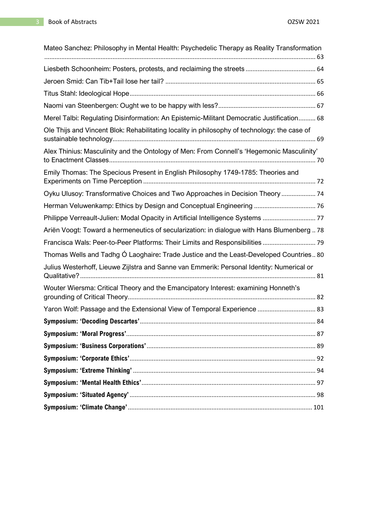| Mateo Sanchez: Philosophy in Mental Health: Psychedelic Therapy as Reality Transformation    |  |
|----------------------------------------------------------------------------------------------|--|
|                                                                                              |  |
|                                                                                              |  |
|                                                                                              |  |
|                                                                                              |  |
|                                                                                              |  |
| Merel Talbi: Regulating Disinformation: An Epistemic-Militant Democratic Justification 68    |  |
| Ole Thijs and Vincent Blok: Rehabilitating locality in philosophy of technology: the case of |  |
| Alex Thinius: Masculinity and the Ontology of Men: From Connell's 'Hegemonic Masculinity'    |  |
| Emily Thomas: The Specious Present in English Philosophy 1749-1785: Theories and             |  |
| Oyku Ulusoy: Transformative Choices and Two Approaches in Decision Theory  74                |  |
| Herman Veluwenkamp: Ethics by Design and Conceptual Engineering  76                          |  |
| Philippe Verreault-Julien: Modal Opacity in Artificial Intelligence Systems  77              |  |
| Ariën Voogt: Toward a hermeneutics of secularization: in dialogue with Hans Blumenberg  78   |  |
| Francisca Wals: Peer-to-Peer Platforms: Their Limits and Responsibilities  79                |  |
| Thomas Wells and Tadhg Ó Laoghaire: Trade Justice and the Least-Developed Countries 80       |  |
| Julius Westerhoff, Lieuwe Zijlstra and Sanne van Emmerik: Personal Identity: Numerical or    |  |
| Wouter Wiersma: Critical Theory and the Emancipatory Interest: examining Honneth's           |  |
| Yaron Wolf: Passage and the Extensional View of Temporal Experience  83                      |  |
|                                                                                              |  |
|                                                                                              |  |
|                                                                                              |  |
|                                                                                              |  |
|                                                                                              |  |
|                                                                                              |  |
|                                                                                              |  |
|                                                                                              |  |
|                                                                                              |  |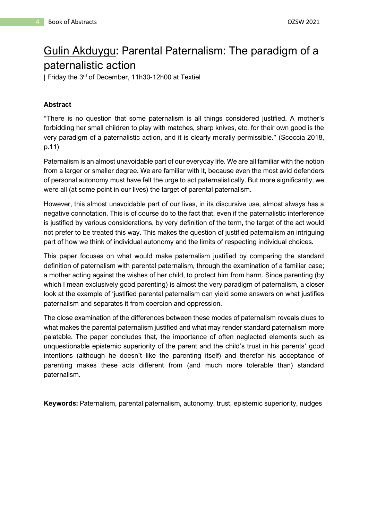## <span id="page-4-0"></span>Gulin Akduygu: Parental Paternalism: The paradigm of a paternalistic action

| Friday the 3rd of December, 11h30-12h00 at Textiel

## **Abstract**

"There is no question that some paternalism is all things considered justified. A mother's forbidding her small children to play with matches, sharp knives, etc. for their own good is the very paradigm of a paternalistic action, and it is clearly morally permissible." (Scoccia 2018, p.11)

Paternalism is an almost unavoidable part of our everyday life. We are all familiar with the notion from a larger or smaller degree. We are familiar with it, because even the most avid defenders of personal autonomy must have felt the urge to act paternalistically. But more significantly, we were all (at some point in our lives) the target of parental paternalism.

However, this almost unavoidable part of our lives, in its discursive use, almost always has a negative connotation. This is of course do to the fact that, even if the paternalistic interference is justified by various considerations, by very definition of the term, the target of the act would not prefer to be treated this way. This makes the question of justified paternalism an intriguing part of how we think of individual autonomy and the limits of respecting individual choices.

This paper focuses on what would make paternalism justified by comparing the standard definition of paternalism with parental paternalism, through the examination of a familiar case; a mother acting against the wishes of her child, to protect him from harm. Since parenting (by which I mean exclusively good parenting) is almost the very paradigm of paternalism, a closer look at the example of 'justified parental paternalism can yield some answers on what justifies paternalism and separates it from coercion and oppression.

The close examination of the differences between these modes of paternalism reveals clues to what makes the parental paternalism justified and what may render standard paternalism more palatable. The paper concludes that, the importance of often neglected elements such as unquestionable epistemic superiority of the parent and the child's trust in his parents' good intentions (although he doesn't like the parenting itself) and therefor his acceptance of parenting makes these acts different from (and much more tolerable than) standard paternalism.

**Keywords:** Paternalism, parental paternalism, autonomy, trust, epistemic superiority, nudges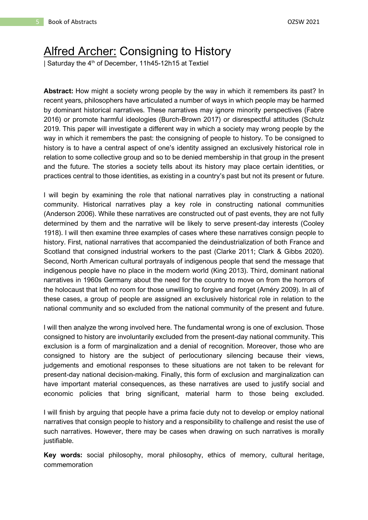## <span id="page-5-0"></span>Alfred Archer: Consigning to History

| Saturday the 4<sup>th</sup> of December, 11h45-12h15 at Textiel

**Abstract:** How might a society wrong people by the way in which it remembers its past? In recent years, philosophers have articulated a number of ways in which people may be harmed by dominant historical narratives. These narratives may ignore minority perspectives (Fabre 2016) or promote harmful ideologies (Burch-Brown 2017) or disrespectful attitudes (Schulz 2019. This paper will investigate a different way in which a society may wrong people by the way in which it remembers the past: the consigning of people to history. To be consigned to history is to have a central aspect of one's identity assigned an exclusively historical role in relation to some collective group and so to be denied membership in that group in the present and the future. The stories a society tells about its history may place certain identities, or practices central to those identities, as existing in a country's past but not its present or future.

I will begin by examining the role that national narratives play in constructing a national community. Historical narratives play a key role in constructing national communities (Anderson 2006). While these narratives are constructed out of past events, they are not fully determined by them and the narrative will be likely to serve present-day interests (Cooley 1918). I will then examine three examples of cases where these narratives consign people to history. First, national narratives that accompanied the deindustrialization of both France and Scotland that consigned industrial workers to the past (Clarke 2011; Clark & Gibbs 2020). Second, North American cultural portrayals of indigenous people that send the message that indigenous people have no place in the modern world (King 2013). Third, dominant national narratives in 1960s Germany about the need for the country to move on from the horrors of the holocaust that left no room for those unwilling to forgive and forget (Améry 2009). In all of these cases, a group of people are assigned an exclusively historical role in relation to the national community and so excluded from the national community of the present and future.

I will then analyze the wrong involved here. The fundamental wrong is one of exclusion. Those consigned to history are involuntarily excluded from the present-day national community. This exclusion is a form of marginalization and a denial of recognition. Moreover, those who are consigned to history are the subject of perlocutionary silencing because their views, judgements and emotional responses to these situations are not taken to be relevant for present-day national decision-making. Finally, this form of exclusion and marginalization can have important material consequences, as these narratives are used to justify social and economic policies that bring significant, material harm to those being excluded.

I will finish by arguing that people have a prima facie duty not to develop or employ national narratives that consign people to history and a responsibility to challenge and resist the use of such narratives. However, there may be cases when drawing on such narratives is morally justifiable.

**Key words:** social philosophy, moral philosophy, ethics of memory, cultural heritage, commemoration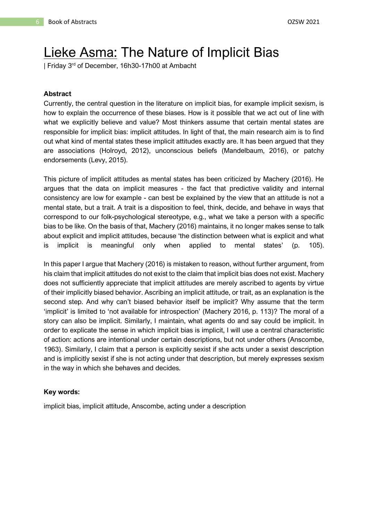## <span id="page-6-0"></span>Lieke Asma: The Nature of Implicit Bias

| Friday 3rd of December, 16h30-17h00 at Ambacht

#### **Abstract**

Currently, the central question in the literature on implicit bias, for example implicit sexism, is how to explain the occurrence of these biases. How is it possible that we act out of line with what we explicitly believe and value? Most thinkers assume that certain mental states are responsible for implicit bias: implicit attitudes. In light of that, the main research aim is to find out what kind of mental states these implicit attitudes exactly are. It has been argued that they are associations (Holroyd, 2012), unconscious beliefs (Mandelbaum, 2016), or patchy endorsements (Levy, 2015).

This picture of implicit attitudes as mental states has been criticized by Machery (2016). He argues that the data on implicit measures - the fact that predictive validity and internal consistency are low for example - can best be explained by the view that an attitude is not a mental state, but a trait. A trait is a disposition to feel, think, decide, and behave in ways that correspond to our folk-psychological stereotype, e.g., what we take a person with a specific bias to be like. On the basis of that, Machery (2016) maintains, it no longer makes sense to talk about explicit and implicit attitudes, because 'the distinction between what is explicit and what is implicit is meaningful only when applied to mental states' (p. 105).

In this paper I argue that Machery (2016) is mistaken to reason, without further argument, from his claim that implicit attitudes do not exist to the claim that implicit bias does not exist. Machery does not sufficiently appreciate that implicit attitudes are merely ascribed to agents by virtue of their implicitly biased behavior. Ascribing an implicit attitude, or trait, as an explanation is the second step. And why can't biased behavior itself be implicit? Why assume that the term 'implicit' is limited to 'not available for introspection' (Machery 2016, p. 113)? The moral of a story can also be implicit. Similarly, I maintain, what agents do and say could be implicit. In order to explicate the sense in which implicit bias is implicit, I will use a central characteristic of action: actions are intentional under certain descriptions, but not under others (Anscombe, 1963). Similarly, I claim that a person is explicitly sexist if she acts under a sexist description and is implicitly sexist if she is not acting under that description, but merely expresses sexism in the way in which she behaves and decides.

#### **Key words:**

implicit bias, implicit attitude, Anscombe, acting under a description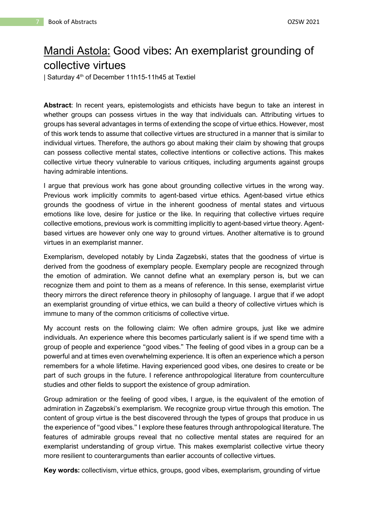## <span id="page-7-0"></span>Mandi Astola: Good vibes: An exemplarist grounding of collective virtues

| Saturday 4 th of December 11h15-11h45 at Textiel

**Abstract**: In recent years, epistemologists and ethicists have begun to take an interest in whether groups can possess virtues in the way that individuals can. Attributing virtues to groups has several advantages in terms of extending the scope of virtue ethics. However, most of this work tends to assume that collective virtues are structured in a manner that is similar to individual virtues. Therefore, the authors go about making their claim by showing that groups can possess collective mental states, collective intentions or collective actions. This makes collective virtue theory vulnerable to various critiques, including arguments against groups having admirable intentions.

I argue that previous work has gone about grounding collective virtues in the wrong way. Previous work implicitly commits to agent-based virtue ethics. Agent-based virtue ethics grounds the goodness of virtue in the inherent goodness of mental states and virtuous emotions like love, desire for justice or the like. In requiring that collective virtues require collective emotions, previous work is committing implicitly to agent-based virtue theory. Agentbased virtues are however only one way to ground virtues. Another alternative is to ground virtues in an exemplarist manner.

Exemplarism, developed notably by Linda Zagzebski, states that the goodness of virtue is derived from the goodness of exemplary people. Exemplary people are recognized through the emotion of admiration. We cannot define what an exemplary person is, but we can recognize them and point to them as a means of reference. In this sense, exemplarist virtue theory mirrors the direct reference theory in philosophy of language. I argue that if we adopt an exemplarist grounding of virtue ethics, we can build a theory of collective virtues which is immune to many of the common criticisms of collective virtue.

My account rests on the following claim: We often admire groups, just like we admire individuals. An experience where this becomes particularly salient is if we spend time with a group of people and experience "good vibes." The feeling of good vibes in a group can be a powerful and at times even overwhelming experience. It is often an experience which a person remembers for a whole lifetime. Having experienced good vibes, one desires to create or be part of such groups in the future. I reference anthropological literature from counterculture studies and other fields to support the existence of group admiration.

Group admiration or the feeling of good vibes, I argue, is the equivalent of the emotion of admiration in Zagzebski's exemplarism. We recognize group virtue through this emotion. The content of group virtue is the best discovered through the types of groups that produce in us the experience of "good vibes." I explore these features through anthropological literature. The features of admirable groups reveal that no collective mental states are required for an exemplarist understanding of group virtue. This makes exemplarist collective virtue theory more resilient to counterarguments than earlier accounts of collective virtues.

**Key words:** collectivism, virtue ethics, groups, good vibes, exemplarism, grounding of virtue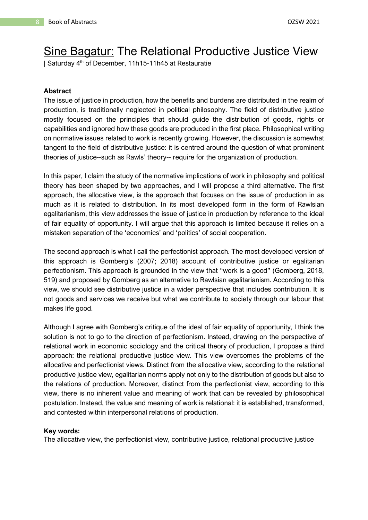## <span id="page-8-0"></span>Sine Bagatur: The Relational Productive Justice View

| Saturday 4th of December, 11h15-11h45 at Restauratie

#### **Abstract**

The issue of justice in production, how the benefits and burdens are distributed in the realm of production, is traditionally neglected in political philosophy. The field of distributive justice mostly focused on the principles that should guide the distribution of goods, rights or capabilities and ignored how these goods are produced in the first place. Philosophical writing on normative issues related to work is recently growing. However, the discussion is somewhat tangent to the field of distributive justice: it is centred around the question of what prominent theories of justice--such as Rawls' theory-- require for the organization of production.

In this paper, I claim the study of the normative implications of work in philosophy and political theory has been shaped by two approaches, and I will propose a third alternative. The first approach, the allocative view, is the approach that focuses on the issue of production in as much as it is related to distribution. In its most developed form in the form of Rawlsian egalitarianism, this view addresses the issue of justice in production by reference to the ideal of fair equality of opportunity. I will argue that this approach is limited because it relies on a mistaken separation of the 'economics' and 'politics' of social cooperation.

The second approach is what I call the perfectionist approach. The most developed version of this approach is Gomberg's (2007; 2018) account of contributive justice or egalitarian perfectionism. This approach is grounded in the view that "work is a good" (Gomberg, 2018, 519) and proposed by Gomberg as an alternative to Rawlsian egalitarianism. According to this view, we should see distributive justice in a wider perspective that includes contribution. It is not goods and services we receive but what we contribute to society through our labour that makes life good.

Although I agree with Gomberg's critique of the ideal of fair equality of opportunity, I think the solution is not to go to the direction of perfectionism. Instead, drawing on the perspective of relational work in economic sociology and the critical theory of production, I propose a third approach: the relational productive justice view. This view overcomes the problems of the allocative and perfectionist views. Distinct from the allocative view, according to the relational productive justice view, egalitarian norms apply not only to the distribution of goods but also to the relations of production. Moreover, distinct from the perfectionist view, according to this view, there is no inherent value and meaning of work that can be revealed by philosophical postulation. Instead, the value and meaning of work is relational: it is established, transformed, and contested within interpersonal relations of production.

#### **Key words:**

The allocative view, the perfectionist view, contributive justice, relational productive justice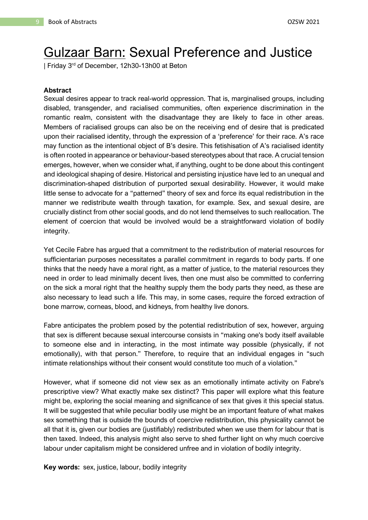# <span id="page-9-0"></span>Gulzaar Barn: Sexual Preference and Justice

| Friday 3 rd of December, 12h30-13h00 at Beton

#### **Abstract**

Sexual desires appear to track real-world oppression. That is, marginalised groups, including disabled, transgender, and racialised communities, often experience discrimination in the romantic realm, consistent with the disadvantage they are likely to face in other areas. Members of racialised groups can also be on the receiving end of desire that is predicated upon their racialised identity, through the expression of a 'preference' for their race. A's race may function as the intentional object of B's desire. This fetishisation of A's racialised identity is often rooted in appearance or behaviour-based stereotypes about that race. A crucial tension emerges, however, when we consider what, if anything, ought to be done about this contingent and ideological shaping of desire. Historical and persisting injustice have led to an unequal and discrimination-shaped distribution of purported sexual desirability. However, it would make little sense to advocate for a "patterned" theory of sex and force its equal redistribution in the manner we redistribute wealth through taxation, for example. Sex, and sexual desire, are crucially distinct from other social goods, and do not lend themselves to such reallocation. The element of coercion that would be involved would be a straightforward violation of bodily integrity.

Yet Cecile Fabre has argued that a commitment to the redistribution of material resources for sufficientarian purposes necessitates a parallel commitment in regards to body parts. If one thinks that the needy have a moral right, as a matter of justice, to the material resources they need in order to lead minimally decent lives, then one must also be committed to conferring on the sick a moral right that the healthy supply them the body parts they need, as these are also necessary to lead such a life. This may, in some cases, require the forced extraction of bone marrow, corneas, blood, and kidneys, from healthy live donors.

Fabre anticipates the problem posed by the potential redistribution of sex, however, arguing that sex is different because sexual intercourse consists in "making one's body itself available to someone else and in interacting, in the most intimate way possible (physically, if not emotionally), with that person." Therefore, to require that an individual engages in "such intimate relationships without their consent would constitute too much of a violation."

However, what if someone did not view sex as an emotionally intimate activity on Fabre's prescriptive view? What exactly make sex distinct? This paper will explore what this feature might be, exploring the social meaning and significance of sex that gives it this special status. It will be suggested that while peculiar bodily use might be an important feature of what makes sex something that is outside the bounds of coercive redistribution, this physicality cannot be all that it is, given our bodies are (justifiably) redistributed when we use them for labour that is then taxed. Indeed, this analysis might also serve to shed further light on why much coercive labour under capitalism might be considered unfree and in violation of bodily integrity.

**Key words:** sex, justice, labour, bodily integrity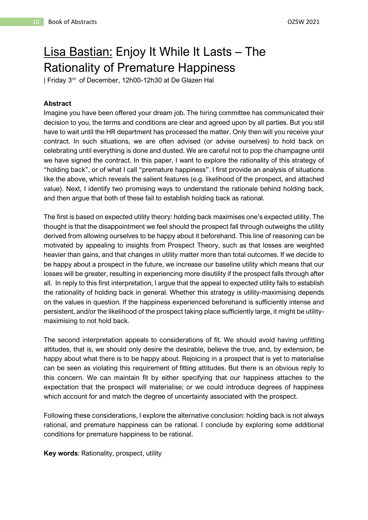# <span id="page-10-0"></span>Lisa Bastian: Enjoy It While It Lasts – The Rationality of Premature Happiness

| Friday 3<sup>rd</sup> of December, 12h00-12h30 at De Glazen Hal

## **Abstract**

Imagine you have been offered your dream job. The hiring committee has communicated their decision to you, the terms and conditions are clear and agreed upon by all parties. But you still have to wait until the HR department has processed the matter. Only then will you receive your contract. In such situations, we are often advised (or advise ourselves) to hold back on celebrating until everything is done and dusted. We are careful not to pop the champagne until we have signed the contract. In this paper, I want to explore the rationality of this strategy of "holding back", or of what I call "premature happiness". I first provide an analysis of situations like the above, which reveals the salient features (e.g. likelihood of the prospect, and attached value). Next, I identify two promising ways to understand the rationale behind holding back, and then argue that both of these fail to establish holding back as rational.

The first is based on expected utility theory: holding back maximises one's expected utility. The thought is that the disappointment we feel should the prospect fall through outweighs the utility derived from allowing ourselves to be happy about it beforehand. This line of reasoning can be motivated by appealing to insights from Prospect Theory, such as that losses are weighted heavier than gains, and that changes in utility matter more than total outcomes. If we decide to be happy about a prospect in the future, we increase our baseline utility which means that our losses will be greater, resulting in experiencing more disutility if the prospect falls through after all. In reply to this first interpretation, I argue that the appeal to expected utility fails to establish the rationality of holding back in general. Whether this strategy is utility-maximising depends on the values in question. If the happiness experienced beforehand is sufficiently intense and persistent, and/or the likelihood of the prospect taking place sufficiently large, it might be utilitymaximising to not hold back.

The second interpretation appeals to considerations of fit. We should avoid having unfitting attitudes, that is, we should only desire the desirable, believe the true, and, by extension, be happy about what there is to be happy about. Rejoicing in a prospect that is yet to materialise can be seen as violating this requirement of fitting attitudes. But there is an obvious reply to this concern. We can maintain fit by either specifying that our happiness attaches to the expectation that the prospect will materialise; or we could introduce degrees of happiness which account for and match the degree of uncertainty associated with the prospect.

Following these considerations, I explore the alternative conclusion: holding back is not always rational, and premature happiness can be rational. I conclude by exploring some additional conditions for premature happiness to be rational.

**Key words**: Rationality, prospect, utility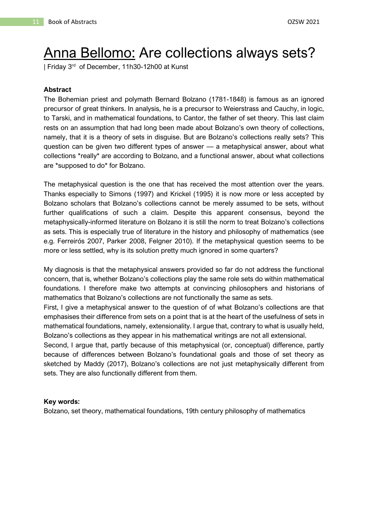# <span id="page-11-0"></span>Anna Bellomo: Are collections always sets?

| Friday 3<sup>rd</sup> of December, 11h30-12h00 at Kunst

#### **Abstract**

The Bohemian priest and polymath Bernard Bolzano (1781-1848) is famous as an ignored precursor of great thinkers. In analysis, he is a precursor to Weierstrass and Cauchy, in logic, to Tarski, and in mathematical foundations, to Cantor, the father of set theory. This last claim rests on an assumption that had long been made about Bolzano's own theory of collections, namely, that it is a theory of sets in disguise. But are Bolzano's collections really sets? This question can be given two different types of answer — a metaphysical answer, about what collections \*really\* are according to Bolzano, and a functional answer, about what collections are \*supposed to do\* for Bolzano.

The metaphysical question is the one that has received the most attention over the years. Thanks especially to Simons (1997) and Krickel (1995) it is now more or less accepted by Bolzano scholars that Bolzano's collections cannot be merely assumed to be sets, without further qualifications of such a claim. Despite this apparent consensus, beyond the metaphysically-informed literature on Bolzano it is still the norm to treat Bolzano's collections as sets. This is especially true of literature in the history and philosophy of mathematics (see e.g. Ferreirós 2007, Parker 2008, Felgner 2010). If the metaphysical question seems to be more or less settled, why is its solution pretty much ignored in some quarters?

My diagnosis is that the metaphysical answers provided so far do not address the functional concern, that is, whether Bolzano's collections play the same role sets do within mathematical foundations. I therefore make two attempts at convincing philosophers and historians of mathematics that Bolzano's collections are not functionally the same as sets.

First, I give a metaphysical answer to the question of of what Bolzano's collections are that emphasises their difference from sets on a point that is at the heart of the usefulness of sets in mathematical foundations, namely, extensionality. I argue that, contrary to what is usually held, Bolzano's collections as they appear in his mathematical writings are not all extensional.

Second, I argue that, partly because of this metaphysical (or, conceptual) difference, partly because of differences between Bolzano's foundational goals and those of set theory as sketched by Maddy (2017), Bolzano's collections are not just metaphysically different from sets. They are also functionally different from them.

#### **Key words:**

Bolzano, set theory, mathematical foundations, 19th century philosophy of mathematics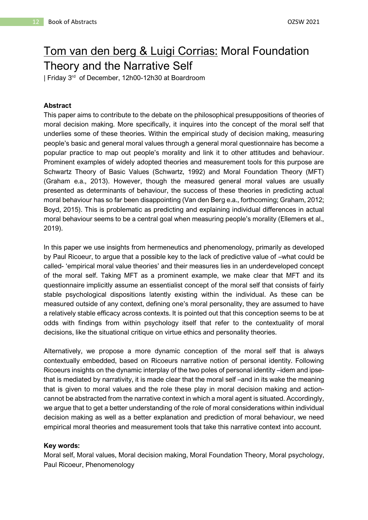## <span id="page-12-0"></span>Tom van den berg & Luigi Corrias: Moral Foundation Theory and the Narrative Self

| Friday 3<sup>rd</sup> of December, 12h00-12h30 at Boardroom

## **Abstract**

This paper aims to contribute to the debate on the philosophical presuppositions of theories of moral decision making. More specifically, it inquires into the concept of the moral self that underlies some of these theories. Within the empirical study of decision making, measuring people's basic and general moral values through a general moral questionnaire has become a popular practice to map out people's morality and link it to other attitudes and behaviour. Prominent examples of widely adopted theories and measurement tools for this purpose are Schwartz Theory of Basic Values (Schwartz, 1992) and Moral Foundation Theory (MFT) (Graham e.a., 2013). However, though the measured general moral values are usually presented as determinants of behaviour, the success of these theories in predicting actual moral behaviour has so far been disappointing (Van den Berg e.a., forthcoming; Graham, 2012; Boyd, 2015). This is problematic as predicting and explaining individual differences in actual moral behaviour seems to be a central goal when measuring people's morality (Ellemers et al., 2019).

In this paper we use insights from hermeneutics and phenomenology, primarily as developed by Paul Ricoeur, to argue that a possible key to the lack of predictive value of –what could be called- 'empirical moral value theories' and their measures lies in an underdeveloped concept of the moral self. Taking MFT as a prominent example, we make clear that MFT and its questionnaire implicitly assume an essentialist concept of the moral self that consists of fairly stable psychological dispositions latently existing within the individual. As these can be measured outside of any context, defining one's moral personality, they are assumed to have a relatively stable efficacy across contexts. It is pointed out that this conception seems to be at odds with findings from within psychology itself that refer to the contextuality of moral decisions, like the situational critique on virtue ethics and personality theories.

Alternatively, we propose a more dynamic conception of the moral self that is always contextually embedded, based on Ricoeurs narrative notion of personal identity. Following Ricoeurs insights on the dynamic interplay of the two poles of personal identity –idem and ipsethat is mediated by narrativity, it is made clear that the moral self –and in its wake the meaning that is given to moral values and the role these play in moral decision making and actioncannot be abstracted from the narrative context in which a moral agent is situated. Accordingly, we argue that to get a better understanding of the role of moral considerations within individual decision making as well as a better explanation and prediction of moral behaviour, we need empirical moral theories and measurement tools that take this narrative context into account.

#### **Key words:**

Moral self, Moral values, Moral decision making, Moral Foundation Theory, Moral psychology, Paul Ricoeur, Phenomenology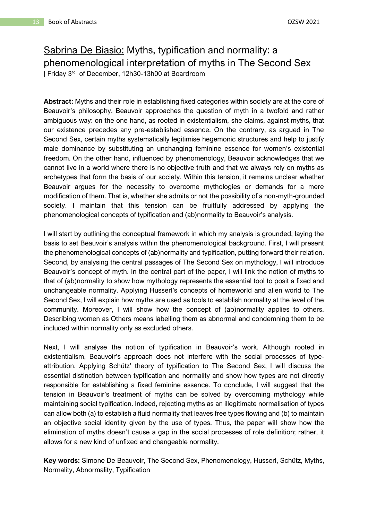## <span id="page-13-0"></span>Sabrina De Biasio: Myths, typification and normality: a phenomenological interpretation of myths in The Second Sex | Friday 3 rd of December, 12h30-13h00 at Boardroom

**Abstract:** Myths and their role in establishing fixed categories within society are at the core of Beauvoir's philosophy. Beauvoir approaches the question of myth in a twofold and rather ambiguous way: on the one hand, as rooted in existentialism, she claims, against myths, that our existence precedes any pre-established essence. On the contrary, as argued in The Second Sex, certain myths systematically legitimise hegemonic structures and help to justify male dominance by substituting an unchanging feminine essence for women's existential freedom. On the other hand, influenced by phenomenology, Beauvoir acknowledges that we cannot live in a world where there is no objective truth and that we always rely on myths as archetypes that form the basis of our society. Within this tension, it remains unclear whether Beauvoir argues for the necessity to overcome mythologies or demands for a mere modification of them. That is, whether she admits or not the possibility of a non-myth-grounded society. I maintain that this tension can be fruitfully addressed by applying the phenomenological concepts of typification and (ab)normality to Beauvoir's analysis.

I will start by outlining the conceptual framework in which my analysis is grounded, laying the basis to set Beauvoir's analysis within the phenomenological background. First, I will present the phenomenological concepts of (ab)normality and typification, putting forward their relation. Second, by analysing the central passages of The Second Sex on mythology, I will introduce Beauvoir's concept of myth. In the central part of the paper, I will link the notion of myths to that of (ab)normality to show how mythology represents the essential tool to posit a fixed and unchangeable normality. Applying Husserl's concepts of homeworld and alien world to The Second Sex, I will explain how myths are used as tools to establish normality at the level of the community. Moreover, I will show how the concept of (ab)normality applies to others. Describing women as Others means labelling them as abnormal and condemning them to be included within normality only as excluded others.

Next, I will analyse the notion of typification in Beauvoir's work. Although rooted in existentialism, Beauvoir's approach does not interfere with the social processes of typeattribution. Applying Schütz' theory of typification to The Second Sex, I will discuss the essential distinction between typification and normality and show how types are not directly responsible for establishing a fixed feminine essence. To conclude, I will suggest that the tension in Beauvoir's treatment of myths can be solved by overcoming mythology while maintaining social typification. Indeed, rejecting myths as an illegitimate normalisation of types can allow both (a) to establish a fluid normality that leaves free types flowing and (b) to maintain an objective social identity given by the use of types. Thus, the paper will show how the elimination of myths doesn't cause a gap in the social processes of role definition; rather, it allows for a new kind of unfixed and changeable normality.

**Key words:** Simone De Beauvoir, The Second Sex, Phenomenology, Husserl, Schütz, Myths, Normality, Abnormality, Typification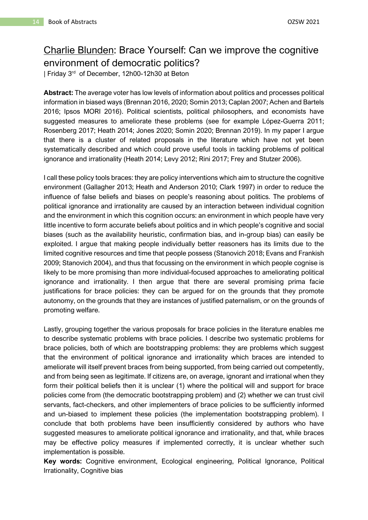## <span id="page-14-0"></span>Charlie Blunden: Brace Yourself: Can we improve the cognitive environment of democratic politics?

| Friday 3<sup>rd</sup> of December, 12h00-12h30 at Beton

**Abstract:** The average voter has low levels of information about politics and processes political information in biased ways (Brennan 2016, 2020; Somin 2013; Caplan 2007; Achen and Bartels 2016; Ipsos MORI 2016). Political scientists, political philosophers, and economists have suggested measures to ameliorate these problems (see for example López-Guerra 2011; Rosenberg 2017; Heath 2014; Jones 2020; Somin 2020; Brennan 2019). In my paper I argue that there is a cluster of related proposals in the literature which have not yet been systematically described and which could prove useful tools in tackling problems of political ignorance and irrationality (Heath 2014; Levy 2012; Rini 2017; Frey and Stutzer 2006).

I call these policy tools braces: they are policy interventions which aim to structure the cognitive environment (Gallagher 2013; Heath and Anderson 2010; Clark 1997) in order to reduce the influence of false beliefs and biases on people's reasoning about politics. The problems of political ignorance and irrationality are caused by an interaction between individual cognition and the environment in which this cognition occurs: an environment in which people have very little incentive to form accurate beliefs about politics and in which people's cognitive and social biases (such as the availability heuristic, confirmation bias, and in-group bias) can easily be exploited. I argue that making people individually better reasoners has its limits due to the limited cognitive resources and time that people possess (Stanovich 2018; Evans and Frankish 2009; Stanovich 2004), and thus that focussing on the environment in which people cognise is likely to be more promising than more individual-focused approaches to ameliorating political ignorance and irrationality. I then argue that there are several promising prima facie justifications for brace policies: they can be argued for on the grounds that they promote autonomy, on the grounds that they are instances of justified paternalism, or on the grounds of promoting welfare.

Lastly, grouping together the various proposals for brace policies in the literature enables me to describe systematic problems with brace policies. I describe two systematic problems for brace policies, both of which are bootstrapping problems: they are problems which suggest that the environment of political ignorance and irrationality which braces are intended to ameliorate will itself prevent braces from being supported, from being carried out competently, and from being seen as legitimate. If citizens are, on average, ignorant and irrational when they form their political beliefs then it is unclear (1) where the political will and support for brace policies come from (the democratic bootstrapping problem) and (2) whether we can trust civil servants, fact-checkers, and other implementers of brace policies to be sufficiently informed and un-biased to implement these policies (the implementation bootstrapping problem). I conclude that both problems have been insufficiently considered by authors who have suggested measures to ameliorate political ignorance and irrationality, and that, while braces may be effective policy measures if implemented correctly, it is unclear whether such implementation is possible.

**Key words:** Cognitive environment, Ecological engineering, Political Ignorance, Political Irrationality, Cognitive bias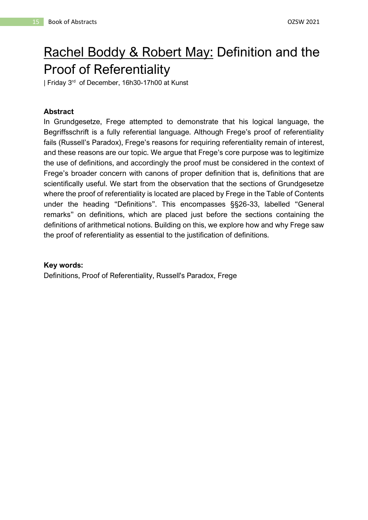# <span id="page-15-0"></span>Rachel Boddy & Robert May: Definition and the Proof of Referentiality

| Friday 3<sup>rd</sup> of December, 16h30-17h00 at Kunst

## **Abstract**

In Grundgesetze, Frege attempted to demonstrate that his logical language, the Begriffsschrift is a fully referential language. Although Frege's proof of referentiality fails (Russell's Paradox), Frege's reasons for requiring referentiality remain of interest, and these reasons are our topic. We argue that Frege's core purpose was to legitimize the use of definitions, and accordingly the proof must be considered in the context of Frege's broader concern with canons of proper definition that is, definitions that are scientifically useful. We start from the observation that the sections of Grundgesetze where the proof of referentiality is located are placed by Frege in the Table of Contents under the heading "Definitions". This encompasses §§26-33, labelled "General remarks" on definitions, which are placed just before the sections containing the definitions of arithmetical notions. Building on this, we explore how and why Frege saw the proof of referentiality as essential to the justification of definitions.

## **Key words:**

Definitions, Proof of Referentiality, Russell's Paradox, Frege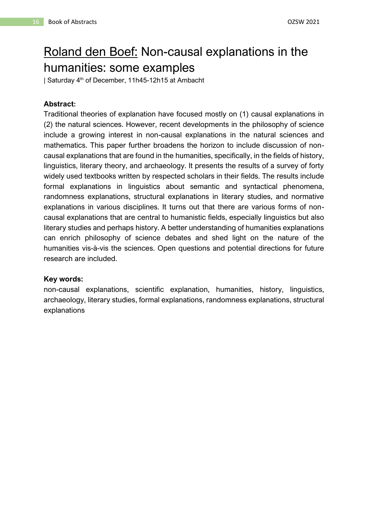# <span id="page-16-0"></span>Roland den Boef: Non-causal explanations in the humanities: some examples

| Saturday 4th of December, 11h45-12h15 at Ambacht

## **Abstract:**

Traditional theories of explanation have focused mostly on (1) causal explanations in (2) the natural sciences. However, recent developments in the philosophy of science include a growing interest in non-causal explanations in the natural sciences and mathematics. This paper further broadens the horizon to include discussion of noncausal explanations that are found in the humanities, specifically, in the fields of history, linguistics, literary theory, and archaeology. It presents the results of a survey of forty widely used textbooks written by respected scholars in their fields. The results include formal explanations in linguistics about semantic and syntactical phenomena, randomness explanations, structural explanations in literary studies, and normative explanations in various disciplines. It turns out that there are various forms of noncausal explanations that are central to humanistic fields, especially linguistics but also literary studies and perhaps history. A better understanding of humanities explanations can enrich philosophy of science debates and shed light on the nature of the humanities vis-à-vis the sciences. Open questions and potential directions for future research are included.

## **Key words:**

non-causal explanations, scientific explanation, humanities, history, linguistics, archaeology, literary studies, formal explanations, randomness explanations, structural explanations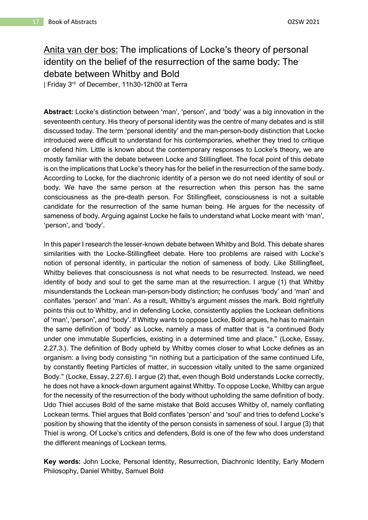## <span id="page-17-0"></span>Anita van der bos: The implications of Locke's theory of personal identity on the belief of the resurrection of the same body: The debate between Whitby and Bold

| Friday 3<sup>rd</sup> of December, 11h30-12h00 at Terra

**Abstract:** Locke's distinction between 'man', 'person', and 'body' was a big innovation in the seventeenth century. His theory of personal identity was the centre of many debates and is still discussed today. The term 'personal identity' and the man-person-body distinction that Locke introduced were difficult to understand for his contemporaries, whether they tried to critique or defend him. Little is known about the contemporary responses to Locke's theory, we are mostly familiar with the debate between Locke and Stillingfleet. The focal point of this debate is on the implications that Locke's theory has for the belief in the resurrection of the same body. According to Locke, for the diachronic identity of a person we do not need identity of soul or body. We have the same person at the resurrection when this person has the same consciousness as the pre-death person. For Stillingfleet, consciousness is not a suitable candidate for the resurrection of the same human being. He argues for the necessity of sameness of body. Arguing against Locke he fails to understand what Locke meant with 'man', 'person', and 'body'.

In this paper I research the lesser-known debate between Whitby and Bold. This debate shares similarities with the Locke-Stillingfleet debate. Here too problems are raised with Locke's notion of personal identity, in particular the notion of sameness of body. Like Stillingfleet, Whitby believes that consciousness is not what needs to be resurrected. Instead, we need identity of body and soul to get the same man at the resurrection. I argue (1) that Whitby misunderstands the Lockean man-person-body distinction; he confuses 'body' and 'man' and conflates 'person' and 'man'. As a result, Whitby's argument misses the mark. Bold rightfully points this out to Whitby, and in defending Locke, consistently applies the Lockean definitions of 'man', 'person', and 'body'. If Whitby wants to oppose Locke, Bold argues, he has to maintain the same definition of 'body' as Locke, namely a mass of matter that is "a continued Body under one immutable Superficies, existing in a determined time and place." (Locke, Essay, 2.27.3.). The definition of Body upheld by Whitby comes closer to what Locke defines as an organism: a living body consisting "in nothing but a participation of the same continued Life, by constantly fleeting Particles of matter, in succession vitally united to the same organized Body." (Locke, Essay, 2.27.6). I argue (2) that, even though Bold understands Locke correctly, he does not have a knock-down argument against Whitby. To oppose Locke, Whitby can argue for the necessity of the resurrection of the body without upholding the same definition of body. Udo Thiel accuses Bold of the same mistake that Bold accuses Whitby of, namely conflating Lockean terms. Thiel argues that Bold conflates 'person' and 'soul' and tries to defend Locke's position by showing that the identity of the person consists in sameness of soul. I argue (3) that Thiel is wrong. Of Locke's critics and defenders, Bold is one of the few who does understand the different meanings of Lockean terms.

**Key words:** John Locke, Personal Identity, Resurrection, Diachronic Identity, Early Modern Philosophy, Daniel Whitby, Samuel Bold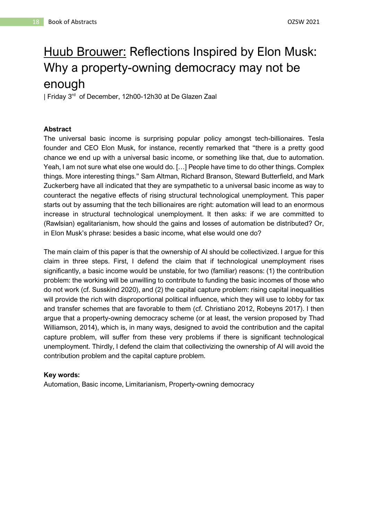# <span id="page-18-0"></span>Huub Brouwer: Reflections Inspired by Elon Musk: Why a property-owning democracy may not be enough

| Friday 3 rd of December, 12h00-12h30 at De Glazen Zaal

## **Abstract**

The universal basic income is surprising popular policy amongst tech-billionaires. Tesla founder and CEO Elon Musk, for instance, recently remarked that "there is a pretty good chance we end up with a universal basic income, or something like that, due to automation. Yeah, I am not sure what else one would do. […] People have time to do other things. Complex things. More interesting things." Sam Altman, Richard Branson, Steward Butterfield, and Mark Zuckerberg have all indicated that they are sympathetic to a universal basic income as way to counteract the negative effects of rising structural technological unemployment. This paper starts out by assuming that the tech billionaires are right: automation will lead to an enormous increase in structural technological unemployment. It then asks: if we are committed to (Rawlsian) egalitarianism, how should the gains and losses of automation be distributed? Or, in Elon Musk's phrase: besides a basic income, what else would one do?

The main claim of this paper is that the ownership of AI should be collectivized. I argue for this claim in three steps. First, I defend the claim that if technological unemployment rises significantly, a basic income would be unstable, for two (familiar) reasons: (1) the contribution problem: the working will be unwilling to contribute to funding the basic incomes of those who do not work (cf. Susskind 2020), and (2) the capital capture problem: rising capital inequalities will provide the rich with disproportional political influence, which they will use to lobby for tax and transfer schemes that are favorable to them (cf. Christiano 2012, Robeyns 2017). I then argue that a property-owning democracy scheme (or at least, the version proposed by Thad Williamson, 2014), which is, in many ways, designed to avoid the contribution and the capital capture problem, will suffer from these very problems if there is significant technological unemployment. Thirdly, I defend the claim that collectivizing the ownership of AI will avoid the contribution problem and the capital capture problem.

## **Key words:**

Automation, Basic income, Limitarianism, Property-owning democracy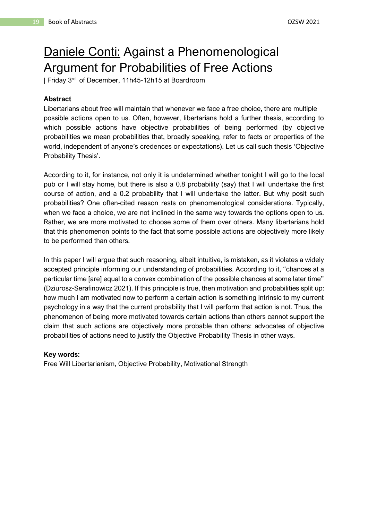# <span id="page-19-0"></span>Daniele Conti: Against a Phenomenological Argument for Probabilities of Free Actions

| Friday 3 rd of December, 11h45-12h15 at Boardroom

#### **Abstract**

Libertarians about free will maintain that whenever we face a free choice, there are multiple possible actions open to us. Often, however, libertarians hold a further thesis, according to which possible actions have objective probabilities of being performed (by objective probabilities we mean probabilities that, broadly speaking, refer to facts or properties of the world, independent of anyone's credences or expectations). Let us call such thesis 'Objective Probability Thesis'.

According to it, for instance, not only it is undetermined whether tonight I will go to the local pub or I will stay home, but there is also a 0.8 probability (say) that I will undertake the first course of action, and a 0.2 probability that I will undertake the latter. But why posit such probabilities? One often-cited reason rests on phenomenological considerations. Typically, when we face a choice, we are not inclined in the same way towards the options open to us. Rather, we are more motivated to choose some of them over others. Many libertarians hold that this phenomenon points to the fact that some possible actions are objectively more likely to be performed than others.

In this paper I will argue that such reasoning, albeit intuitive, is mistaken, as it violates a widely accepted principle informing our understanding of probabilities. According to it, "chances at a particular time [are] equal to a convex combination of the possible chances at some later time" (Dziurosz-Serafinowicz 2021). If this principle is true, then motivation and probabilities split up: how much I am motivated now to perform a certain action is something intrinsic to my current psychology in a way that the current probability that I will perform that action is not. Thus, the phenomenon of being more motivated towards certain actions than others cannot support the claim that such actions are objectively more probable than others: advocates of objective probabilities of actions need to justify the Objective Probability Thesis in other ways.

#### **Key words:**

Free Will Libertarianism, Objective Probability, Motivational Strength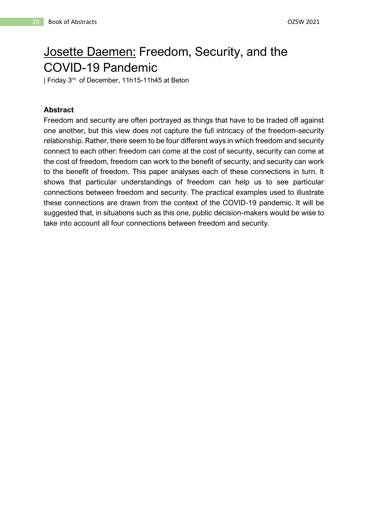# <span id="page-20-0"></span>Josette Daemen: Freedom, Security, and the COVID-19 Pandemic

| Friday 3<sup>rd</sup> of December, 11h15-11h45 at Beton

## **Abstract**

Freedom and security are often portrayed as things that have to be traded off against one another, but this view does not capture the full intricacy of the freedom-security relationship. Rather, there seem to be four different ways in which freedom and security connect to each other: freedom can come at the cost of security, security can come at the cost of freedom, freedom can work to the benefit of security, and security can work to the benefit of freedom. This paper analyses each of these connections in turn. It shows that particular understandings of freedom can help us to see particular connections between freedom and security. The practical examples used to illustrate these connections are drawn from the context of the COVID-19 pandemic. It will be suggested that, in situations such as this one, public decision-makers would be wise to take into account all four connections between freedom and security.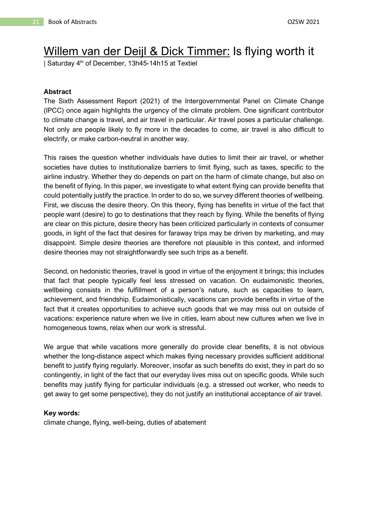## <span id="page-21-0"></span>Willem van der Deijl & Dick Timmer: Is flying worth it

| Saturday 4th of December, 13h45-14h15 at Textiel

#### **Abstract**

The Sixth Assessment Report (2021) of the Intergovernmental Panel on Climate Change (IPCC) once again highlights the urgency of the climate problem. One significant contributor to climate change is travel, and air travel in particular. Air travel poses a particular challenge. Not only are people likely to fly more in the decades to come, air travel is also difficult to electrify, or make carbon-neutral in another way.

This raises the question whether individuals have duties to limit their air travel, or whether societies have duties to institutionalize barriers to limit flying, such as taxes, specific to the airline industry. Whether they do depends on part on the harm of climate change, but also on the benefit of flying. In this paper, we investigate to what extent flying can provide benefits that could potentially justify the practice. In order to do so, we survey different theories of wellbeing. First, we discuss the desire theory. On this theory, flying has benefits in virtue of the fact that people want (desire) to go to destinations that they reach by flying. While the benefits of flying are clear on this picture, desire theory has been criticized particularly in contexts of consumer goods, in light of the fact that desires for faraway trips may be driven by marketing, and may disappoint. Simple desire theories are therefore not plausible in this context, and informed desire theories may not straightforwardly see such trips as a benefit.

Second, on hedonistic theories, travel is good in virtue of the enjoyment it brings; this includes that fact that people typically feel less stressed on vacation. On eudaimonistic theories, wellbeing consists in the fulfillment of a person's nature, such as capacities to learn, achievement, and friendship. Eudaimonistically, vacations can provide benefits in virtue of the fact that it creates opportunities to achieve such goods that we may miss out on outside of vacations: experience nature when we live in cities, learn about new cultures when we live in homogeneous towns, relax when our work is stressful.

We argue that while vacations more generally do provide clear benefits, it is not obvious whether the long-distance aspect which makes flying necessary provides sufficient additional benefit to justify flying regularly. Moreover, insofar as such benefits do exist, they in part do so contingently, in light of the fact that our everyday lives miss out on specific goods. While such benefits may justify flying for particular individuals (e.g. a stressed out worker, who needs to get away to get some perspective), they do not justify an institutional acceptance of air travel.

#### **Key words:**

climate change, flying, well-being, duties of abatement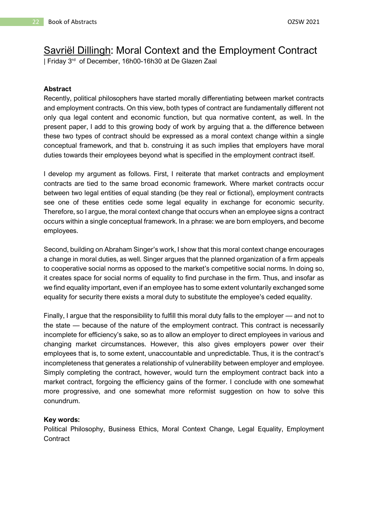## <span id="page-22-0"></span>Savriël Dillingh: Moral Context and the Employment Contract

| Friday 3<sup>rd</sup> of December, 16h00-16h30 at De Glazen Zaal

## **Abstract**

Recently, political philosophers have started morally differentiating between market contracts and employment contracts. On this view, both types of contract are fundamentally different not only qua legal content and economic function, but qua normative content, as well. In the present paper, I add to this growing body of work by arguing that a. the difference between these two types of contract should be expressed as a moral context change within a single conceptual framework, and that b. construing it as such implies that employers have moral duties towards their employees beyond what is specified in the employment contract itself.

I develop my argument as follows. First, I reiterate that market contracts and employment contracts are tied to the same broad economic framework. Where market contracts occur between two legal entities of equal standing (be they real or fictional), employment contracts see one of these entities cede some legal equality in exchange for economic security. Therefore, so I argue, the moral context change that occurs when an employee signs a contract occurs within a single conceptual framework. In a phrase: we are born employers, and become employees.

Second, building on Abraham Singer's work, I show that this moral context change encourages a change in moral duties, as well. Singer argues that the planned organization of a firm appeals to cooperative social norms as opposed to the market's competitive social norms. In doing so, it creates space for social norms of equality to find purchase in the firm. Thus, and insofar as we find equality important, even if an employee has to some extent voluntarily exchanged some equality for security there exists a moral duty to substitute the employee's ceded equality.

Finally, I argue that the responsibility to fulfill this moral duty falls to the employer — and not to the state — because of the nature of the employment contract. This contract is necessarily incomplete for efficiency's sake, so as to allow an employer to direct employees in various and changing market circumstances. However, this also gives employers power over their employees that is, to some extent, unaccountable and unpredictable. Thus, it is the contract's incompleteness that generates a relationship of vulnerability between employer and employee. Simply completing the contract, however, would turn the employment contract back into a market contract, forgoing the efficiency gains of the former. I conclude with one somewhat more progressive, and one somewhat more reformist suggestion on how to solve this conundrum.

## **Key words:**

Political Philosophy, Business Ethics, Moral Context Change, Legal Equality, Employment **Contract**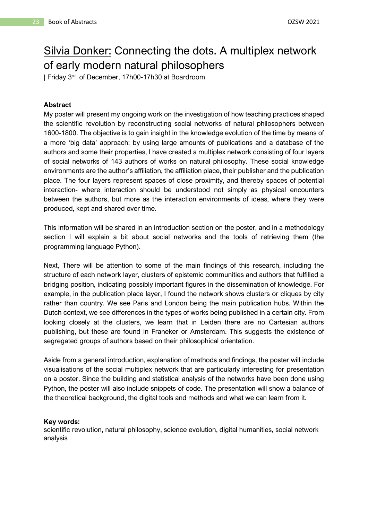## <span id="page-23-0"></span>Silvia Donker: Connecting the dots. A multiplex network of early modern natural philosophers

| Friday 3 rd of December, 17h00-17h30 at Boardroom

## **Abstract**

My poster will present my ongoing work on the investigation of how teaching practices shaped the scientific revolution by reconstructing social networks of natural philosophers between 1600-1800. The objective is to gain insight in the knowledge evolution of the time by means of a more 'big data' approach: by using large amounts of publications and a database of the authors and some their properties, I have created a multiplex network consisting of four layers of social networks of 143 authors of works on natural philosophy. These social knowledge environments are the author's affiliation, the affiliation place, their publisher and the publication place. The four layers represent spaces of close proximity, and thereby spaces of potential interaction- where interaction should be understood not simply as physical encounters between the authors, but more as the interaction environments of ideas, where they were produced, kept and shared over time.

This information will be shared in an introduction section on the poster, and in a methodology section I will explain a bit about social networks and the tools of retrieving them (the programming language Python).

Next, There will be attention to some of the main findings of this research, including the structure of each network layer, clusters of epistemic communities and authors that fulfilled a bridging position, indicating possibly important figures in the dissemination of knowledge. For example, in the publication place layer, I found the network shows clusters or cliques by city rather than country. We see Paris and London being the main publication hubs. Within the Dutch context, we see differences in the types of works being published in a certain city. From looking closely at the clusters, we learn that in Leiden there are no Cartesian authors publishing, but these are found in Franeker or Amsterdam. This suggests the existence of segregated groups of authors based on their philosophical orientation.

Aside from a general introduction, explanation of methods and findings, the poster will include visualisations of the social multiplex network that are particularly interesting for presentation on a poster. Since the building and statistical analysis of the networks have been done using Python, the poster will also include snippets of code. The presentation will show a balance of the theoretical background, the digital tools and methods and what we can learn from it.

#### **Key words:**

scientific revolution, natural philosophy, science evolution, digital humanities, social network analysis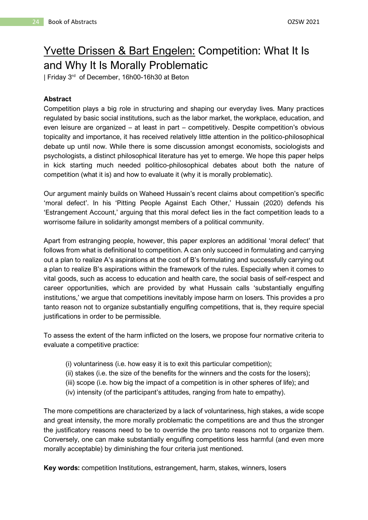## <span id="page-24-0"></span>Yvette Drissen & Bart Engelen: Competition: What It Is and Why It Is Morally Problematic

| Friday 3<sup>rd</sup> of December, 16h00-16h30 at Beton

## **Abstract**

Competition plays a big role in structuring and shaping our everyday lives. Many practices regulated by basic social institutions, such as the labor market, the workplace, education, and even leisure are organized – at least in part – competitively. Despite competition's obvious topicality and importance, it has received relatively little attention in the politico-philosophical debate up until now. While there is some discussion amongst economists, sociologists and psychologists, a distinct philosophical literature has yet to emerge. We hope this paper helps in kick starting much needed politico-philosophical debates about both the nature of competition (what it is) and how to evaluate it (why it is morally problematic).

Our argument mainly builds on Waheed Hussain's recent claims about competition's specific 'moral defect'. In his 'Pitting People Against Each Other,' Hussain (2020) defends his 'Estrangement Account,' arguing that this moral defect lies in the fact competition leads to a worrisome failure in solidarity amongst members of a political community.

Apart from estranging people, however, this paper explores an additional 'moral defect' that follows from what is definitional to competition. A can only succeed in formulating and carrying out a plan to realize A's aspirations at the cost of B's formulating and successfully carrying out a plan to realize B's aspirations within the framework of the rules. Especially when it comes to vital goods, such as access to education and health care, the social basis of self-respect and career opportunities, which are provided by what Hussain calls 'substantially engulfing institutions,' we argue that competitions inevitably impose harm on losers. This provides a pro tanto reason not to organize substantially engulfing competitions, that is, they require special justifications in order to be permissible.

To assess the extent of the harm inflicted on the losers, we propose four normative criteria to evaluate a competitive practice:

- (i) voluntariness (i.e. how easy it is to exit this particular competition);
- (ii) stakes (i.e. the size of the benefits for the winners and the costs for the losers);
- (iii) scope (i.e. how big the impact of a competition is in other spheres of life); and
- (iv) intensity (of the participant's attitudes, ranging from hate to empathy).

The more competitions are characterized by a lack of voluntariness, high stakes, a wide scope and great intensity, the more morally problematic the competitions are and thus the stronger the justificatory reasons need to be to override the pro tanto reasons not to organize them. Conversely, one can make substantially engulfing competitions less harmful (and even more morally acceptable) by diminishing the four criteria just mentioned.

**Key words:** competition Institutions, estrangement, harm, stakes, winners, losers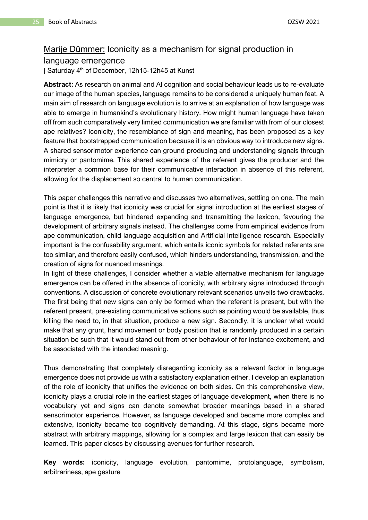## <span id="page-25-0"></span>Marije Dümmer: Iconicity as a mechanism for signal production in language emergence

| Saturday 4<sup>th</sup> of December, 12h15-12h45 at Kunst

**Abstract:** As research on animal and AI cognition and social behaviour leads us to re-evaluate our image of the human species, language remains to be considered a uniquely human feat. A main aim of research on language evolution is to arrive at an explanation of how language was able to emerge in humankind's evolutionary history. How might human language have taken off from such comparatively very limited communication we are familiar with from of our closest ape relatives? Iconicity, the resemblance of sign and meaning, has been proposed as a key feature that bootstrapped communication because it is an obvious way to introduce new signs. A shared sensorimotor experience can ground producing and understanding signals through mimicry or pantomime. This shared experience of the referent gives the producer and the interpreter a common base for their communicative interaction in absence of this referent, allowing for the displacement so central to human communication.

This paper challenges this narrative and discusses two alternatives, settling on one. The main point is that it is likely that iconicity was crucial for signal introduction at the earliest stages of language emergence, but hindered expanding and transmitting the lexicon, favouring the development of arbitrary signals instead. The challenges come from empirical evidence from ape communication, child language acquisition and Artificial Intelligence research. Especially important is the confusability argument, which entails iconic symbols for related referents are too similar, and therefore easily confused, which hinders understanding, transmission, and the creation of signs for nuanced meanings.

In light of these challenges, I consider whether a viable alternative mechanism for language emergence can be offered in the absence of iconicity, with arbitrary signs introduced through conventions. A discussion of concrete evolutionary relevant scenarios unveils two drawbacks. The first being that new signs can only be formed when the referent is present, but with the referent present, pre-existing communicative actions such as pointing would be available, thus killing the need to, in that situation, produce a new sign. Secondly, it is unclear what would make that any grunt, hand movement or body position that is randomly produced in a certain situation be such that it would stand out from other behaviour of for instance excitement, and be associated with the intended meaning.

Thus demonstrating that completely disregarding iconicity as a relevant factor in language emergence does not provide us with a satisfactory explanation either, I develop an explanation of the role of iconicity that unifies the evidence on both sides. On this comprehensive view, iconicity plays a crucial role in the earliest stages of language development, when there is no vocabulary yet and signs can denote somewhat broader meanings based in a shared sensorimotor experience. However, as language developed and became more complex and extensive, iconicity became too cognitively demanding. At this stage, signs became more abstract with arbitrary mappings, allowing for a complex and large lexicon that can easily be learned. This paper closes by discussing avenues for further research.

**Key words:** iconicity, language evolution, pantomime, protolanguage, symbolism, arbitrariness, ape gesture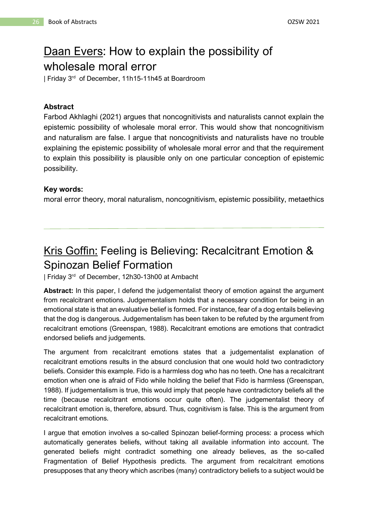# <span id="page-26-0"></span>Daan Evers: How to explain the possibility of

wholesale moral error

| Friday 3 rd of December, 11h15-11h45 at Boardroom

## **Abstract**

Farbod Akhlaghi (2021) argues that noncognitivists and naturalists cannot explain the epistemic possibility of wholesale moral error. This would show that noncognitivism and naturalism are false. I argue that noncognitivists and naturalists have no trouble explaining the epistemic possibility of wholesale moral error and that the requirement to explain this possibility is plausible only on one particular conception of epistemic possibility.

## **Key words:**

moral error theory, moral naturalism, noncognitivism, epistemic possibility, metaethics

## <span id="page-26-1"></span>Kris Goffin: Feeling is Believing: Recalcitrant Emotion & Spinozan Belief Formation

| Friday 3<sup>rd</sup> of December, 12h30-13h00 at Ambacht

**Abstract:** In this paper, I defend the judgementalist theory of emotion against the argument from recalcitrant emotions. Judgementalism holds that a necessary condition for being in an emotional state is that an evaluative belief is formed. For instance, fear of a dog entails believing that the dog is dangerous. Judgementalism has been taken to be refuted by the argument from recalcitrant emotions (Greenspan, 1988). Recalcitrant emotions are emotions that contradict endorsed beliefs and judgements.

The argument from recalcitrant emotions states that a judgementalist explanation of recalcitrant emotions results in the absurd conclusion that one would hold two contradictory beliefs. Consider this example. Fido is a harmless dog who has no teeth. One has a recalcitrant emotion when one is afraid of Fido while holding the belief that Fido is harmless (Greenspan, 1988). If judgementalism is true, this would imply that people have contradictory beliefs all the time (because recalcitrant emotions occur quite often). The judgementalist theory of recalcitrant emotion is, therefore, absurd. Thus, cognitivism is false. This is the argument from recalcitrant emotions.

I argue that emotion involves a so-called Spinozan belief-forming process: a process which automatically generates beliefs, without taking all available information into account. The generated beliefs might contradict something one already believes, as the so-called Fragmentation of Belief Hypothesis predicts. The argument from recalcitrant emotions presupposes that any theory which ascribes (many) contradictory beliefs to a subject would be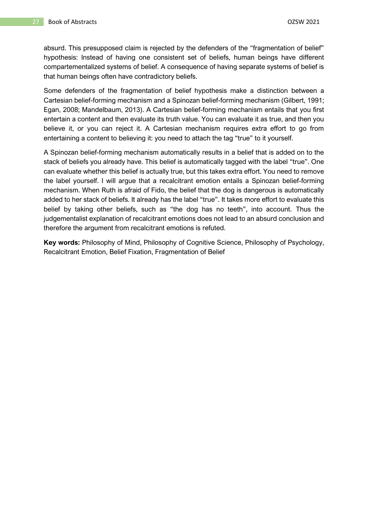absurd. This presupposed claim is rejected by the defenders of the "fragmentation of belief" hypothesis: Instead of having one consistent set of beliefs, human beings have different compartementalized systems of belief. A consequence of having separate systems of belief is that human beings often have contradictory beliefs.

Some defenders of the fragmentation of belief hypothesis make a distinction between a Cartesian belief-forming mechanism and a Spinozan belief-forming mechanism (Gilbert, 1991; Egan, 2008; Mandelbaum, 2013). A Cartesian belief-forming mechanism entails that you first entertain a content and then evaluate its truth value. You can evaluate it as true, and then you believe it, or you can reject it. A Cartesian mechanism requires extra effort to go from entertaining a content to believing it: you need to attach the tag "true" to it yourself.

A Spinozan belief-forming mechanism automatically results in a belief that is added on to the stack of beliefs you already have. This belief is automatically tagged with the label "true". One can evaluate whether this belief is actually true, but this takes extra effort. You need to remove the label yourself. I will argue that a recalcitrant emotion entails a Spinozan belief-forming mechanism. When Ruth is afraid of Fido, the belief that the dog is dangerous is automatically added to her stack of beliefs. It already has the label "true". It takes more effort to evaluate this belief by taking other beliefs, such as "the dog has no teeth", into account. Thus the judgementalist explanation of recalcitrant emotions does not lead to an absurd conclusion and therefore the argument from recalcitrant emotions is refuted.

**Key words:** Philosophy of Mind, Philosophy of Cognitive Science, Philosophy of Psychology, Recalcitrant Emotion, Belief Fixation, Fragmentation of Belief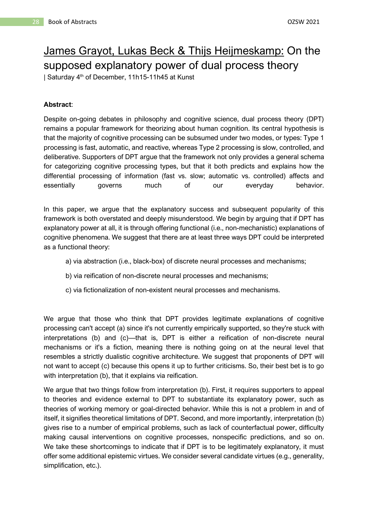# <span id="page-28-0"></span>James Grayot, Lukas Beck & Thijs Heijmeskamp: On the supposed explanatory power of dual process theory

| Saturday 4<sup>th</sup> of December, 11h15-11h45 at Kunst

## **Abstract**:

Despite on-going debates in philosophy and cognitive science, dual process theory (DPT) remains a popular framework for theorizing about human cognition. Its central hypothesis is that the majority of cognitive processing can be subsumed under two modes, or types: Type 1 processing is fast, automatic, and reactive, whereas Type 2 processing is slow, controlled, and deliberative. Supporters of DPT argue that the framework not only provides a general schema for categorizing cognitive processing types, but that it both predicts and explains how the differential processing of information (fast vs. slow; automatic vs. controlled) affects and essentially governs much of our everyday behavior.

In this paper, we argue that the explanatory success and subsequent popularity of this framework is both overstated and deeply misunderstood. We begin by arguing that if DPT has explanatory power at all, it is through offering functional (i.e., non-mechanistic) explanations of cognitive phenomena. We suggest that there are at least three ways DPT could be interpreted as a functional theory:

- a) via abstraction (i.e., black-box) of discrete neural processes and mechanisms;
- b) via reification of non-discrete neural processes and mechanisms;
- c) via fictionalization of non-existent neural processes and mechanisms.

We argue that those who think that DPT provides legitimate explanations of cognitive processing can't accept (a) since it's not currently empirically supported, so they're stuck with interpretations (b) and (c)—that is, DPT is either a reification of non-discrete neural mechanisms or it's a fiction, meaning there is nothing going on at the neural level that resembles a strictly dualistic cognitive architecture. We suggest that proponents of DPT will not want to accept (c) because this opens it up to further criticisms. So, their best bet is to go with interpretation (b), that it explains via reification.

We argue that two things follow from interpretation (b). First, it requires supporters to appeal to theories and evidence external to DPT to substantiate its explanatory power, such as theories of working memory or goal-directed behavior. While this is not a problem in and of itself, it signifies theoretical limitations of DPT. Second, and more importantly, interpretation (b) gives rise to a number of empirical problems, such as lack of counterfactual power, difficulty making causal interventions on cognitive processes, nonspecific predictions, and so on. We take these shortcomings to indicate that if DPT is to be legitimately explanatory, it must offer some additional epistemic virtues. We consider several candidate virtues (e.g., generality, simplification, etc.).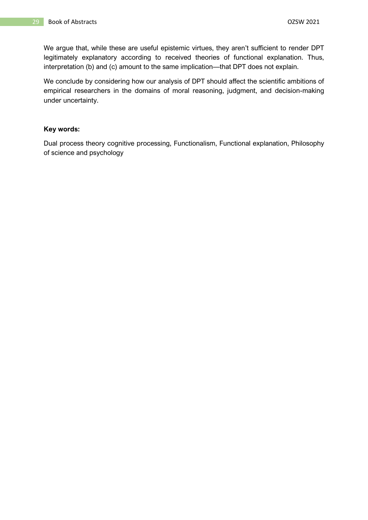We argue that, while these are useful epistemic virtues, they aren't sufficient to render DPT legitimately explanatory according to received theories of functional explanation. Thus, interpretation (b) and (c) amount to the same implication—that DPT does not explain.

We conclude by considering how our analysis of DPT should affect the scientific ambitions of empirical researchers in the domains of moral reasoning, judgment, and decision-making under uncertainty.

#### **Key words:**

Dual process theory cognitive processing, Functionalism, Functional explanation, Philosophy of science and psychology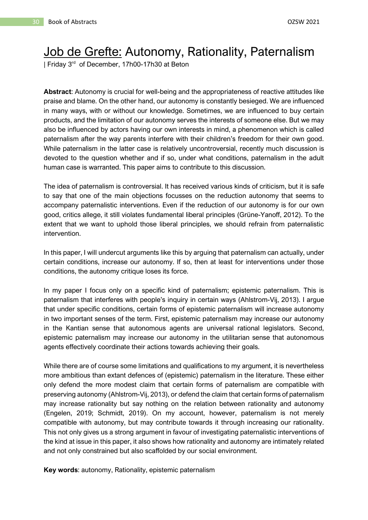## <span id="page-30-0"></span>Job de Grefte: Autonomy, Rationality, Paternalism

| Friday 3<sup>rd</sup> of December, 17h00-17h30 at Beton

**Abstract**: Autonomy is crucial for well-being and the appropriateness of reactive attitudes like praise and blame. On the other hand, our autonomy is constantly besieged. We are influenced in many ways, with or without our knowledge. Sometimes, we are influenced to buy certain products, and the limitation of our autonomy serves the interests of someone else. But we may also be influenced by actors having our own interests in mind, a phenomenon which is called paternalism after the way parents interfere with their children's freedom for their own good. While paternalism in the latter case is relatively uncontroversial, recently much discussion is devoted to the question whether and if so, under what conditions, paternalism in the adult human case is warranted. This paper aims to contribute to this discussion.

The idea of paternalism is controversial. It has received various kinds of criticism, but it is safe to say that one of the main objections focusses on the reduction autonomy that seems to accompany paternalistic interventions. Even if the reduction of our autonomy is for our own good, critics allege, it still violates fundamental liberal principles (Grüne-Yanoff, 2012). To the extent that we want to uphold those liberal principles, we should refrain from paternalistic intervention.

In this paper, I will undercut arguments like this by arguing that paternalism can actually, under certain conditions, increase our autonomy. If so, then at least for interventions under those conditions, the autonomy critique loses its force.

In my paper I focus only on a specific kind of paternalism; epistemic paternalism. This is paternalism that interferes with people's inquiry in certain ways (Ahlstrom-Vij, 2013). I argue that under specific conditions, certain forms of epistemic paternalism will increase autonomy in two important senses of the term. First, epistemic paternalism may increase our autonomy in the Kantian sense that autonomous agents are universal rational legislators. Second, epistemic paternalism may increase our autonomy in the utilitarian sense that autonomous agents effectively coordinate their actions towards achieving their goals.

While there are of course some limitations and qualifications to my argument, it is nevertheless more ambitious than extant defences of (epistemic) paternalism in the literature. These either only defend the more modest claim that certain forms of paternalism are compatible with preserving autonomy (Ahlstrom-Vij, 2013), or defend the claim that certain forms of paternalism may increase rationality but say nothing on the relation between rationality and autonomy (Engelen, 2019; Schmidt, 2019). On my account, however, paternalism is not merely compatible with autonomy, but may contribute towards it through increasing our rationality. This not only gives us a strong argument in favour of investigating paternalistic interventions of the kind at issue in this paper, it also shows how rationality and autonomy are intimately related and not only constrained but also scaffolded by our social environment.

**Key words**: autonomy, Rationality, epistemic paternalism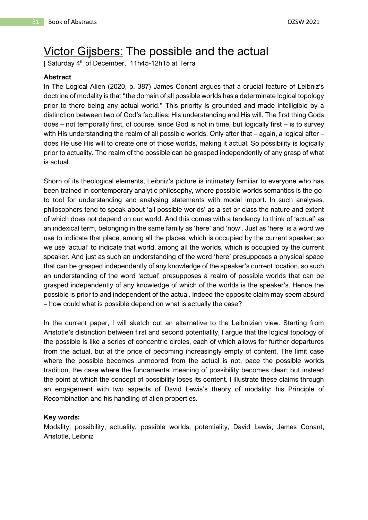## <span id="page-31-0"></span>Victor Gijsbers: The possible and the actual

| Saturday 4<sup>th</sup> of December, 11h45-12h15 at Terra

#### **Abstract**

In The Logical Alien (2020, p. 387) James Conant argues that a crucial feature of Leibniz's doctrine of modality is that "the domain of all possible worlds has a determinate logical topology prior to there being any actual world." This priority is grounded and made intelligible by a distinction between two of God's faculties: His understanding and His will. The first thing Gods does – not temporally first, of course, since God is not in time, but logically first – is to survey with His understanding the realm of all possible worlds. Only after that – again, a logical after – does He use His will to create one of those worlds, making it actual. So possibility is logically prior to actuality. The realm of the possible can be grasped independently of any grasp of what is actual.

Shorn of its theological elements, Leibniz's picture is intimately familiar to everyone who has been trained in contemporary analytic philosophy, where possible worlds semantics is the goto tool for understanding and analysing statements with modal import. In such analyses, philosophers tend to speak about 'all possible worlds' as a set or class the nature and extent of which does not depend on our world. And this comes with a tendency to think of 'actual' as an indexical term, belonging in the same family as 'here' and 'now'. Just as 'here' is a word we use to indicate that place, among all the places, which is occupied by the current speaker; so we use 'actual' to indicate that world, among all the worlds, which is occupied by the current speaker. And just as such an understanding of the word 'here' presupposes a physical space that can be grasped independently of any knowledge of the speaker's current location, so such an understanding of the word 'actual' presupposes a realm of possible worlds that can be grasped independently of any knowledge of which of the worlds is the speaker's. Hence the possible is prior to and independent of the actual. Indeed the opposite claim may seem absurd – how could what is possible depend on what is actually the case?

In the current paper, I will sketch out an alternative to the Leibnizian view. Starting from Aristotle's distinction between first and second potentiality, I argue that the logical topology of the possible is like a series of concentric circles, each of which allows for further departures from the actual, but at the price of becoming increasingly empty of content. The limit case where the possible becomes unmoored from the actual is not, pace the possible worlds tradition, the case where the fundamental meaning of possibility becomes clear; but instead the point at which the concept of possibility loses its content. I illustrate these claims through an engagement with two aspects of David Lewis's theory of modality: his Principle of Recombination and his handling of alien properties.

#### **Key words:**

Modality, possibility, actuality, possible worlds, potentiality, David Lewis, James Conant, Aristotle, Leibniz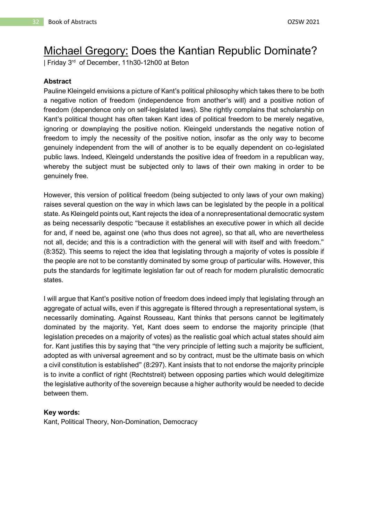## <span id="page-32-0"></span>Michael Gregory: Does the Kantian Republic Dominate?

| Friday 3<sup>rd</sup> of December, 11h30-12h00 at Beton

#### **Abstract**

Pauline Kleingeld envisions a picture of Kant's political philosophy which takes there to be both a negative notion of freedom (independence from another's will) and a positive notion of freedom (dependence only on self-legislated laws). She rightly complains that scholarship on Kant's political thought has often taken Kant idea of political freedom to be merely negative, ignoring or downplaying the positive notion. Kleingeld understands the negative notion of freedom to imply the necessity of the positive notion, insofar as the only way to become genuinely independent from the will of another is to be equally dependent on co-legislated public laws. Indeed, Kleingeld understands the positive idea of freedom in a republican way, whereby the subject must be subjected only to laws of their own making in order to be genuinely free.

However, this version of political freedom (being subjected to only laws of your own making) raises several question on the way in which laws can be legislated by the people in a political state. As Kleingeld points out, Kant rejects the idea of a nonrepresentational democratic system as being necessarily despotic "because it establishes an executive power in which all decide for and, if need be, against one (who thus does not agree), so that all, who are nevertheless not all, decide; and this is a contradiction with the general will with itself and with freedom." (8:352). This seems to reject the idea that legislating through a majority of votes is possible if the people are not to be constantly dominated by some group of particular wills. However, this puts the standards for legitimate legislation far out of reach for modern pluralistic democratic states.

I will argue that Kant's positive notion of freedom does indeed imply that legislating through an aggregate of actual wills, even if this aggregate is filtered through a representational system, is necessarily dominating. Against Rousseau, Kant thinks that persons cannot be legitimately dominated by the majority. Yet, Kant does seem to endorse the majority principle (that legislation precedes on a majority of votes) as the realistic goal which actual states should aim for. Kant justifies this by saying that "the very principle of letting such a majority be sufficient, adopted as with universal agreement and so by contract, must be the ultimate basis on which a civil constitution is established" (8:297). Kant insists that to not endorse the majority principle is to invite a conflict of right (Rechtstreit) between opposing parties which would delegitimize the legislative authority of the sovereign because a higher authority would be needed to decide between them.

#### **Key words:**

Kant, Political Theory, Non-Domination, Democracy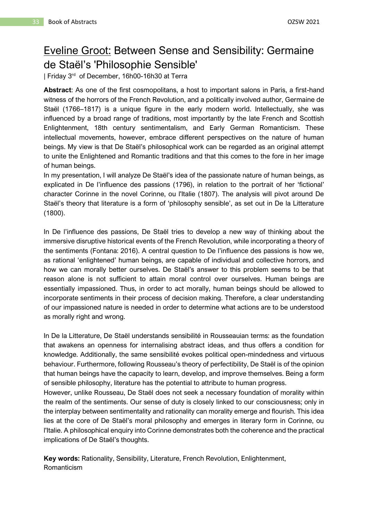## <span id="page-33-0"></span>Eveline Groot: Between Sense and Sensibility: Germaine de Staël's 'Philosophie Sensible'

| Friday 3<sup>rd</sup> of December, 16h00-16h30 at Terra

**Abstract**: As one of the first cosmopolitans, a host to important salons in Paris, a first-hand witness of the horrors of the French Revolution, and a politically involved author, Germaine de Staël (1766–1817) is a unique figure in the early modern world. Intellectually, she was influenced by a broad range of traditions, most importantly by the late French and Scottish Enlightenment, 18th century sentimentalism, and Early German Romanticism. These intellectual movements, however, embrace different perspectives on the nature of human beings. My view is that De Staël's philosophical work can be regarded as an original attempt to unite the Enlightened and Romantic traditions and that this comes to the fore in her image of human beings.

In my presentation, I will analyze De Staël's idea of the passionate nature of human beings, as explicated in De l'influence des passions (1796), in relation to the portrait of her 'fictional' character Corinne in the novel Corinne, ou l'Italie (1807). The analysis will pivot around De Staël's theory that literature is a form of 'philosophy sensible', as set out in De la Litterature (1800).

In De l'influence des passions, De Staël tries to develop a new way of thinking about the immersive disruptive historical events of the French Revolution, while incorporating a theory of the sentiments (Fontana: 2016). A central question to De l'influence des passions is how we, as rational 'enlightened' human beings, are capable of individual and collective horrors, and how we can morally better ourselves. De Staël's answer to this problem seems to be that reason alone is not sufficient to attain moral control over ourselves. Human beings are essentially impassioned. Thus, in order to act morally, human beings should be allowed to incorporate sentiments in their process of decision making. Therefore, a clear understanding of our impassioned nature is needed in order to determine what actions are to be understood as morally right and wrong.

In De la Litterature, De Staël understands sensibilité in Rousseauian terms: as the foundation that awakens an openness for internalising abstract ideas, and thus offers a condition for knowledge. Additionally, the same sensibilité evokes political open-mindedness and virtuous behaviour. Furthermore, following Rousseau's theory of perfectibility, De Staël is of the opinion that human beings have the capacity to learn, develop, and improve themselves. Being a form of sensible philosophy, literature has the potential to attribute to human progress.

However, unlike Rousseau, De Staël does not seek a necessary foundation of morality within the realm of the sentiments. Our sense of duty is closely linked to our consciousness; only in the interplay between sentimentality and rationality can morality emerge and flourish. This idea lies at the core of De Staël's moral philosophy and emerges in literary form in Corinne, ou l'Italie. A philosophical enquiry into Corinne demonstrates both the coherence and the practical implications of De Staël's thoughts.

**Key words:** Rationality, Sensibility, Literature, French Revolution, Enlightenment, Romanticism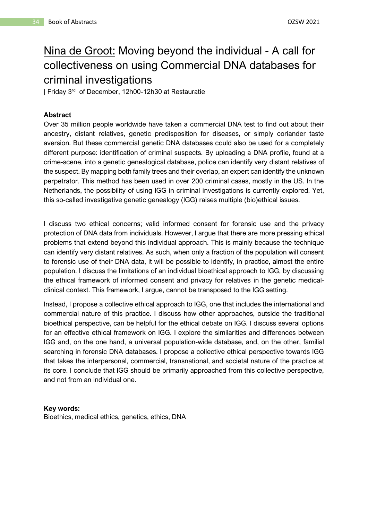## <span id="page-34-0"></span>Nina de Groot: Moving beyond the individual - A call for collectiveness on using Commercial DNA databases for criminal investigations

| Friday 3 rd of December, 12h00-12h30 at Restauratie

## **Abstract**

Over 35 million people worldwide have taken a commercial DNA test to find out about their ancestry, distant relatives, genetic predisposition for diseases, or simply coriander taste aversion. But these commercial genetic DNA databases could also be used for a completely different purpose: identification of criminal suspects. By uploading a DNA profile, found at a crime-scene, into a genetic genealogical database, police can identify very distant relatives of the suspect. By mapping both family trees and their overlap, an expert can identify the unknown perpetrator. This method has been used in over 200 criminal cases, mostly in the US. In the Netherlands, the possibility of using IGG in criminal investigations is currently explored. Yet, this so-called investigative genetic genealogy (IGG) raises multiple (bio)ethical issues.

I discuss two ethical concerns; valid informed consent for forensic use and the privacy protection of DNA data from individuals. However, I argue that there are more pressing ethical problems that extend beyond this individual approach. This is mainly because the technique can identify very distant relatives. As such, when only a fraction of the population will consent to forensic use of their DNA data, it will be possible to identify, in practice, almost the entire population. I discuss the limitations of an individual bioethical approach to IGG, by discussing the ethical framework of informed consent and privacy for relatives in the genetic medicalclinical context. This framework, I argue, cannot be transposed to the IGG setting.

Instead, I propose a collective ethical approach to IGG, one that includes the international and commercial nature of this practice. I discuss how other approaches, outside the traditional bioethical perspective, can be helpful for the ethical debate on IGG. I discuss several options for an effective ethical framework on IGG. I explore the similarities and differences between IGG and, on the one hand, a universal population-wide database, and, on the other, familial searching in forensic DNA databases. I propose a collective ethical perspective towards IGG that takes the interpersonal, commercial, transnational, and societal nature of the practice at its core. I conclude that IGG should be primarily approached from this collective perspective, and not from an individual one.

#### **Key words:**

Bioethics, medical ethics, genetics, ethics, DNA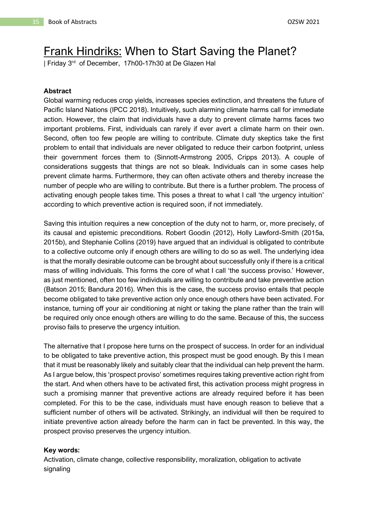## <span id="page-35-0"></span>Frank Hindriks: When to Start Saving the Planet?

| Friday 3<sup>rd</sup> of December, 17h00-17h30 at De Glazen Hal

#### **Abstract**

Global warming reduces crop yields, increases species extinction, and threatens the future of Pacific Island Nations (IPCC 2018). Intuitively, such alarming climate harms call for immediate action. However, the claim that individuals have a duty to prevent climate harms faces two important problems. First, individuals can rarely if ever avert a climate harm on their own. Second, often too few people are willing to contribute. Climate duty skeptics take the first problem to entail that individuals are never obligated to reduce their carbon footprint, unless their government forces them to (Sinnott-Armstrong 2005, Cripps 2013). A couple of considerations suggests that things are not so bleak. Individuals can in some cases help prevent climate harms. Furthermore, they can often activate others and thereby increase the number of people who are willing to contribute. But there is a further problem. The process of activating enough people takes time. This poses a threat to what I call 'the urgency intuition' according to which preventive action is required soon, if not immediately.

Saving this intuition requires a new conception of the duty not to harm, or, more precisely, of its causal and epistemic preconditions. Robert Goodin (2012), Holly Lawford-Smith (2015a, 2015b), and Stephanie Collins (2019) have argued that an individual is obligated to contribute to a collective outcome only if enough others are willing to do so as well. The underlying idea is that the morally desirable outcome can be brought about successfully only if there is a critical mass of willing individuals. This forms the core of what I call 'the success proviso.' However, as just mentioned, often too few individuals are willing to contribute and take preventive action (Batson 2015; Bandura 2016). When this is the case, the success proviso entails that people become obligated to take preventive action only once enough others have been activated. For instance, turning off your air conditioning at night or taking the plane rather than the train will be required only once enough others are willing to do the same. Because of this, the success proviso fails to preserve the urgency intuition.

The alternative that I propose here turns on the prospect of success. In order for an individual to be obligated to take preventive action, this prospect must be good enough. By this I mean that it must be reasonably likely and suitably clear that the individual can help prevent the harm. As I argue below, this 'prospect proviso' sometimes requires taking preventive action right from the start. And when others have to be activated first, this activation process might progress in such a promising manner that preventive actions are already required before it has been completed. For this to be the case, individuals must have enough reason to believe that a sufficient number of others will be activated. Strikingly, an individual will then be required to initiate preventive action already before the harm can in fact be prevented. In this way, the prospect proviso preserves the urgency intuition.

#### **Key words:**

Activation, climate change, collective responsibility, moralization, obligation to activate signaling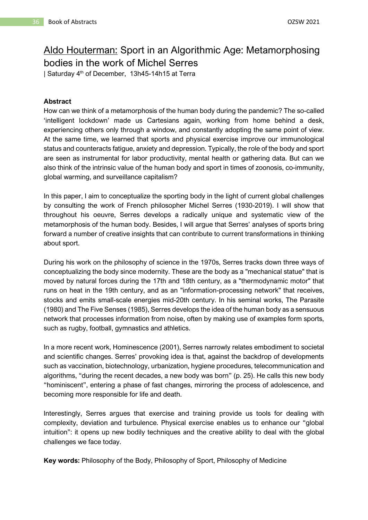## Aldo Houterman: Sport in an Algorithmic Age: Metamorphosing bodies in the work of Michel Serres

| Saturday 4<sup>th</sup> of December, 13h45-14h15 at Terra

#### **Abstract**

How can we think of a metamorphosis of the human body during the pandemic? The so-called 'intelligent lockdown' made us Cartesians again, working from home behind a desk, experiencing others only through a window, and constantly adopting the same point of view. At the same time, we learned that sports and physical exercise improve our immunological status and counteracts fatigue, anxiety and depression. Typically, the role of the body and sport are seen as instrumental for labor productivity, mental health or gathering data. But can we also think of the intrinsic value of the human body and sport in times of zoonosis, co-immunity, global warming, and surveillance capitalism?

In this paper, I aim to conceptualize the sporting body in the light of current global challenges by consulting the work of French philosopher Michel Serres (1930-2019). I will show that throughout his oeuvre, Serres develops a radically unique and systematic view of the metamorphosis of the human body. Besides, I will argue that Serres' analyses of sports bring forward a number of creative insights that can contribute to current transformations in thinking about sport.

During his work on the philosophy of science in the 1970s, Serres tracks down three ways of conceptualizing the body since modernity. These are the body as a "mechanical statue" that is moved by natural forces during the 17th and 18th century, as a "thermodynamic motor" that runs on heat in the 19th century, and as an "information-processing network" that receives, stocks and emits small-scale energies mid-20th century. In his seminal works, The Parasite (1980) and The Five Senses (1985), Serres develops the idea of the human body as a sensuous network that processes information from noise, often by making use of examples form sports, such as rugby, football, gymnastics and athletics.

In a more recent work, Hominescence (2001), Serres narrowly relates embodiment to societal and scientific changes. Serres' provoking idea is that, against the backdrop of developments such as vaccination, biotechnology, urbanization, hygiene procedures, telecommunication and algorithms, "during the recent decades, a new body was born" (p. 25). He calls this new body "hominiscent", entering a phase of fast changes, mirroring the process of adolescence, and becoming more responsible for life and death.

Interestingly, Serres argues that exercise and training provide us tools for dealing with complexity, deviation and turbulence. Physical exercise enables us to enhance our "global intuition": it opens up new bodily techniques and the creative ability to deal with the global challenges we face today.

**Key words:** Philosophy of the Body, Philosophy of Sport, Philosophy of Medicine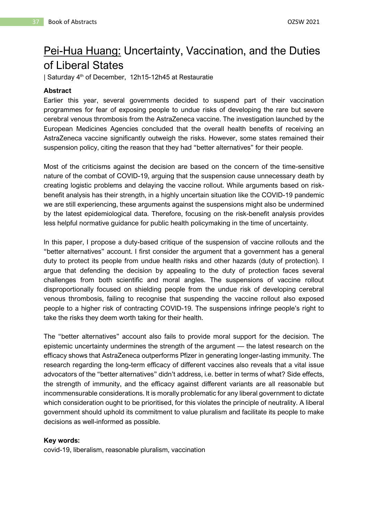### Pei-Hua Huang: Uncertainty, Vaccination, and the Duties of Liberal States

| Saturday 4th of December, 12h15-12h45 at Restauratie

#### **Abstract**

Earlier this year, several governments decided to suspend part of their vaccination programmes for fear of exposing people to undue risks of developing the rare but severe cerebral venous thrombosis from the AstraZeneca vaccine. The investigation launched by the European Medicines Agencies concluded that the overall health benefits of receiving an AstraZeneca vaccine significantly outweigh the risks. However, some states remained their suspension policy, citing the reason that they had "better alternatives" for their people.

Most of the criticisms against the decision are based on the concern of the time-sensitive nature of the combat of COVID-19, arguing that the suspension cause unnecessary death by creating logistic problems and delaying the vaccine rollout. While arguments based on riskbenefit analysis has their strength, in a highly uncertain situation like the COVID-19 pandemic we are still experiencing, these arguments against the suspensions might also be undermined by the latest epidemiological data. Therefore, focusing on the risk-benefit analysis provides less helpful normative guidance for public health policymaking in the time of uncertainty.

In this paper, I propose a duty-based critique of the suspension of vaccine rollouts and the "better alternatives" account. I first consider the argument that a government has a general duty to protect its people from undue health risks and other hazards (duty of protection). I argue that defending the decision by appealing to the duty of protection faces several challenges from both scientific and moral angles. The suspensions of vaccine rollout disproportionally focused on shielding people from the undue risk of developing cerebral venous thrombosis, failing to recognise that suspending the vaccine rollout also exposed people to a higher risk of contracting COVID-19. The suspensions infringe people's right to take the risks they deem worth taking for their health.

The "better alternatives" account also fails to provide moral support for the decision. The epistemic uncertainty undermines the strength of the argument — the latest research on the efficacy shows that AstraZeneca outperforms Pfizer in generating longer-lasting immunity. The research regarding the long-term efficacy of different vaccines also reveals that a vital issue advocators of the "better alternatives" didn't address, i.e. better in terms of what? Side effects, the strength of immunity, and the efficacy against different variants are all reasonable but incommensurable considerations. It is morally problematic for any liberal government to dictate which consideration ought to be prioritised, for this violates the principle of neutrality. A liberal government should uphold its commitment to value pluralism and facilitate its people to make decisions as well-informed as possible.

#### **Key words:**

covid-19, liberalism, reasonable pluralism, vaccination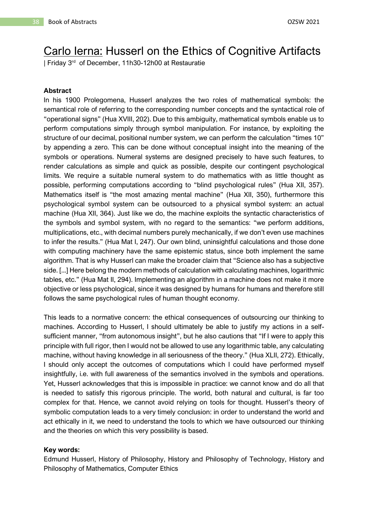## Carlo Ierna: Husserl on the Ethics of Cognitive Artifacts

| Friday 3 rd of December, 11h30-12h00 at Restauratie

#### **Abstract**

In his 1900 Prolegomena, Husserl analyzes the two roles of mathematical symbols: the semantical role of referring to the corresponding number concepts and the syntactical role of "operational signs" (Hua XVIII, 202). Due to this ambiguity, mathematical symbols enable us to perform computations simply through symbol manipulation. For instance, by exploiting the structure of our decimal, positional number system, we can perform the calculation "times 10" by appending a zero. This can be done without conceptual insight into the meaning of the symbols or operations. Numeral systems are designed precisely to have such features, to render calculations as simple and quick as possible, despite our contingent psychological limits. We require a suitable numeral system to do mathematics with as little thought as possible, performing computations according to "blind psychological rules" (Hua XII, 357). Mathematics itself is "the most amazing mental machine" (Hua XII, 350), furthermore this psychological symbol system can be outsourced to a physical symbol system: an actual machine (Hua XII, 364). Just like we do, the machine exploits the syntactic characteristics of the symbols and symbol system, with no regard to the semantics: "we perform additions, multiplications, etc., with decimal numbers purely mechanically, if we don't even use machines to infer the results." (Hua Mat I, 247). Our own blind, uninsightful calculations and those done with computing machinery have the same epistemic status, since both implement the same algorithm. That is why Husserl can make the broader claim that "Science also has a subjective side. [...] Here belong the modern methods of calculation with calculating machines, logarithmic tables, etc." (Hua Mat II, 294). Implementing an algorithm in a machine does not make it more objective or less psychological, since it was designed by humans for humans and therefore still follows the same psychological rules of human thought economy.

This leads to a normative concern: the ethical consequences of outsourcing our thinking to machines. According to Husserl, I should ultimately be able to justify my actions in a selfsufficient manner, "from autonomous insight", but he also cautions that "If I were to apply this principle with full rigor, then I would not be allowed to use any logarithmic table, any calculating machine, without having knowledge in all seriousness of the theory." (Hua XLII, 272). Ethically, I should only accept the outcomes of computations which I could have performed myself insightfully, i.e. with full awareness of the semantics involved in the symbols and operations. Yet, Husserl acknowledges that this is impossible in practice: we cannot know and do all that is needed to satisfy this rigorous principle. The world, both natural and cultural, is far too complex for that. Hence, we cannot avoid relying on tools for thought. Husserl's theory of symbolic computation leads to a very timely conclusion: in order to understand the world and act ethically in it, we need to understand the tools to which we have outsourced our thinking and the theories on which this very possibility is based.

#### **Key words:**

Edmund Husserl, History of Philosophy, History and Philosophy of Technology, History and Philosophy of Mathematics, Computer Ethics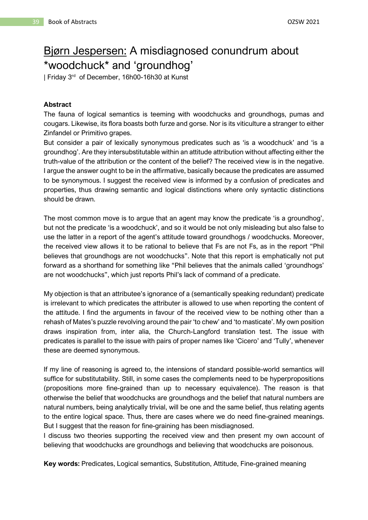### Bjørn Jespersen: A misdiagnosed conundrum about \*woodchuck\* and 'groundhog'

| Friday 3<sup>rd</sup> of December, 16h00-16h30 at Kunst

#### **Abstract**

The fauna of logical semantics is teeming with woodchucks and groundhogs, pumas and cougars. Likewise, its flora boasts both furze and gorse. Nor is its viticulture a stranger to either Zinfandel or Primitivo grapes.

But consider a pair of lexically synonymous predicates such as 'is a woodchuck' and 'is a groundhog'. Are they intersubstitutable within an attitude attribution without affecting either the truth-value of the attribution or the content of the belief? The received view is in the negative. I argue the answer ought to be in the affirmative, basically because the predicates are assumed to be synonymous. I suggest the received view is informed by a confusion of predicates and properties, thus drawing semantic and logical distinctions where only syntactic distinctions should be drawn.

The most common move is to argue that an agent may know the predicate 'is a groundhog', but not the predicate 'is a woodchuck', and so it would be not only misleading but also false to use the latter in a report of the agent's attitude toward groundhogs / woodchucks. Moreover, the received view allows it to be rational to believe that Fs are not Fs, as in the report "Phil believes that groundhogs are not woodchucks". Note that this report is emphatically not put forward as a shorthand for something like "Phil believes that the animals called 'groundhogs' are not woodchucks", which just reports Phil's lack of command of a predicate.

My objection is that an attributee's ignorance of a (semantically speaking redundant) predicate is irrelevant to which predicates the attributer is allowed to use when reporting the content of the attitude. I find the arguments in favour of the received view to be nothing other than a rehash of Mates's puzzle revolving around the pair 'to chew' and 'to masticate'. My own position draws inspiration from, inter alia, the Church-Langford translation test. The issue with predicates is parallel to the issue with pairs of proper names like 'Cicero' and 'Tully', whenever these are deemed synonymous.

If my line of reasoning is agreed to, the intensions of standard possible-world semantics will suffice for substitutability. Still, in some cases the complements need to be hyperpropositions (propositions more fine-grained than up to necessary equivalence). The reason is that otherwise the belief that woodchucks are groundhogs and the belief that natural numbers are natural numbers, being analytically trivial, will be one and the same belief, thus relating agents to the entire logical space. Thus, there are cases where we do need fine-grained meanings. But I suggest that the reason for fine-graining has been misdiagnosed.

I discuss two theories supporting the received view and then present my own account of believing that woodchucks are groundhogs and believing that woodchucks are poisonous.

**Key words:** Predicates, Logical semantics, Substitution, Attitude, Fine-grained meaning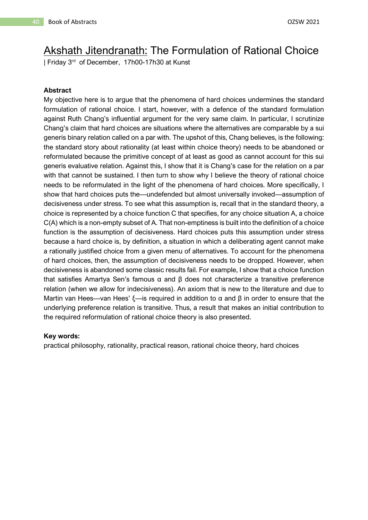### Akshath Jitendranath: The Formulation of Rational Choice

| Friday 3<sup>rd</sup> of December, 17h00-17h30 at Kunst

#### **Abstract**

My objective here is to argue that the phenomena of hard choices undermines the standard formulation of rational choice. I start, however, with a defence of the standard formulation against Ruth Chang's influential argument for the very same claim. In particular, I scrutinize Chang's claim that hard choices are situations where the alternatives are comparable by a sui generis binary relation called on a par with. The upshot of this, Chang believes, is the following: the standard story about rationality (at least within choice theory) needs to be abandoned or reformulated because the primitive concept of at least as good as cannot account for this sui generis evaluative relation. Against this, I show that it is Chang's case for the relation on a par with that cannot be sustained. I then turn to show why I believe the theory of rational choice needs to be reformulated in the light of the phenomena of hard choices. More specifically, I show that hard choices puts the—undefended but almost universally invoked—assumption of decisiveness under stress. To see what this assumption is, recall that in the standard theory, a choice is represented by a choice function C that specifies, for any choice situation A, a choice C(A) which is a non-empty subset of A. That non-emptiness is built into the definition of a choice function is the assumption of decisiveness. Hard choices puts this assumption under stress because a hard choice is, by definition, a situation in which a deliberating agent cannot make a rationally justified choice from a given menu of alternatives. To account for the phenomena of hard choices, then, the assumption of decisiveness needs to be dropped. However, when decisiveness is abandoned some classic results fail. For example, I show that a choice function that satisfies Amartya Sen's famous α and β does not characterize a transitive preference relation (when we allow for indecisiveness). An axiom that is new to the literature and due to Martin van Hees—van Hees' ξ—is required in addition to α and  $β$  in order to ensure that the underlying preference relation is transitive. Thus, a result that makes an initial contribution to the required reformulation of rational choice theory is also presented.

#### **Key words:**

practical philosophy, rationality, practical reason, rational choice theory, hard choices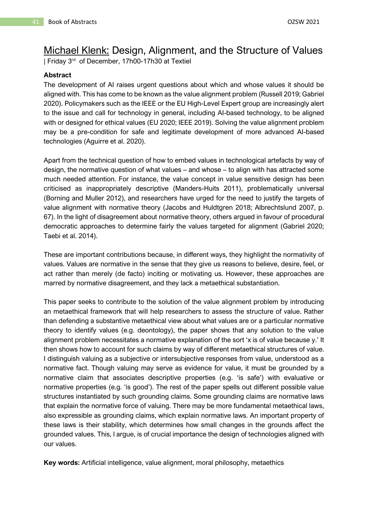### Michael Klenk: Design, Alignment, and the Structure of Values

| Friday 3<sup>rd</sup> of December, 17h00-17h30 at Textiel

#### **Abstract**

The development of AI raises urgent questions about which and whose values it should be aligned with. This has come to be known as the value alignment problem (Russell 2019; Gabriel 2020). Policymakers such as the IEEE or the EU High-Level Expert group are increasingly alert to the issue and call for technology in general, including AI-based technology, to be aligned with or designed for ethical values (EU 2020; IEEE 2019). Solving the value alignment problem may be a pre-condition for safe and legitimate development of more advanced AI-based technologies (Aguirre et al. 2020).

Apart from the technical question of how to embed values in technological artefacts by way of design, the normative question of what values – and whose – to align with has attracted some much needed attention. For instance, the value concept in value sensitive design has been criticised as inappropriately descriptive (Manders-Huits 2011), problematically universal (Borning and Muller 2012), and researchers have urged for the need to justify the targets of value alignment with normative theory (Jacobs and Huldtgren 2018; Albrechtslund 2007, p. 67). In the light of disagreement about normative theory, others argued in favour of procedural democratic approaches to determine fairly the values targeted for alignment (Gabriel 2020; Taebi et al. 2014).

These are important contributions because, in different ways, they highlight the normativity of values. Values are normative in the sense that they give us reasons to believe, desire, feel, or act rather than merely (de facto) inciting or motivating us. However, these approaches are marred by normative disagreement, and they lack a metaethical substantiation.

This paper seeks to contribute to the solution of the value alignment problem by introducing an metaethical framework that will help researchers to assess the structure of value. Rather than defending a substantive metaethical view about what values are or a particular normative theory to identify values (e.g. deontology), the paper shows that any solution to the value alignment problem necessitates a normative explanation of the sort 'x is of value because y.' It then shows how to account for such claims by way of different metaethical structures of value. I distinguish valuing as a subjective or intersubjective responses from value, understood as a normative fact. Though valuing may serve as evidence for value, it must be grounded by a normative claim that associates descriptive properties (e.g. 'is safe') with evaluative or normative properties (e.g. 'is good'). The rest of the paper spells out different possible value structures instantiated by such grounding claims. Some grounding claims are normative laws that explain the normative force of valuing. There may be more fundamental metaethical laws, also expressible as grounding claims, which explain normative laws. An important property of these laws is their stability, which determines how small changes in the grounds affect the grounded values. This, I argue, is of crucial importance the design of technologies aligned with our values.

**Key words:** Artificial intelligence, value alignment, moral philosophy, metaethics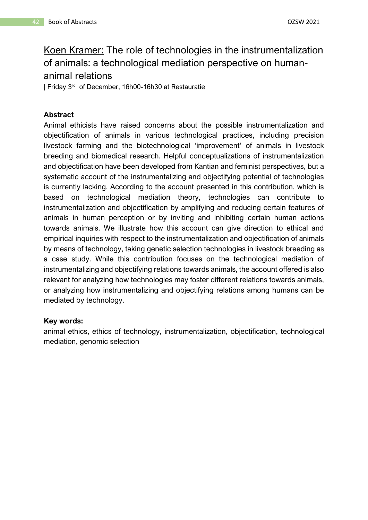### Koen Kramer: The role of technologies in the instrumentalization of animals: a technological mediation perspective on humananimal relations

| Friday 3 rd of December, 16h00-16h30 at Restauratie

#### **Abstract**

Animal ethicists have raised concerns about the possible instrumentalization and objectification of animals in various technological practices, including precision livestock farming and the biotechnological 'improvement' of animals in livestock breeding and biomedical research. Helpful conceptualizations of instrumentalization and objectification have been developed from Kantian and feminist perspectives, but a systematic account of the instrumentalizing and objectifying potential of technologies is currently lacking. According to the account presented in this contribution, which is based on technological mediation theory, technologies can contribute to instrumentalization and objectification by amplifying and reducing certain features of animals in human perception or by inviting and inhibiting certain human actions towards animals. We illustrate how this account can give direction to ethical and empirical inquiries with respect to the instrumentalization and objectification of animals by means of technology, taking genetic selection technologies in livestock breeding as a case study. While this contribution focuses on the technological mediation of instrumentalizing and objectifying relations towards animals, the account offered is also relevant for analyzing how technologies may foster different relations towards animals, or analyzing how instrumentalizing and objectifying relations among humans can be mediated by technology.

#### **Key words:**

animal ethics, ethics of technology, instrumentalization, objectification, technological mediation, genomic selection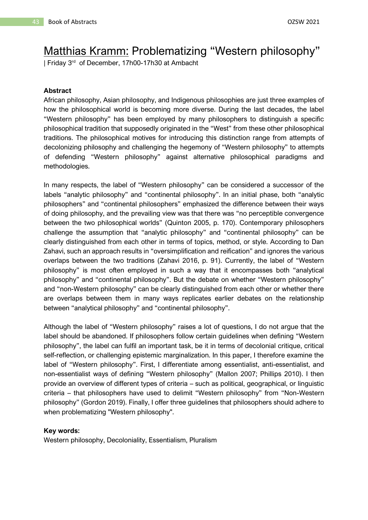## Matthias Kramm: Problematizing "Western philosophy"

| Friday 3 rd of December, 17h00-17h30 at Ambacht

#### **Abstract**

African philosophy, Asian philosophy, and Indigenous philosophies are just three examples of how the philosophical world is becoming more diverse. During the last decades, the label "Western philosophy" has been employed by many philosophers to distinguish a specific philosophical tradition that supposedly originated in the "West" from these other philosophical traditions. The philosophical motives for introducing this distinction range from attempts of decolonizing philosophy and challenging the hegemony of "Western philosophy" to attempts of defending "Western philosophy" against alternative philosophical paradigms and methodologies.

In many respects, the label of "Western philosophy" can be considered a successor of the labels "analytic philosophy" and "continental philosophy". In an initial phase, both "analytic philosophers" and "continental philosophers" emphasized the difference between their ways of doing philosophy, and the prevailing view was that there was "no perceptible convergence between the two philosophical worlds" (Quinton 2005, p. 170). Contemporary philosophers challenge the assumption that "analytic philosophy" and "continental philosophy" can be clearly distinguished from each other in terms of topics, method, or style. According to Dan Zahavi, such an approach results in "oversimplification and reification" and ignores the various overlaps between the two traditions (Zahavi 2016, p. 91). Currently, the label of "Western philosophy" is most often employed in such a way that it encompasses both "analytical philosophy" and "continental philosophy". But the debate on whether "Western philosophy" and "non-Western philosophy" can be clearly distinguished from each other or whether there are overlaps between them in many ways replicates earlier debates on the relationship between "analytical philosophy" and "continental philosophy".

Although the label of "Western philosophy" raises a lot of questions, I do not argue that the label should be abandoned. If philosophers follow certain guidelines when defining "Western philosophy", the label can fulfil an important task, be it in terms of decolonial critique, critical self-reflection, or challenging epistemic marginalization. In this paper, I therefore examine the label of "Western philosophy". First, I differentiate among essentialist, anti-essentialist, and non-essentialist ways of defining "Western philosophy" (Mallon 2007; Phillips 2010). I then provide an overview of different types of criteria – such as political, geographical, or linguistic criteria – that philosophers have used to delimit "Western philosophy" from "Non-Western philosophy" (Gordon 2019). Finally, I offer three guidelines that philosophers should adhere to when problematizing "Western philosophy".

#### **Key words:**

Western philosophy, Decoloniality, Essentialism, Pluralism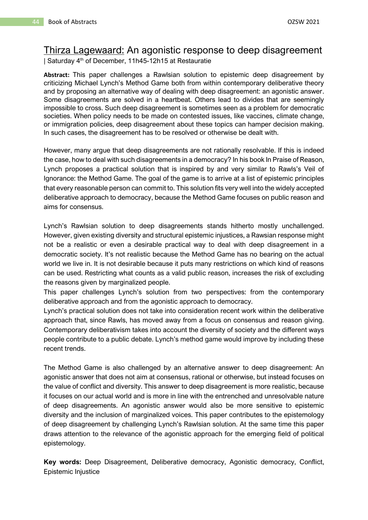### Thirza Lagewaard: An agonistic response to deep disagreement

| Saturday 4th of December, 11h45-12h15 at Restauratie

**Abstract:** This paper challenges a Rawlsian solution to epistemic deep disagreement by criticizing Michael Lynch's Method Game both from within contemporary deliberative theory and by proposing an alternative way of dealing with deep disagreement: an agonistic answer. Some disagreements are solved in a heartbeat. Others lead to divides that are seemingly impossible to cross. Such deep disagreement is sometimes seen as a problem for democratic societies. When policy needs to be made on contested issues, like vaccines, climate change, or immigration policies, deep disagreement about these topics can hamper decision making. In such cases, the disagreement has to be resolved or otherwise be dealt with.

However, many argue that deep disagreements are not rationally resolvable. If this is indeed the case, how to deal with such disagreements in a democracy? In his book In Praise of Reason, Lynch proposes a practical solution that is inspired by and very similar to Rawls's Veil of Ignorance: the Method Game. The goal of the game is to arrive at a list of epistemic principles that every reasonable person can commit to. This solution fits very well into the widely accepted deliberative approach to democracy, because the Method Game focuses on public reason and aims for consensus.

Lynch's Rawlsian solution to deep disagreements stands hitherto mostly unchallenged. However, given existing diversity and structural epistemic injustices, a Rawsian response might not be a realistic or even a desirable practical way to deal with deep disagreement in a democratic society. It's not realistic because the Method Game has no bearing on the actual world we live in. It is not desirable because it puts many restrictions on which kind of reasons can be used. Restricting what counts as a valid public reason, increases the risk of excluding the reasons given by marginalized people.

This paper challenges Lynch's solution from two perspectives: from the contemporary deliberative approach and from the agonistic approach to democracy.

Lynch's practical solution does not take into consideration recent work within the deliberative approach that, since Rawls, has moved away from a focus on consensus and reason giving. Contemporary deliberativism takes into account the diversity of society and the different ways people contribute to a public debate. Lynch's method game would improve by including these recent trends.

The Method Game is also challenged by an alternative answer to deep disagreement: An agonistic answer that does not aim at consensus, rational or otherwise, but instead focuses on the value of conflict and diversity. This answer to deep disagreement is more realistic, because it focuses on our actual world and is more in line with the entrenched and unresolvable nature of deep disagreements. An agonistic answer would also be more sensitive to epistemic diversity and the inclusion of marginalized voices. This paper contributes to the epistemology of deep disagreement by challenging Lynch's Rawlsian solution. At the same time this paper draws attention to the relevance of the agonistic approach for the emerging field of political epistemology.

**Key words:** Deep Disagreement, Deliberative democracy, Agonistic democracy, Conflict, Epistemic Injustice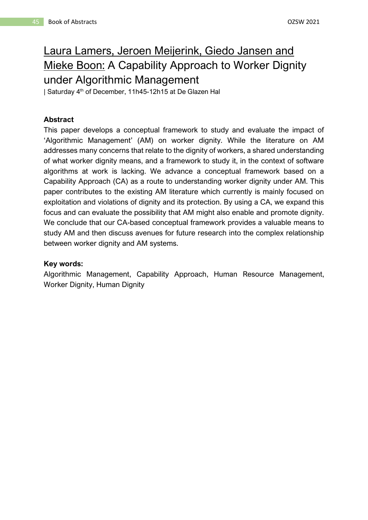## Laura Lamers, Jeroen Meijerink, Giedo Jansen and Mieke Boon: A Capability Approach to Worker Dignity under Algorithmic Management

| Saturday 4th of December, 11h45-12h15 at De Glazen Hal

#### **Abstract**

This paper develops a conceptual framework to study and evaluate the impact of 'Algorithmic Management' (AM) on worker dignity. While the literature on AM addresses many concerns that relate to the dignity of workers, a shared understanding of what worker dignity means, and a framework to study it, in the context of software algorithms at work is lacking. We advance a conceptual framework based on a Capability Approach (CA) as a route to understanding worker dignity under AM. This paper contributes to the existing AM literature which currently is mainly focused on exploitation and violations of dignity and its protection. By using a CA, we expand this focus and can evaluate the possibility that AM might also enable and promote dignity. We conclude that our CA-based conceptual framework provides a valuable means to study AM and then discuss avenues for future research into the complex relationship between worker dignity and AM systems.

#### **Key words:**

Algorithmic Management, Capability Approach, Human Resource Management, Worker Dignity, Human Dignity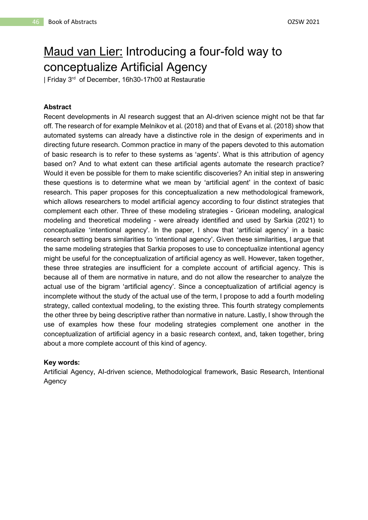## Maud van Lier: Introducing a four-fold way to conceptualize Artificial Agency

| Friday 3 rd of December, 16h30-17h00 at Restauratie

#### **Abstract**

Recent developments in AI research suggest that an AI-driven science might not be that far off. The research of for example Melnikov et al. (2018) and that of Evans et al. (2018) show that automated systems can already have a distinctive role in the design of experiments and in directing future research. Common practice in many of the papers devoted to this automation of basic research is to refer to these systems as 'agents'. What is this attribution of agency based on? And to what extent can these artificial agents automate the research practice? Would it even be possible for them to make scientific discoveries? An initial step in answering these questions is to determine what we mean by 'artificial agent' in the context of basic research. This paper proposes for this conceptualization a new methodological framework, which allows researchers to model artificial agency according to four distinct strategies that complement each other. Three of these modeling strategies - Gricean modeling, analogical modeling and theoretical modeling - were already identified and used by Sarkia (2021) to conceptualize 'intentional agency'. In the paper, I show that 'artificial agency' in a basic research setting bears similarities to 'intentional agency'. Given these similarities, I argue that the same modeling strategies that Sarkia proposes to use to conceptualize intentional agency might be useful for the conceptualization of artificial agency as well. However, taken together, these three strategies are insufficient for a complete account of artificial agency. This is because all of them are normative in nature, and do not allow the researcher to analyze the actual use of the bigram 'artificial agency'. Since a conceptualization of artificial agency is incomplete without the study of the actual use of the term, I propose to add a fourth modeling strategy, called contextual modeling, to the existing three. This fourth strategy complements the other three by being descriptive rather than normative in nature. Lastly, I show through the use of examples how these four modeling strategies complement one another in the conceptualization of artificial agency in a basic research context, and, taken together, bring about a more complete account of this kind of agency.

#### **Key words:**

Artificial Agency, AI-driven science, Methodological framework, Basic Research, Intentional Agency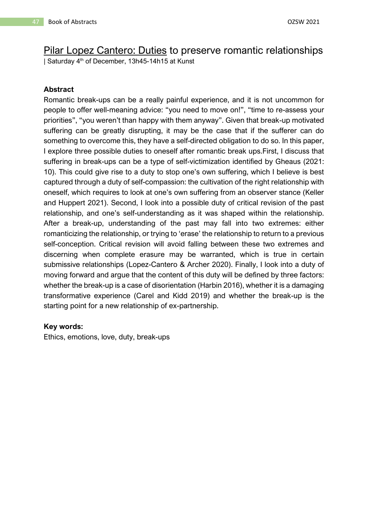# Pilar Lopez Cantero: Duties to preserve romantic relationships

| Saturday 4<sup>th</sup> of December, 13h45-14h15 at Kunst

#### **Abstract**

Romantic break-ups can be a really painful experience, and it is not uncommon for people to offer well-meaning advice: "you need to move on!", "time to re-assess your priorities", "you weren't than happy with them anyway". Given that break-up motivated suffering can be greatly disrupting, it may be the case that if the sufferer can do something to overcome this, they have a self-directed obligation to do so. In this paper, I explore three possible duties to oneself after romantic break ups.First, I discuss that suffering in break-ups can be a type of self-victimization identified by Gheaus (2021: 10). This could give rise to a duty to stop one's own suffering, which I believe is best captured through a duty of self-compassion: the cultivation of the right relationship with oneself, which requires to look at one's own suffering from an observer stance (Keller and Huppert 2021). Second, I look into a possible duty of critical revision of the past relationship, and one's self-understanding as it was shaped within the relationship. After a break-up, understanding of the past may fall into two extremes: either romanticizing the relationship, or trying to 'erase' the relationship to return to a previous self-conception. Critical revision will avoid falling between these two extremes and discerning when complete erasure may be warranted, which is true in certain submissive relationships (Lopez-Cantero & Archer 2020). Finally, I look into a duty of moving forward and argue that the content of this duty will be defined by three factors: whether the break-up is a case of disorientation (Harbin 2016), whether it is a damaging transformative experience (Carel and Kidd 2019) and whether the break-up is the starting point for a new relationship of ex-partnership.

#### **Key words:**

Ethics, emotions, love, duty, break-ups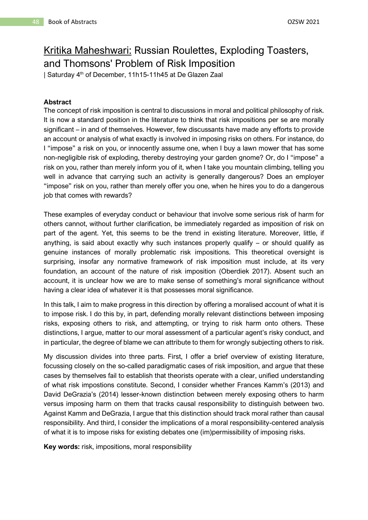### Kritika Maheshwari: Russian Roulettes, Exploding Toasters, and Thomsons' Problem of Risk Imposition

| Saturday 4<sup>th</sup> of December, 11h15-11h45 at De Glazen Zaal

#### **Abstract**

The concept of risk imposition is central to discussions in moral and political philosophy of risk. It is now a standard position in the literature to think that risk impositions per se are morally significant – in and of themselves. However, few discussants have made any efforts to provide an account or analysis of what exactly is involved in imposing risks on others. For instance, do I "impose" a risk on you, or innocently assume one, when I buy a lawn mower that has some non-negligible risk of exploding, thereby destroying your garden gnome? Or, do I "impose" a risk on you, rather than merely inform you of it, when I take you mountain climbing, telling you well in advance that carrying such an activity is generally dangerous? Does an employer "impose" risk on you, rather than merely offer you one, when he hires you to do a dangerous job that comes with rewards?

These examples of everyday conduct or behaviour that involve some serious risk of harm for others cannot, without further clarification, be immediately regarded as imposition of risk on part of the agent. Yet, this seems to be the trend in existing literature. Moreover, little, if anything, is said about exactly why such instances properly qualify – or should qualify as genuine instances of morally problematic risk impositions. This theoretical oversight is surprising, insofar any normative framework of risk imposition must include, at its very foundation, an account of the nature of risk imposition (Oberdiek 2017). Absent such an account, it is unclear how we are to make sense of something's moral significance without having a clear idea of whatever it is that possesses moral significance.

In this talk, I aim to make progress in this direction by offering a moralised account of what it is to impose risk. I do this by, in part, defending morally relevant distinctions between imposing risks, exposing others to risk, and attempting, or trying to risk harm onto others. These distinctions, I argue, matter to our moral assessment of a particular agent's risky conduct, and in particular, the degree of blame we can attribute to them for wrongly subjecting others to risk.

My discussion divides into three parts. First, I offer a brief overview of existing literature, focussing closely on the so-called paradigmatic cases of risk imposition, and argue that these cases by themselves fail to establish that theorists operate with a clear, unified understanding of what risk impostions constitute. Second, I consider whether Frances Kamm's (2013) and David DeGrazia's (2014) lesser-known distinction between merely exposing others to harm versus imposing harm on them that tracks causal responsibility to distinguish between two. Against Kamm and DeGrazia, I argue that this distinction should track moral rather than causal responsibility. And third, I consider the implications of a moral responsibility-centered analysis of what it is to impose risks for existing debates one (im)permissibility of imposing risks.

**Key words:** risk, impositions, moral responsibility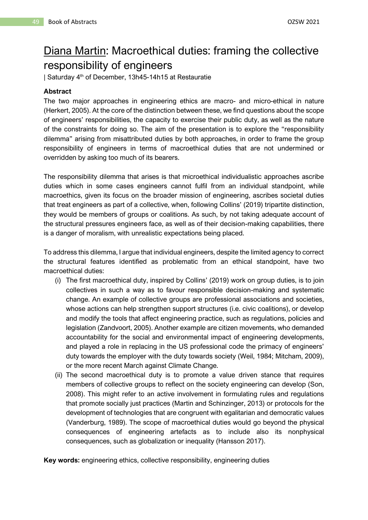## Diana Martin: Macroethical duties: framing the collective responsibility of engineers

| Saturday 4th of December, 13h45-14h15 at Restauratie

#### **Abstract**

The two major approaches in engineering ethics are macro- and micro-ethical in nature (Herkert, 2005). At the core of the distinction between these, we find questions about the scope of engineers' responsibilities, the capacity to exercise their public duty, as well as the nature of the constraints for doing so. The aim of the presentation is to explore the "responsibility dilemma" arising from misattributed duties by both approaches, in order to frame the group responsibility of engineers in terms of macroethical duties that are not undermined or overridden by asking too much of its bearers.

The responsibility dilemma that arises is that microethical individualistic approaches ascribe duties which in some cases engineers cannot fulfil from an individual standpoint, while macroethics, given its focus on the broader mission of engineering, ascribes societal duties that treat engineers as part of a collective, when, following Collins' (2019) tripartite distinction, they would be members of groups or coalitions. As such, by not taking adequate account of the structural pressures engineers face, as well as of their decision-making capabilities, there is a danger of moralism, with unrealistic expectations being placed.

To address this dilemma, I argue that individual engineers, despite the limited agency to correct the structural features identified as problematic from an ethical standpoint, have two macroethical duties:

- (i) The first macroethical duty, inspired by Collins' (2019) work on group duties, is to join collectives in such a way as to favour responsible decision-making and systematic change. An example of collective groups are professional associations and societies, whose actions can help strengthen support structures (i.e. civic coalitions), or develop and modify the tools that affect engineering practice, such as regulations, policies and legislation (Zandvoort, 2005). Another example are citizen movements, who demanded accountability for the social and environmental impact of engineering developments, and played a role in replacing in the US professional code the primacy of engineers' duty towards the employer with the duty towards society (Weil, 1984; Mitcham, 2009), or the more recent March against Climate Change.
- (ii) The second macroethical duty is to promote a value driven stance that requires members of collective groups to reflect on the society engineering can develop (Son, 2008). This might refer to an active involvement in formulating rules and regulations that promote socially just practices (Martin and Schinzinger, 2013) or protocols for the development of technologies that are congruent with egalitarian and democratic values (Vanderburg, 1989). The scope of macroethical duties would go beyond the physical consequences of engineering artefacts as to include also its nonphysical consequences, such as globalization or inequality (Hansson 2017).

**Key words:** engineering ethics, collective responsibility, engineering duties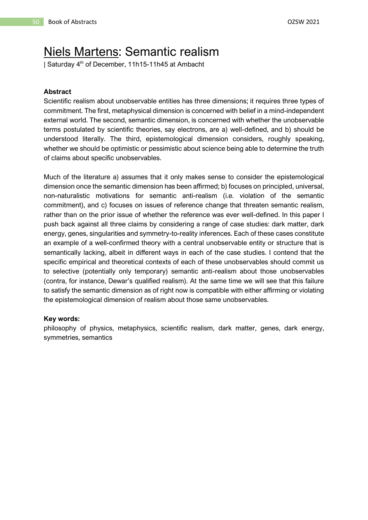### Niels Martens: Semantic realism

| Saturday 4th of December, 11h15-11h45 at Ambacht

#### **Abstract**

Scientific realism about unobservable entities has three dimensions; it requires three types of commitment. The first, metaphysical dimension is concerned with belief in a mind-independent external world. The second, semantic dimension, is concerned with whether the unobservable terms postulated by scientific theories, say electrons, are a) well-defined, and b) should be understood literally. The third, epistemological dimension considers, roughly speaking, whether we should be optimistic or pessimistic about science being able to determine the truth of claims about specific unobservables.

Much of the literature a) assumes that it only makes sense to consider the epistemological dimension once the semantic dimension has been affirmed; b) focuses on principled, universal, non-naturalistic motivations for semantic anti-realism (i.e. violation of the semantic commitment), and c) focuses on issues of reference change that threaten semantic realism, rather than on the prior issue of whether the reference was ever well-defined. In this paper I push back against all three claims by considering a range of case studies: dark matter, dark energy, genes, singularities and symmetry-to-reality inferences. Each of these cases constitute an example of a well-confirmed theory with a central unobservable entity or structure that is semantically lacking, albeit in different ways in each of the case studies. I contend that the specific empirical and theoretical contexts of each of these unobservables should commit us to selective (potentially only temporary) semantic anti-realism about those unobservables (contra, for instance, Dewar's qualified realism). At the same time we will see that this failure to satisfy the semantic dimension as of right now is compatible with either affirming or violating the epistemological dimension of realism about those same unobservables.

#### **Key words:**

philosophy of physics, metaphysics, scientific realism, dark matter, genes, dark energy, symmetries, semantics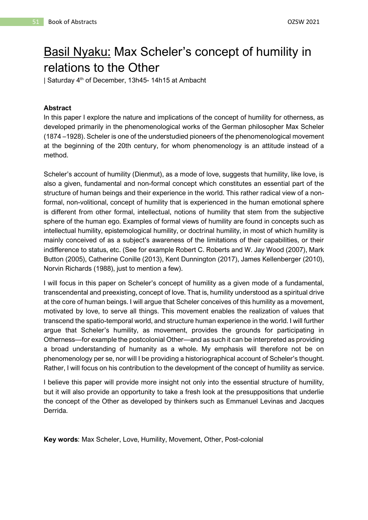## Basil Nyaku: Max Scheler's concept of humility in relations to the Other

| Saturday 4th of December, 13h45- 14h15 at Ambacht

#### **Abstract**

In this paper I explore the nature and implications of the concept of humility for otherness, as developed primarily in the phenomenological works of the German philosopher Max Scheler (1874 –1928). Scheler is one of the understudied pioneers of the phenomenological movement at the beginning of the 20th century, for whom phenomenology is an attitude instead of a method.

Scheler's account of humility (Dienmut), as a mode of love, suggests that humility, like love, is also a given, fundamental and non-formal concept which constitutes an essential part of the structure of human beings and their experience in the world. This rather radical view of a nonformal, non-volitional, concept of humility that is experienced in the human emotional sphere is different from other formal, intellectual, notions of humility that stem from the subjective sphere of the human ego. Examples of formal views of humility are found in concepts such as intellectual humility, epistemological humility, or doctrinal humility, in most of which humility is mainly conceived of as a subject's awareness of the limitations of their capabilities, or their indifference to status, etc. (See for example Robert C. Roberts and W. Jay Wood (2007), Mark Button (2005), Catherine Conille (2013), Kent Dunnington (2017), James Kellenberger (2010), Norvin Richards (1988), just to mention a few).

I will focus in this paper on Scheler's concept of humility as a given mode of a fundamental, transcendental and preexisting, concept of love. That is, humility understood as a spiritual drive at the core of human beings. I will argue that Scheler conceives of this humility as a movement, motivated by love, to serve all things. This movement enables the realization of values that transcend the spatio-temporal world, and structure human experience in the world. I will further argue that Scheler's humility, as movement, provides the grounds for participating in Otherness—for example the postcolonial Other—and as such it can be interpreted as providing a broad understanding of humanity as a whole. My emphasis will therefore not be on phenomenology per se, nor will I be providing a historiographical account of Scheler's thought. Rather, I will focus on his contribution to the development of the concept of humility as service.

I believe this paper will provide more insight not only into the essential structure of humility, but it will also provide an opportunity to take a fresh look at the presuppositions that underlie the concept of the Other as developed by thinkers such as Emmanuel Levinas and Jacques Derrida.

**Key words**: Max Scheler, Love, Humility, Movement, Other, Post-colonial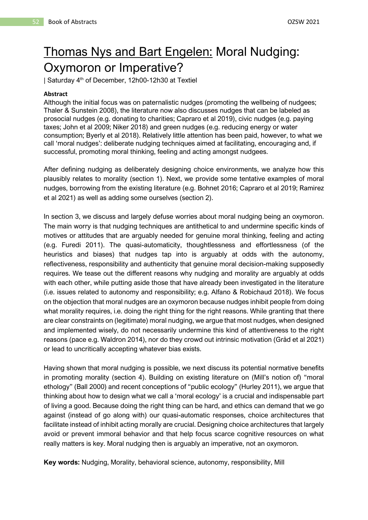## Thomas Nys and Bart Engelen: Moral Nudging: Oxymoron or Imperative?

| Saturday 4<sup>th</sup> of December, 12h00-12h30 at Textiel

#### **Abstract**

Although the initial focus was on paternalistic nudges (promoting the wellbeing of nudgees; Thaler & Sunstein 2008), the literature now also discusses nudges that can be labeled as prosocial nudges (e.g. donating to charities; Capraro et al 2019), civic nudges (e.g. paying taxes; John et al 2009; Niker 2018) and green nudges (e.g. reducing energy or water consumption; Byerly et al 2018). Relatively little attention has been paid, however, to what we call 'moral nudges': deliberate nudging techniques aimed at facilitating, encouraging and, if successful, promoting moral thinking, feeling and acting amongst nudgees.

After defining nudging as deliberately designing choice environments, we analyze how this plausibly relates to morality (section 1). Next, we provide some tentative examples of moral nudges, borrowing from the existing literature (e.g. Bohnet 2016; Capraro et al 2019; Ramirez et al 2021) as well as adding some ourselves (section 2).

In section 3, we discuss and largely defuse worries about moral nudging being an oxymoron. The main worry is that nudging techniques are antithetical to and undermine specific kinds of motives or attitudes that are arguably needed for genuine moral thinking, feeling and acting (e.g. Furedi 2011). The quasi-automaticity, thoughtlessness and effortlessness (of the heuristics and biases) that nudges tap into is arguably at odds with the autonomy, reflectiveness, responsibility and authenticity that genuine moral decision-making supposedly requires. We tease out the different reasons why nudging and morality are arguably at odds with each other, while putting aside those that have already been investigated in the literature (i.e. issues related to autonomy and responsibility; e.g. Alfano & Robichaud 2018). We focus on the objection that moral nudges are an oxymoron because nudges inhibit people from doing what morality requires, i.e. doing the right thing for the right reasons. While granting that there are clear constraints on (legitimate) moral nudging, we argue that most nudges, when designed and implemented wisely, do not necessarily undermine this kind of attentiveness to the right reasons (pace e.g. Waldron 2014), nor do they crowd out intrinsic motivation (Gråd et al 2021) or lead to uncritically accepting whatever bias exists.

Having shown that moral nudging is possible, we next discuss its potential normative benefits in promoting morality (section 4). Building on existing literature on (Mill's notion of) "moral ethology" (Ball 2000) and recent conceptions of "public ecology" (Hurley 2011), we argue that thinking about how to design what we call a 'moral ecology' is a crucial and indispensable part of living a good. Because doing the right thing can be hard, and ethics can demand that we go against (instead of go along with) our quasi-automatic responses, choice architectures that facilitate instead of inhibit acting morally are crucial. Designing choice architectures that largely avoid or prevent immoral behavior and that help focus scarce cognitive resources on what really matters is key. Moral nudging then is arguably an imperative, not an oxymoron.

**Key words:** Nudging, Morality, behavioral science, autonomy, responsibility, Mill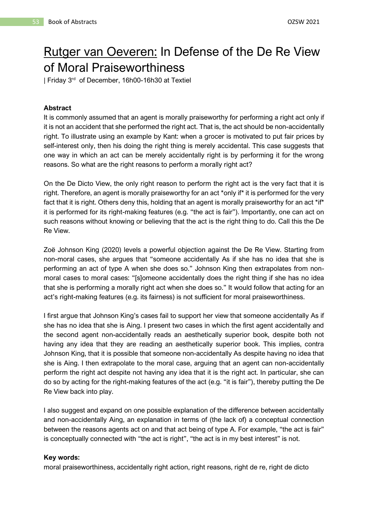## Rutger van Oeveren: In Defense of the De Re View of Moral Praiseworthiness

| Friday 3<sup>rd</sup> of December, 16h00-16h30 at Textiel

#### **Abstract**

It is commonly assumed that an agent is morally praiseworthy for performing a right act only if it is not an accident that she performed the right act. That is, the act should be non-accidentally right. To illustrate using an example by Kant: when a grocer is motivated to put fair prices by self-interest only, then his doing the right thing is merely accidental. This case suggests that one way in which an act can be merely accidentally right is by performing it for the wrong reasons. So what are the right reasons to perform a morally right act?

On the De Dicto View, the only right reason to perform the right act is the very fact that it is right. Therefore, an agent is morally praiseworthy for an act \*only if\* it is performed for the very fact that it is right. Others deny this, holding that an agent is morally praiseworthy for an act \*if\* it is performed for its right-making features (e.g. "the act is fair"). Importantly, one can act on such reasons without knowing or believing that the act is the right thing to do. Call this the De Re View.

Zoë Johnson King (2020) levels a powerful objection against the De Re View. Starting from non-moral cases, she argues that "someone accidentally As if she has no idea that she is performing an act of type A when she does so." Johnson King then extrapolates from nonmoral cases to moral cases: "[s]omeone accidentally does the right thing if she has no idea that she is performing a morally right act when she does so." It would follow that acting for an act's right-making features (e.g. its fairness) is not sufficient for moral praiseworthiness.

I first argue that Johnson King's cases fail to support her view that someone accidentally As if she has no idea that she is Aing. I present two cases in which the first agent accidentally and the second agent non-accidentally reads an aesthetically superior book, despite both not having any idea that they are reading an aesthetically superior book. This implies, contra Johnson King, that it is possible that someone non-accidentally As despite having no idea that she is Aing. I then extrapolate to the moral case, arguing that an agent can non-accidentally perform the right act despite not having any idea that it is the right act. In particular, she can do so by acting for the right-making features of the act (e.g. "it is fair"), thereby putting the De Re View back into play.

I also suggest and expand on one possible explanation of the difference between accidentally and non-accidentally Aing, an explanation in terms of (the lack of) a conceptual connection between the reasons agents act on and that act being of type A. For example, "the act is fair" is conceptually connected with "the act is right", "the act is in my best interest" is not.

#### **Key words:**

moral praiseworthiness, accidentally right action, right reasons, right de re, right de dicto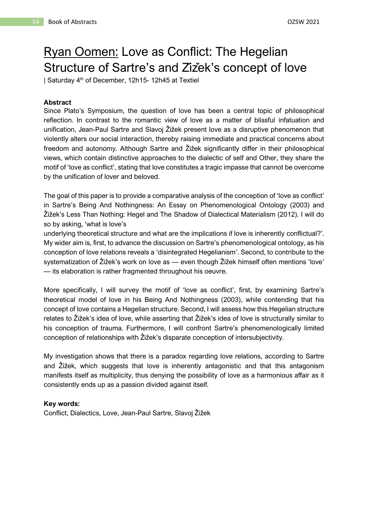# Ryan Oomen: Love as Conflict: The Hegelian Structure of Sartre's and Zizek's concept of love

| Saturday 4th of December, 12h15- 12h45 at Textiel

#### **Abstract**

Since Plato's Symposium, the question of love has been a central topic of philosophical reflection. In contrast to the romantic view of love as a matter of blissful infatuation and unification, Jean-Paul Sartre and Slavoj Žižek present love as a disruptive phenomenon that violently alters our social interaction, thereby raising immediate and practical concerns about freedom and autonomy. Although Sartre and Žižek significantly differ in their philosophical views, which contain distinctive approaches to the dialectic of self and Other, they share the motif of 'love as conflict', stating that love constitutes a tragic impasse that cannot be overcome by the unification of lover and beloved.

The goal of this paper is to provide a comparative analysis of the conception of 'love as conflict' in Sartre's Being And Nothingness: An Essay on Phenomenological Ontology (2003) and Žižek's Less Than Nothing: Hegel and The Shadow of Dialectical Materialism (2012). I will do so by asking, 'what is love's

underlying theoretical structure and what are the implications if love is inherently conflictual?'. My wider aim is, first, to advance the discussion on Sartre's phenomenological ontology, as his conception of love relations reveals a 'disintegrated Hegelianism'. Second, to contribute to the systematization of Žižek's work on love as — even though Žižek himself often mentions 'love' — its elaboration is rather fragmented throughout his oeuvre.

More specifically, I will survey the motif of 'love as conflict', first, by examining Sartre's theoretical model of love in his Being And Nothingness (2003), while contending that his concept of love contains a Hegelian structure. Second, I will assess how this Hegelian structure relates to Žižek's idea of love, while asserting that Žižek's idea of love is structurally similar to his conception of trauma. Furthermore, I will confront Sartre's phenomenologically limited conception of relationships with Žižek's disparate conception of intersubjectivity.

My investigation shows that there is a paradox regarding love relations, according to Sartre and Žižek, which suggests that love is inherently antagonistic and that this antagonism manifests itself as multiplicity, thus denying the possibility of love as a harmonious affair as it consistently ends up as a passion divided against itself.

#### **Key words:**

Conflict, Dialectics, Love, Jean-Paul Sartre, Slavoj Žižek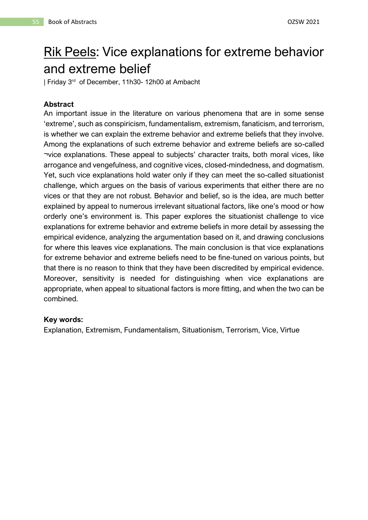# Rik Peels: Vice explanations for extreme behavior and extreme belief

| Friday 3 rd of December, 11h30- 12h00 at Ambacht

#### **Abstract**

An important issue in the literature on various phenomena that are in some sense 'extreme', such as conspiricism, fundamentalism, extremism, fanaticism, and terrorism, is whether we can explain the extreme behavior and extreme beliefs that they involve. Among the explanations of such extreme behavior and extreme beliefs are so-called ¬vice explanations. These appeal to subjects' character traits, both moral vices, like arrogance and vengefulness, and cognitive vices, closed-mindedness, and dogmatism. Yet, such vice explanations hold water only if they can meet the so-called situationist challenge, which argues on the basis of various experiments that either there are no vices or that they are not robust. Behavior and belief, so is the idea, are much better explained by appeal to numerous irrelevant situational factors, like one's mood or how orderly one's environment is. This paper explores the situationist challenge to vice explanations for extreme behavior and extreme beliefs in more detail by assessing the empirical evidence, analyzing the argumentation based on it, and drawing conclusions for where this leaves vice explanations. The main conclusion is that vice explanations for extreme behavior and extreme beliefs need to be fine-tuned on various points, but that there is no reason to think that they have been discredited by empirical evidence. Moreover, sensitivity is needed for distinguishing when vice explanations are appropriate, when appeal to situational factors is more fitting, and when the two can be combined.

#### **Key words:**

Explanation, Extremism, Fundamentalism, Situationism, Terrorism, Vice, Virtue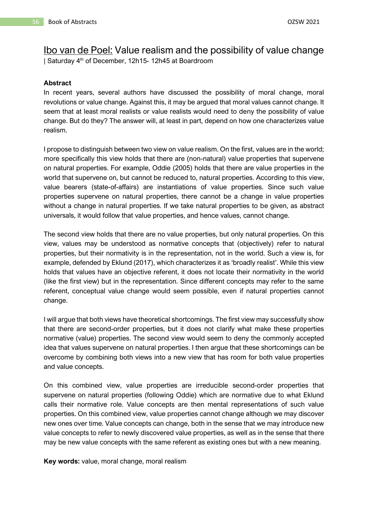### Ibo van de Poel: Value realism and the possibility of value change

| Saturday 4th of December, 12h15- 12h45 at Boardroom

#### **Abstract**

In recent years, several authors have discussed the possibility of moral change, moral revolutions or value change. Against this, it may be argued that moral values cannot change. It seem that at least moral realists or value realists would need to deny the possibility of value change. But do they? The answer will, at least in part, depend on how one characterizes value realism.

I propose to distinguish between two view on value realism. On the first, values are in the world; more specifically this view holds that there are (non-natural) value properties that supervene on natural properties. For example, Oddie (2005) holds that there are value properties in the world that supervene on, but cannot be reduced to, natural properties. According to this view, value bearers (state-of-affairs) are instantiations of value properties. Since such value properties supervene on natural properties, there cannot be a change in value properties without a change in natural properties. If we take natural properties to be given, as abstract universals, it would follow that value properties, and hence values, cannot change.

The second view holds that there are no value properties, but only natural properties. On this view, values may be understood as normative concepts that (objectively) refer to natural properties, but their normativity is in the representation, not in the world. Such a view is, for example, defended by Eklund (2017), which characterizes it as 'broadly realist'. While this view holds that values have an objective referent, it does not locate their normativity in the world (like the first view) but in the representation. Since different concepts may refer to the same referent, conceptual value change would seem possible, even if natural properties cannot change.

I will argue that both views have theoretical shortcomings. The first view may successfully show that there are second-order properties, but it does not clarify what make these properties normative (value) properties. The second view would seem to deny the commonly accepted idea that values supervene on natural properties. I then argue that these shortcomings can be overcome by combining both views into a new view that has room for both value properties and value concepts.

On this combined view, value properties are irreducible second-order properties that supervene on natural properties (following Oddie) which are normative due to what Eklund calls their normative role. Value concepts are then mental representations of such value properties. On this combined view, value properties cannot change although we may discover new ones over time. Value concepts can change, both in the sense that we may introduce new value concepts to refer to newly discovered value properties, as well as in the sense that there may be new value concepts with the same referent as existing ones but with a new meaning.

**Key words:** value, moral change, moral realism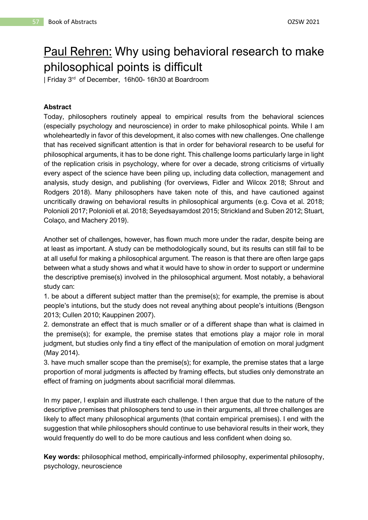## Paul Rehren: Why using behavioral research to make philosophical points is difficult

| Friday 3 rd of December, 16h00- 16h30 at Boardroom

#### **Abstract**

Today, philosophers routinely appeal to empirical results from the behavioral sciences (especially psychology and neuroscience) in order to make philosophical points. While I am wholeheartedly in favor of this development, it also comes with new challenges. One challenge that has received significant attention is that in order for behavioral research to be useful for philosophical arguments, it has to be done right. This challenge looms particularly large in light of the replication crisis in psychology, where for over a decade, strong criticisms of virtually every aspect of the science have been piling up, including data collection, management and analysis, study design, and publishing (for overviews, Fidler and Wilcox 2018; Shrout and Rodgers 2018). Many philosophers have taken note of this, and have cautioned against uncritically drawing on behavioral results in philosophical arguments (e.g. Cova et al. 2018; Polonioli 2017; Polonioli et al. 2018; Seyedsayamdost 2015; Strickland and Suben 2012; Stuart, Colaço, and Machery 2019).

Another set of challenges, however, has flown much more under the radar, despite being are at least as important. A study can be methodologically sound, but its results can still fail to be at all useful for making a philosophical argument. The reason is that there are often large gaps between what a study shows and what it would have to show in order to support or undermine the descriptive premise(s) involved in the philosophical argument. Most notably, a behavioral study can:

1. be about a different subject matter than the premise(s); for example, the premise is about people's intutions, but the study does not reveal anything about people's intuitions (Bengson 2013; Cullen 2010; Kauppinen 2007).

2. demonstrate an effect that is much smaller or of a different shape than what is claimed in the premise(s); for example, the premise states that emotions play a major role in moral judgment, but studies only find a tiny effect of the manipulation of emotion on moral judgment (May 2014).

3. have much smaller scope than the premise(s); for example, the premise states that a large proportion of moral judgments is affected by framing effects, but studies only demonstrate an effect of framing on judgments about sacrificial moral dilemmas.

In my paper, I explain and illustrate each challenge. I then argue that due to the nature of the descriptive premises that philosophers tend to use in their arguments, all three challenges are likely to affect many philosophical arguments (that contain empirical premises). I end with the suggestion that while philosophers should continue to use behavioral results in their work, they would frequently do well to do be more cautious and less confident when doing so.

**Key words:** philosophical method, empirically-informed philosophy, experimental philosophy, psychology, neuroscience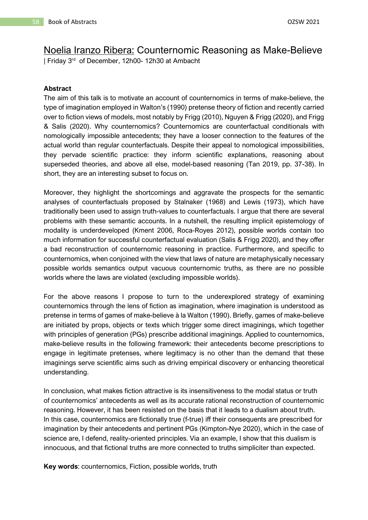# Noelia Iranzo Ribera: Counternomic Reasoning as Make-Believe

| Friday 3 rd of December, 12h00- 12h30 at Ambacht

#### **Abstract**

The aim of this talk is to motivate an account of counternomics in terms of make-believe, the type of imagination employed in Walton's (1990) pretense theory of fiction and recently carried over to fiction views of models, most notably by Frigg (2010), Nguyen & Frigg (2020), and Frigg & Salis (2020). Why counternomics? Counternomics are counterfactual conditionals with nomologically impossible antecedents; they have a looser connection to the features of the actual world than regular counterfactuals. Despite their appeal to nomological impossibilities, they pervade scientific practice: they inform scientific explanations, reasoning about superseded theories, and above all else, model-based reasoning (Tan 2019, pp. 37-38). In short, they are an interesting subset to focus on.

Moreover, they highlight the shortcomings and aggravate the prospects for the semantic analyses of counterfactuals proposed by Stalnaker (1968) and Lewis (1973), which have traditionally been used to assign truth-values to counterfactuals. I argue that there are several problems with these semantic accounts. In a nutshell, the resulting implicit epistemology of modality is underdeveloped (Kment 2006, Roca-Royes 2012), possible worlds contain too much information for successful counterfactual evaluation (Salis & Frigg 2020), and they offer a bad reconstruction of counternomic reasoning in practice. Furthermore, and specific to counternomics, when conjoined with the view that laws of nature are metaphysically necessary possible worlds semantics output vacuous counternomic truths, as there are no possible worlds where the laws are violated (excluding impossible worlds).

For the above reasons I propose to turn to the underexplored strategy of examining counternomics through the lens of fiction as imagination, where imagination is understood as pretense in terms of games of make-believe à la Walton (1990). Briefly, games of make-believe are initiated by props, objects or texts which trigger some direct imaginings, which together with principles of generation (PGs) prescribe additional imaginings. Applied to counternomics, make-believe results in the following framework: their antecedents become prescriptions to engage in legitimate pretenses, where legitimacy is no other than the demand that these imaginings serve scientific aims such as driving empirical discovery or enhancing theoretical understanding.

In conclusion, what makes fiction attractive is its insensitiveness to the modal status or truth of counternomics' antecedents as well as its accurate rational reconstruction of counternomic reasoning. However, it has been resisted on the basis that it leads to a dualism about truth. In this case, counternomics are fictionally true (f-true) iff their consequents are prescribed for imagination by their antecedents and pertinent PGs (Kimpton-Nye 2020), which in the case of science are, I defend, reality-oriented principles. Via an example, I show that this dualism is innocuous, and that fictional truths are more connected to truths simpliciter than expected.

**Key words**: counternomics, Fiction, possible worlds, truth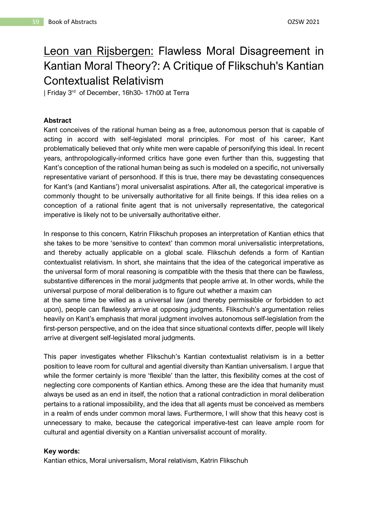## Leon van Rijsbergen: Flawless Moral Disagreement in Kantian Moral Theory?: A Critique of Flikschuh's Kantian Contextualist Relativism

| Friday 3<sup>rd</sup> of December, 16h30- 17h00 at Terra

#### **Abstract**

Kant conceives of the rational human being as a free, autonomous person that is capable of acting in accord with self-legislated moral principles. For most of his career, Kant problematically believed that only white men were capable of personifying this ideal. In recent years, anthropologically-informed critics have gone even further than this, suggesting that Kant's conception of the rational human being as such is modeled on a specific, not universally representative variant of personhood. If this is true, there may be devastating consequences for Kant's (and Kantians') moral universalist aspirations. After all, the categorical imperative is commonly thought to be universally authoritative for all finite beings. If this idea relies on a conception of a rational finite agent that is not universally representative, the categorical imperative is likely not to be universally authoritative either.

In response to this concern, Katrin Flikschuh proposes an interpretation of Kantian ethics that she takes to be more 'sensitive to context' than common moral universalistic interpretations, and thereby actually applicable on a global scale. Flikschuh defends a form of Kantian contextualist relativism. In short, she maintains that the idea of the categorical imperative as the universal form of moral reasoning is compatible with the thesis that there can be flawless, substantive differences in the moral judgments that people arrive at. In other words, while the universal purpose of moral deliberation is to figure out whether a maxim can at the same time be willed as a universal law (and thereby permissible or forbidden to act

upon), people can flawlessly arrive at opposing judgments. Flikschuh's argumentation relies heavily on Kant's emphasis that moral judgment involves autonomous self-legislation from the first-person perspective, and on the idea that since situational contexts differ, people will likely arrive at divergent self-legislated moral judgments.

This paper investigates whether Flikschuh's Kantian contextualist relativism is in a better position to leave room for cultural and agential diversity than Kantian universalism. I argue that while the former certainly is more 'flexible' than the latter, this flexibility comes at the cost of neglecting core components of Kantian ethics. Among these are the idea that humanity must always be used as an end in itself, the notion that a rational contradiction in moral deliberation pertains to a rational impossibility, and the idea that all agents must be conceived as members in a realm of ends under common moral laws. Furthermore, I will show that this heavy cost is unnecessary to make, because the categorical imperative-test can leave ample room for cultural and agential diversity on a Kantian universalist account of morality.

#### **Key words:**

Kantian ethics, Moral universalism, Moral relativism, Katrin Flikschuh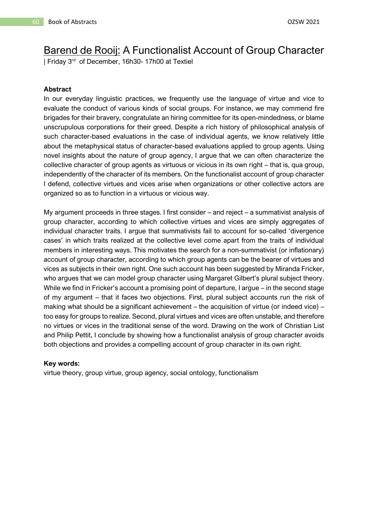### Barend de Rooij: A Functionalist Account of Group Character

| Friday 3<sup>rd</sup> of December, 16h30- 17h00 at Textiel

#### **Abstract**

In our everyday linguistic practices, we frequently use the language of virtue and vice to evaluate the conduct of various kinds of social groups. For instance, we may commend fire brigades for their bravery, congratulate an hiring committee for its open-mindedness, or blame unscrupulous corporations for their greed. Despite a rich history of philosophical analysis of such character-based evaluations in the case of individual agents, we know relatively little about the metaphysical status of character-based evaluations applied to group agents. Using novel insights about the nature of group agency, I argue that we can often characterize the collective character of group agents as virtuous or vicious in its own right – that is, qua group, independently of the character of its members. On the functionalist account of group character I defend, collective virtues and vices arise when organizations or other collective actors are organized so as to function in a virtuous or vicious way.

My argument proceeds in three stages. I first consider – and reject – a summativist analysis of group character, according to which collective virtues and vices are simply aggregates of individual character traits. I argue that summativists fail to account for so-called 'divergence cases' in which traits realized at the collective level come apart from the traits of individual members in interesting ways. This motivates the search for a non-summativist (or inflationary) account of group character, according to which group agents can be the bearer of virtues and vices as subjects in their own right. One such account has been suggested by Miranda Fricker, who argues that we can model group character using Margaret Gilbert's plural subject theory. While we find in Fricker's account a promising point of departure, I argue – in the second stage of my argument – that it faces two objections. First, plural subject accounts run the risk of making what should be a significant achievement – the acquisition of virtue (or indeed vice) – too easy for groups to realize. Second, plural virtues and vices are often unstable, and therefore no virtues or vices in the traditional sense of the word. Drawing on the work of Christian List and Philip Pettit, I conclude by showing how a functionalist analysis of group character avoids both objections and provides a compelling account of group character in its own right.

#### **Key words:**

virtue theory, group virtue, group agency, social ontology, functionalism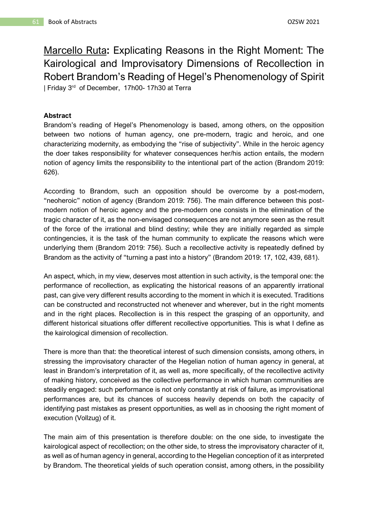Marcello Ruta**:** Explicating Reasons in the Right Moment: The Kairological and Improvisatory Dimensions of Recollection in Robert Brandom's Reading of Hegel's Phenomenology of Spirit | Friday 3<sup>rd</sup> of December, 17h00-17h30 at Terra

#### **Abstract**

Brandom's reading of Hegel's Phenomenology is based, among others, on the opposition between two notions of human agency, one pre-modern, tragic and heroic, and one characterizing modernity, as embodying the "rise of subjectivity". While in the heroic agency the doer takes responsibility for whatever consequences her/his action entails, the modern notion of agency limits the responsibility to the intentional part of the action (Brandom 2019: 626).

According to Brandom, such an opposition should be overcome by a post-modern, "neoheroic" notion of agency (Brandom 2019: 756). The main difference between this postmodern notion of heroic agency and the pre-modern one consists in the elimination of the tragic character of it, as the non-envisaged consequences are not anymore seen as the result of the force of the irrational and blind destiny; while they are initially regarded as simple contingencies, it is the task of the human community to explicate the reasons which were underlying them (Brandom 2019: 756). Such a recollective activity is repeatedly defined by Brandom as the activity of "turning a past into a history" (Brandom 2019: 17, 102, 439, 681).

An aspect, which, in my view, deserves most attention in such activity, is the temporal one: the performance of recollection, as explicating the historical reasons of an apparently irrational past, can give very different results according to the moment in which it is executed. Traditions can be constructed and reconstructed not whenever and wherever, but in the right moments and in the right places. Recollection is in this respect the grasping of an opportunity, and different historical situations offer different recollective opportunities. This is what I define as the kairological dimension of recollection.

There is more than that: the theoretical interest of such dimension consists, among others, in stressing the improvisatory character of the Hegelian notion of human agency in general, at least in Brandom's interpretation of it, as well as, more specifically, of the recollective activity of making history, conceived as the collective performance in which human communities are steadily engaged: such performance is not only constantly at risk of failure, as improvisational performances are, but its chances of success heavily depends on both the capacity of identifying past mistakes as present opportunities, as well as in choosing the right moment of execution (Vollzug) of it.

The main aim of this presentation is therefore double: on the one side, to investigate the kairological aspect of recollection; on the other side, to stress the improvisatory character of it, as well as of human agency in general, according to the Hegelian conception of it as interpreted by Brandom. The theoretical yields of such operation consist, among others, in the possibility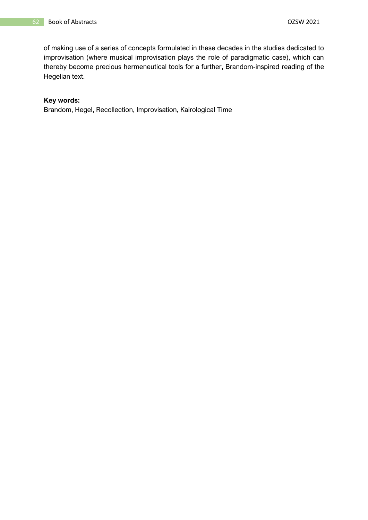of making use of a series of concepts formulated in these decades in the studies dedicated to improvisation (where musical improvisation plays the role of paradigmatic case), which can thereby become precious hermeneutical tools for a further, Brandom-inspired reading of the Hegelian text.

#### **Key words:**

Brandom, Hegel, Recollection, Improvisation, Kairological Time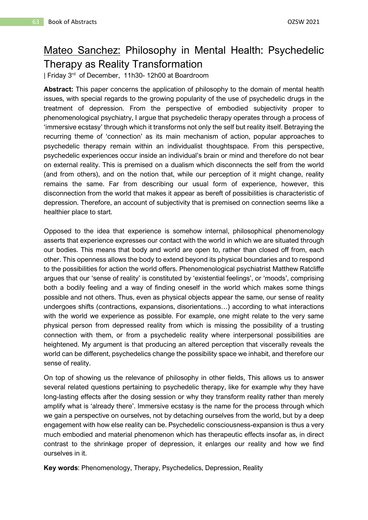### Mateo Sanchez: Philosophy in Mental Health: Psychedelic Therapy as Reality Transformation

| Friday 3 rd of December, 11h30- 12h00 at Boardroom

**Abstract:** This paper concerns the application of philosophy to the domain of mental health issues, with special regards to the growing popularity of the use of psychedelic drugs in the treatment of depression. From the perspective of embodied subjectivity proper to phenomenological psychiatry, I argue that psychedelic therapy operates through a process of 'immersive ecstasy' through which it transforms not only the self but reality itself. Betraying the recurring theme of 'connection' as its main mechanism of action, popular approaches to psychedelic therapy remain within an individualist thoughtspace. From this perspective, psychedelic experiences occur inside an individual's brain or mind and therefore do not bear on external reality. This is premised on a dualism which disconnects the self from the world (and from others), and on the notion that, while our perception of it might change, reality remains the same. Far from describing our usual form of experience, however, this disconnection from the world that makes it appear as bereft of possibilities is characteristic of depression. Therefore, an account of subjectivity that is premised on connection seems like a healthier place to start.

Opposed to the idea that experience is somehow internal, philosophical phenomenology asserts that experience expresses our contact with the world in which we are situated through our bodies. This means that body and world are open to, rather than closed off from, each other. This openness allows the body to extend beyond its physical boundaries and to respond to the possibilities for action the world offers. Phenomenological psychiatrist Matthew Ratcliffe argues that our 'sense of reality' is constituted by 'existential feelings', or 'moods', comprising both a bodily feeling and a way of finding oneself in the world which makes some things possible and not others. Thus, even as physical objects appear the same, our sense of reality undergoes shifts (contractions, expansions, disorientations…) according to what interactions with the world we experience as possible. For example, one might relate to the very same physical person from depressed reality from which is missing the possibility of a trusting connection with them, or from a psychedelic reality where interpersonal possibilities are heightened. My argument is that producing an altered perception that viscerally reveals the world can be different, psychedelics change the possibility space we inhabit, and therefore our sense of reality.

On top of showing us the relevance of philosophy in other fields, This allows us to answer several related questions pertaining to psychedelic therapy, like for example why they have long-lasting effects after the dosing session or why they transform reality rather than merely amplify what is 'already there'. Immersive ecstasy is the name for the process through which we gain a perspective on ourselves, not by detaching ourselves from the world, but by a deep engagement with how else reality can be. Psychedelic consciousness-expansion is thus a very much embodied and material phenomenon which has therapeutic effects insofar as, in direct contrast to the shrinkage proper of depression, it enlarges our reality and how we find ourselves in it.

**Key words**: Phenomenology, Therapy, Psychedelics, Depression, Reality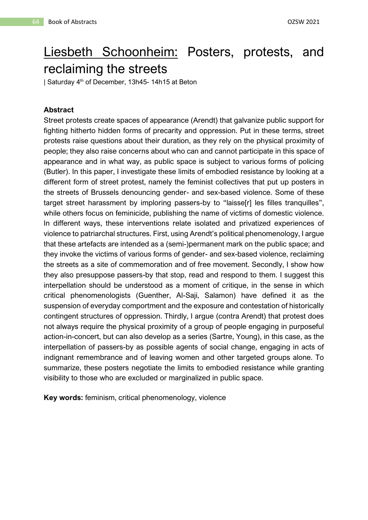# Liesbeth Schoonheim: Posters, protests, and reclaiming the streets

| Saturday 4<sup>th</sup> of December, 13h45- 14h15 at Beton

#### **Abstract**

Street protests create spaces of appearance (Arendt) that galvanize public support for fighting hitherto hidden forms of precarity and oppression. Put in these terms, street protests raise questions about their duration, as they rely on the physical proximity of people; they also raise concerns about who can and cannot participate in this space of appearance and in what way, as public space is subject to various forms of policing (Butler). In this paper, I investigate these limits of embodied resistance by looking at a different form of street protest, namely the feminist collectives that put up posters in the streets of Brussels denouncing gender- and sex-based violence. Some of these target street harassment by imploring passers-by to "laisse[r] les filles tranquilles", while others focus on feminicide, publishing the name of victims of domestic violence. In different ways, these interventions relate isolated and privatized experiences of violence to patriarchal structures. First, using Arendt's political phenomenology, I argue that these artefacts are intended as a (semi-)permanent mark on the public space; and they invoke the victims of various forms of gender- and sex-based violence, reclaiming the streets as a site of commemoration and of free movement. Secondly, I show how they also presuppose passers-by that stop, read and respond to them. I suggest this interpellation should be understood as a moment of critique, in the sense in which critical phenomenologists (Guenther, Al-Saji, Salamon) have defined it as the suspension of everyday comportment and the exposure and contestation of historically contingent structures of oppression. Thirdly, I argue (contra Arendt) that protest does not always require the physical proximity of a group of people engaging in purposeful action-in-concert, but can also develop as a series (Sartre, Young), in this case, as the interpellation of passers-by as possible agents of social change, engaging in acts of indignant remembrance and of leaving women and other targeted groups alone. To summarize, these posters negotiate the limits to embodied resistance while granting visibility to those who are excluded or marginalized in public space.

**Key words:** feminism, critical phenomenology, violence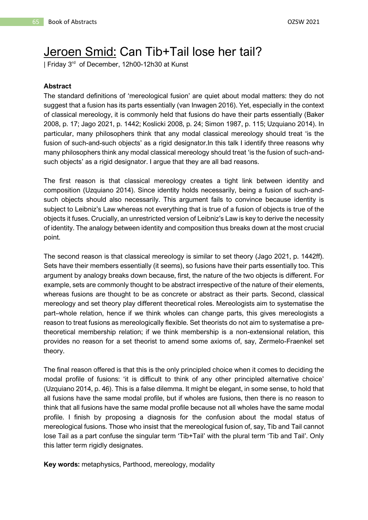### Jeroen Smid: Can Tib+Tail lose her tail?

| Friday 3<sup>rd</sup> of December, 12h00-12h30 at Kunst

#### **Abstract**

The standard definitions of 'mereological fusion' are quiet about modal matters: they do not suggest that a fusion has its parts essentially (van Inwagen 2016). Yet, especially in the context of classical mereology, it is commonly held that fusions do have their parts essentially (Baker 2008, p. 17; Jago 2021, p. 1442; Koslicki 2008, p. 24; Simon 1987, p. 115; Uzquiano 2014). In particular, many philosophers think that any modal classical mereology should treat 'is the fusion of such-and-such objects' as a rigid designator.In this talk I identify three reasons why many philosophers think any modal classical mereology should treat 'is the fusion of such-andsuch objects' as a rigid designator. I argue that they are all bad reasons.

The first reason is that classical mereology creates a tight link between identity and composition (Uzquiano 2014). Since identity holds necessarily, being a fusion of such-andsuch objects should also necessarily. This argument fails to convince because identity is subject to Leibniz's Law whereas not everything that is true of a fusion of objects is true of the objects it fuses. Crucially, an unrestricted version of Leibniz's Law is key to derive the necessity of identity. The analogy between identity and composition thus breaks down at the most crucial point.

The second reason is that classical mereology is similar to set theory (Jago 2021, p. 1442ff). Sets have their members essentially (it seems), so fusions have their parts essentially too. This argument by analogy breaks down because, first, the nature of the two objects is different. For example, sets are commonly thought to be abstract irrespective of the nature of their elements, whereas fusions are thought to be as concrete or abstract as their parts. Second, classical mereology and set theory play different theoretical roles. Mereologists aim to systematise the part–whole relation, hence if we think wholes can change parts, this gives mereologists a reason to treat fusions as mereologically flexible. Set theorists do not aim to systematise a pretheoretical membership relation; if we think membership is a non-extensional relation, this provides no reason for a set theorist to amend some axioms of, say, Zermelo-Fraenkel set theory.

The final reason offered is that this is the only principled choice when it comes to deciding the modal profile of fusions: 'it is difficult to think of any other principled alternative choice' (Uzquiano 2014, p. 46). This is a false dilemma. It might be elegant, in some sense, to hold that all fusions have the same modal profile, but if wholes are fusions, then there is no reason to think that all fusions have the same modal profile because not all wholes have the same modal profile. I finish by proposing a diagnosis for the confusion about the modal status of mereological fusions. Those who insist that the mereological fusion of, say, Tib and Tail cannot lose Tail as a part confuse the singular term 'Tib+Tail' with the plural term 'Tib and Tail'. Only this latter term rigidly designates.

**Key words:** metaphysics, Parthood, mereology, modality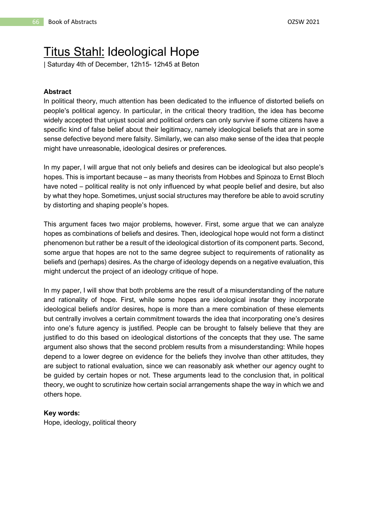## Titus Stahl: Ideological Hope

| Saturday 4th of December, 12h15- 12h45 at Beton

#### **Abstract**

In political theory, much attention has been dedicated to the influence of distorted beliefs on people's political agency. In particular, in the critical theory tradition, the idea has become widely accepted that unjust social and political orders can only survive if some citizens have a specific kind of false belief about their legitimacy, namely ideological beliefs that are in some sense defective beyond mere falsity. Similarly, we can also make sense of the idea that people might have unreasonable, ideological desires or preferences.

In my paper, I will argue that not only beliefs and desires can be ideological but also people's hopes. This is important because – as many theorists from Hobbes and Spinoza to Ernst Bloch have noted – political reality is not only influenced by what people belief and desire, but also by what they hope. Sometimes, unjust social structures may therefore be able to avoid scrutiny by distorting and shaping people's hopes.

This argument faces two major problems, however. First, some argue that we can analyze hopes as combinations of beliefs and desires. Then, ideological hope would not form a distinct phenomenon but rather be a result of the ideological distortion of its component parts. Second, some argue that hopes are not to the same degree subject to requirements of rationality as beliefs and (perhaps) desires. As the charge of ideology depends on a negative evaluation, this might undercut the project of an ideology critique of hope.

In my paper, I will show that both problems are the result of a misunderstanding of the nature and rationality of hope. First, while some hopes are ideological insofar they incorporate ideological beliefs and/or desires, hope is more than a mere combination of these elements but centrally involves a certain commitment towards the idea that incorporating one's desires into one's future agency is justified. People can be brought to falsely believe that they are justified to do this based on ideological distortions of the concepts that they use. The same argument also shows that the second problem results from a misunderstanding: While hopes depend to a lower degree on evidence for the beliefs they involve than other attitudes, they are subject to rational evaluation, since we can reasonably ask whether our agency ought to be guided by certain hopes or not. These arguments lead to the conclusion that, in political theory, we ought to scrutinize how certain social arrangements shape the way in which we and others hope.

#### **Key words:**

Hope, ideology, political theory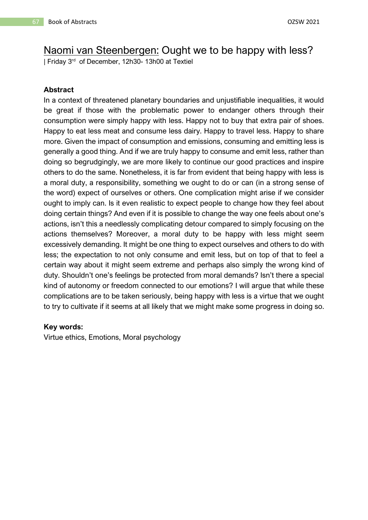### Naomi van Steenbergen: Ought we to be happy with less?

| Friday 3<sup>rd</sup> of December, 12h30- 13h00 at Textiel

#### **Abstract**

In a context of threatened planetary boundaries and unjustifiable inequalities, it would be great if those with the problematic power to endanger others through their consumption were simply happy with less. Happy not to buy that extra pair of shoes. Happy to eat less meat and consume less dairy. Happy to travel less. Happy to share more. Given the impact of consumption and emissions, consuming and emitting less is generally a good thing. And if we are truly happy to consume and emit less, rather than doing so begrudgingly, we are more likely to continue our good practices and inspire others to do the same. Nonetheless, it is far from evident that being happy with less is a moral duty, a responsibility, something we ought to do or can (in a strong sense of the word) expect of ourselves or others. One complication might arise if we consider ought to imply can. Is it even realistic to expect people to change how they feel about doing certain things? And even if it is possible to change the way one feels about one's actions, isn't this a needlessly complicating detour compared to simply focusing on the actions themselves? Moreover, a moral duty to be happy with less might seem excessively demanding. It might be one thing to expect ourselves and others to do with less; the expectation to not only consume and emit less, but on top of that to feel a certain way about it might seem extreme and perhaps also simply the wrong kind of duty. Shouldn't one's feelings be protected from moral demands? Isn't there a special kind of autonomy or freedom connected to our emotions? I will argue that while these complications are to be taken seriously, being happy with less is a virtue that we ought to try to cultivate if it seems at all likely that we might make some progress in doing so.

#### **Key words:**

Virtue ethics, Emotions, Moral psychology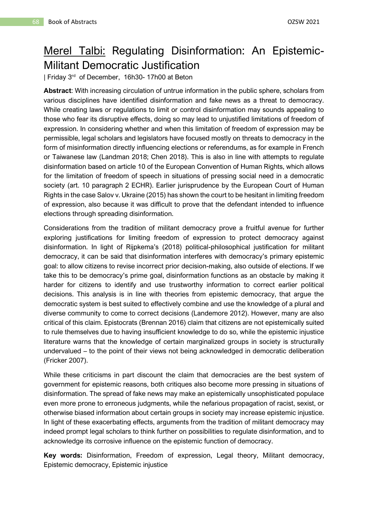## Merel Talbi: Regulating Disinformation: An Epistemic-Militant Democratic Justification

| Friday 3<sup>rd</sup> of December, 16h30-17h00 at Beton

**Abstract**: With increasing circulation of untrue information in the public sphere, scholars from various disciplines have identified disinformation and fake news as a threat to democracy. While creating laws or regulations to limit or control disinformation may sounds appealing to those who fear its disruptive effects, doing so may lead to unjustified limitations of freedom of expression. In considering whether and when this limitation of freedom of expression may be permissible, legal scholars and legislators have focused mostly on threats to democracy in the form of misinformation directly influencing elections or referendums, as for example in French or Taiwanese law (Landman 2018; Chen 2018). This is also in line with attempts to regulate disinformation based on article 10 of the European Convention of Human Rights, which allows for the limitation of freedom of speech in situations of pressing social need in a democratic society (art. 10 paragraph 2 ECHR). Earlier jurisprudence by the European Court of Human Rights in the case Salov v. Ukraine (2015) has shown the court to be hesitant in limiting freedom of expression, also because it was difficult to prove that the defendant intended to influence elections through spreading disinformation.

Considerations from the tradition of militant democracy prove a fruitful avenue for further exploring justifications for limiting freedom of expression to protect democracy against disinformation. In light of Rijpkema's (2018) political-philosophical justification for militant democracy, it can be said that disinformation interferes with democracy's primary epistemic goal: to allow citizens to revise incorrect prior decision-making, also outside of elections. If we take this to be democracy's prime goal, disinformation functions as an obstacle by making it harder for citizens to identify and use trustworthy information to correct earlier political decisions. This analysis is in line with theories from epistemic democracy, that argue the democratic system is best suited to effectively combine and use the knowledge of a plural and diverse community to come to correct decisions (Landemore 2012). However, many are also critical of this claim. Epistocrats (Brennan 2016) claim that citizens are not epistemically suited to rule themselves due to having insufficient knowledge to do so, while the epistemic injustice literature warns that the knowledge of certain marginalized groups in society is structurally undervalued – to the point of their views not being acknowledged in democratic deliberation (Fricker 2007).

While these criticisms in part discount the claim that democracies are the best system of government for epistemic reasons, both critiques also become more pressing in situations of disinformation. The spread of fake news may make an epistemically unsophisticated populace even more prone to erroneous judgments, while the nefarious propagation of racist, sexist, or otherwise biased information about certain groups in society may increase epistemic injustice. In light of these exacerbating effects, arguments from the tradition of militant democracy may indeed prompt legal scholars to think further on possibilities to regulate disinformation, and to acknowledge its corrosive influence on the epistemic function of democracy.

**Key words:** Disinformation, Freedom of expression, Legal theory, Militant democracy, Epistemic democracy, Epistemic injustice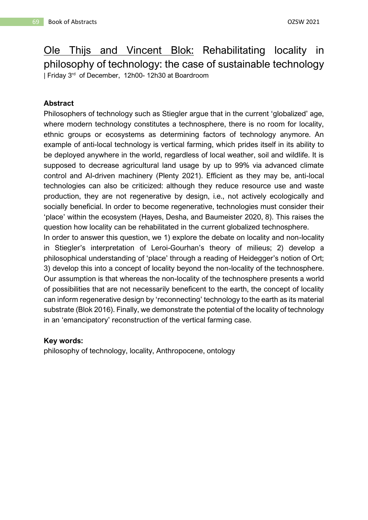Ole Thijs and Vincent Blok: Rehabilitating locality in philosophy of technology: the case of sustainable technology | Friday 3 rd of December, 12h00- 12h30 at Boardroom

#### **Abstract**

Philosophers of technology such as Stiegler argue that in the current 'globalized' age, where modern technology constitutes a technosphere, there is no room for locality, ethnic groups or ecosystems as determining factors of technology anymore. An example of anti-local technology is vertical farming, which prides itself in its ability to be deployed anywhere in the world, regardless of local weather, soil and wildlife. It is supposed to decrease agricultural land usage by up to 99% via advanced climate control and AI-driven machinery (Plenty 2021). Efficient as they may be, anti-local technologies can also be criticized: although they reduce resource use and waste production, they are not regenerative by design, i.e., not actively ecologically and socially beneficial. In order to become regenerative, technologies must consider their 'place' within the ecosystem (Hayes, Desha, and Baumeister 2020, 8). This raises the question how locality can be rehabilitated in the current globalized technosphere.

In order to answer this question, we 1) explore the debate on locality and non-locality in Stiegler's interpretation of Leroi-Gourhan's theory of milieus; 2) develop a philosophical understanding of 'place' through a reading of Heidegger's notion of Ort; 3) develop this into a concept of locality beyond the non-locality of the technosphere. Our assumption is that whereas the non-locality of the technosphere presents a world of possibilities that are not necessarily beneficent to the earth, the concept of locality can inform regenerative design by 'reconnecting' technology to the earth as its material substrate (Blok 2016). Finally, we demonstrate the potential of the locality of technology in an 'emancipatory' reconstruction of the vertical farming case.

#### **Key words:**

philosophy of technology, locality, Anthropocene, ontology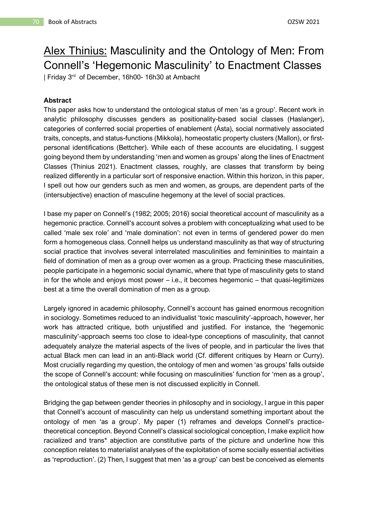# Alex Thinius: Masculinity and the Ontology of Men: From Connell's 'Hegemonic Masculinity' to Enactment Classes

| Friday 3 rd of December, 16h00- 16h30 at Ambacht

#### **Abstract**

This paper asks how to understand the ontological status of men 'as a group'. Recent work in analytic philosophy discusses genders as positionality-based social classes (Haslanger), categories of conferred social properties of enablement (Ásta), social normatively associated traits, concepts, and status-functions (Mikkola), homeostatic property clusters (Mallon), or firstpersonal identifications (Bettcher). While each of these accounts are elucidating, I suggest going beyond them by understanding 'men and women as groups' along the lines of Enactment Classes (Thinius 2021). Enactment classes, roughly, are classes that transform by being realized differently in a particular sort of responsive enaction. Within this horizon, in this paper, I spell out how our genders such as men and women, as groups, are dependent parts of the (intersubjective) enaction of masculine hegemony at the level of social practices.

I base my paper on Connell's (1982; 2005; 2016) social theoretical account of masculinity as a hegemonic practice. Connell's account solves a problem with conceptualizing what used to be called 'male sex role' and 'male domination': not even in terms of gendered power do men form a homogeneous class. Connell helps us understand masculinity as that way of structuring social practice that involves several interrelated masculinities and femininities to maintain a field of domination of men as a group over women as a group. Practicing these masculinities, people participate in a hegemonic social dynamic, where that type of masculinity gets to stand in for the whole and enjoys most power – i.e., it becomes hegemonic – that quasi-legitimizes best at a time the overall domination of men as a group.

Largely ignored in academic philosophy, Connell's account has gained enormous recognition in sociology. Sometimes reduced to an individualist 'toxic masculinity'-approach, however, her work has attracted critique, both unjustified and justified. For instance, the 'hegemonic masculinity'-approach seems too close to ideal-type conceptions of masculinity, that cannot adequately analyze the material aspects of the lives of people, and in particular the lives that actual Black men can lead in an anti-Black world (Cf. different critiques by Hearn or Curry). Most crucially regarding my question, the ontology of men and women 'as groups' falls outside the scope of Connell's account: while focusing on masculinities' function for 'men as a group', the ontological status of these men is not discussed explicitly in Connell.

Bridging the gap between gender theories in philosophy and in sociology, I argue in this paper that Connell's account of masculinity can help us understand something important about the ontology of men 'as a group'. My paper (1) reframes and develops Connell's practicetheoretical conception. Beyond Connell's classical sociological conception, I make explicit how racialized and trans\* abjection are constitutive parts of the picture and underline how this conception relates to materialist analyses of the exploitation of some socially essential activities as 'reproduction'. (2) Then, I suggest that men 'as a group' can best be conceived as elements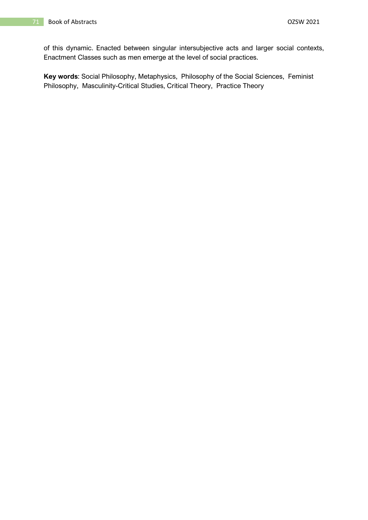of this dynamic. Enacted between singular intersubjective acts and larger social contexts, Enactment Classes such as men emerge at the level of social practices.

**Key words**: Social Philosophy, Metaphysics, Philosophy of the Social Sciences, Feminist Philosophy, Masculinity-Critical Studies, Critical Theory, Practice Theory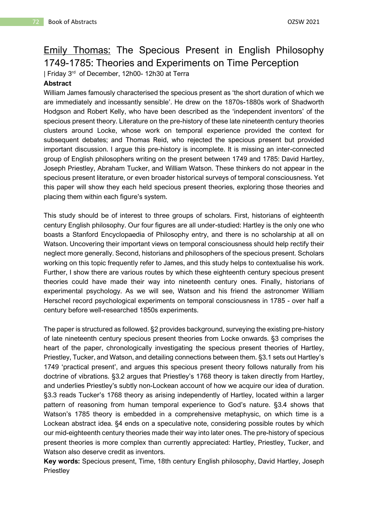# Emily Thomas: The Specious Present in English Philosophy 1749-1785: Theories and Experiments on Time Perception

| Friday 3<sup>rd</sup> of December, 12h00- 12h30 at Terra

#### **Abstract**

William James famously characterised the specious present as 'the short duration of which we are immediately and incessantly sensible'. He drew on the 1870s-1880s work of Shadworth Hodgson and Robert Kelly, who have been described as the 'independent inventors' of the specious present theory. Literature on the pre-history of these late nineteenth century theories clusters around Locke, whose work on temporal experience provided the context for subsequent debates; and Thomas Reid, who rejected the specious present but provided important discussion. I argue this pre-history is incomplete. It is missing an inter-connected group of English philosophers writing on the present between 1749 and 1785: David Hartley, Joseph Priestley, Abraham Tucker, and William Watson. These thinkers do not appear in the specious present literature, or even broader historical surveys of temporal consciousness. Yet this paper will show they each held specious present theories, exploring those theories and placing them within each figure's system.

This study should be of interest to three groups of scholars. First, historians of eighteenth century English philosophy. Our four figures are all under-studied: Hartley is the only one who boasts a Stanford Encyclopaedia of Philosophy entry, and there is no scholarship at all on Watson. Uncovering their important views on temporal consciousness should help rectify their neglect more generally. Second, historians and philosophers of the specious present. Scholars working on this topic frequently refer to James, and this study helps to contextualise his work. Further, I show there are various routes by which these eighteenth century specious present theories could have made their way into nineteenth century ones. Finally, historians of experimental psychology. As we will see, Watson and his friend the astronomer William Herschel record psychological experiments on temporal consciousness in 1785 - over half a century before well-researched 1850s experiments.

The paper is structured as followed. §2 provides background, surveying the existing pre-history of late nineteenth century specious present theories from Locke onwards. §3 comprises the heart of the paper, chronologically investigating the specious present theories of Hartley, Priestley, Tucker, and Watson, and detailing connections between them. §3.1 sets out Hartley's 1749 'practical present', and argues this specious present theory follows naturally from his doctrine of vibrations. §3.2 argues that Priestley's 1768 theory is taken directly from Hartley, and underlies Priestley's subtly non-Lockean account of how we acquire our idea of duration. §3.3 reads Tucker's 1768 theory as arising independently of Hartley, located within a larger pattern of reasoning from human temporal experience to God's nature. §3.4 shows that Watson's 1785 theory is embedded in a comprehensive metaphysic, on which time is a Lockean abstract idea. §4 ends on a speculative note, considering possible routes by which our mid-eighteenth century theories made their way into later ones. The pre-history of specious present theories is more complex than currently appreciated: Hartley, Priestley, Tucker, and Watson also deserve credit as inventors.

**Key words:** Specious present, Time, 18th century English philosophy, David Hartley, Joseph **Priestley**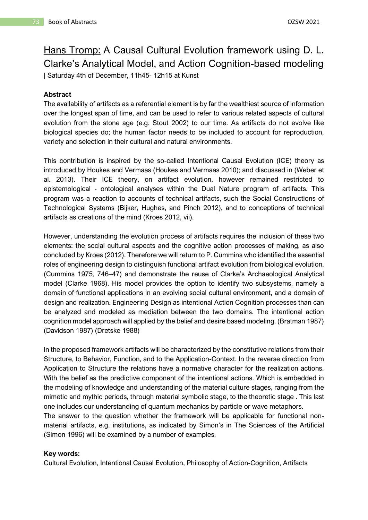# Hans Tromp: A Causal Cultural Evolution framework using D. L. Clarke's Analytical Model, and Action Cognition-based modeling | Saturday 4th of December, 11h45- 12h15 at Kunst

#### **Abstract**

The availability of artifacts as a referential element is by far the wealthiest source of information over the longest span of time, and can be used to refer to various related aspects of cultural evolution from the stone age (e.g. Stout 2002) to our time. As artifacts do not evolve like biological species do; the human factor needs to be included to account for reproduction, variety and selection in their cultural and natural environments.

This contribution is inspired by the so-called Intentional Causal Evolution (ICE) theory as introduced by Houkes and Vermaas (Houkes and Vermaas 2010); and discussed in (Weber et al. 2013). Their ICE theory, on artifact evolution, however remained restricted to epistemological - ontological analyses within the Dual Nature program of artifacts. This program was a reaction to accounts of technical artifacts, such the Social Constructions of Technological Systems (Bijker, Hughes, and Pinch 2012), and to conceptions of technical artifacts as creations of the mind (Kroes 2012, vii).

However, understanding the evolution process of artifacts requires the inclusion of these two elements: the social cultural aspects and the cognitive action processes of making, as also concluded by Kroes (2012). Therefore we will return to P. Cummins who identified the essential roles of engineering design to distinguish functional artifact evolution from biological evolution. (Cummins 1975, 746–47) and demonstrate the reuse of Clarke's Archaeological Analytical model (Clarke 1968). His model provides the option to identify two subsystems, namely a domain of functional applications in an evolving social cultural environment, and a domain of design and realization. Engineering Design as intentional Action Cognition processes than can be analyzed and modeled as mediation between the two domains. The intentional action cognition model approach will applied by the belief and desire based modeling. (Bratman 1987) (Davidson 1987) (Dretske 1988)

In the proposed framework artifacts will be characterized by the constitutive relations from their Structure, to Behavior, Function, and to the Application-Context. In the reverse direction from Application to Structure the relations have a normative character for the realization actions. With the belief as the predictive component of the intentional actions. Which is embedded in the modeling of knowledge and understanding of the material culture stages, ranging from the mimetic and mythic periods, through material symbolic stage, to the theoretic stage . This last one includes our understanding of quantum mechanics by particle or wave metaphors.

The answer to the question whether the framework will be applicable for functional nonmaterial artifacts, e.g. institutions, as indicated by Simon's in The Sciences of the Artificial (Simon 1996) will be examined by a number of examples.

#### **Key words:**

Cultural Evolution, Intentional Causal Evolution, Philosophy of Action-Cognition, Artifacts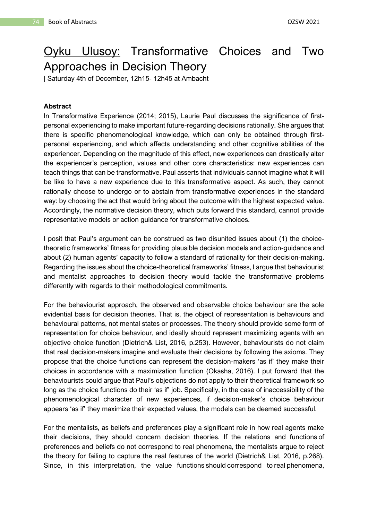# Oyku Ulusoy: Transformative Choices and Two Approaches in Decision Theory

| Saturday 4th of December, 12h15- 12h45 at Ambacht

#### **Abstract**

In Transformative Experience (2014; 2015), Laurie Paul discusses the significance of firstpersonal experiencing to make important future-regarding decisions rationally. She argues that there is specific phenomenological knowledge, which can only be obtained through firstpersonal experiencing, and which affects understanding and other cognitive abilities of the experiencer. Depending on the magnitude of this effect, new experiences can drastically alter the experiencer's perception, values and other core characteristics: new experiences can teach things that can be transformative. Paul asserts that individuals cannot imagine what it will be like to have a new experience due to this transformative aspect. As such, they cannot rationally choose to undergo or to abstain from transformative experiences in the standard way: by choosing the act that would bring about the outcome with the highest expected value. Accordingly, the normative decision theory, which puts forward this standard, cannot provide representative models or action guidance for transformative choices.

I posit that Paul's argument can be construed as two disunited issues about (1) the choicetheoretic frameworks' fitness for providing plausible decision models and action-guidance and about (2) human agents' capacity to follow a standard of rationality for their decision-making. Regarding the issues about the choice-theoretical frameworks' fitness, I argue that behaviourist and mentalist approaches to decision theory would tackle the transformative problems differently with regards to their methodological commitments.

For the behaviourist approach, the observed and observable choice behaviour are the sole evidential basis for decision theories. That is, the object of representation is behaviours and behavioural patterns, not mental states or processes. The theory should provide some form of representation for choice behaviour, and ideally should represent maximizing agents with an objective choice function (Dietrich& List, 2016, p.253). However, behaviourists do not claim that real decision-makers imagine and evaluate their decisions by following the axioms. They propose that the choice functions can represent the decision-makers 'as if' they make their choices in accordance with a maximization function (Okasha, 2016). I put forward that the behaviourists could argue that Paul's objections do not apply to their theoretical framework so long as the choice functions do their 'as if' job. Specifically, in the case of inaccessibility of the phenomenological character of new experiences, if decision-maker's choice behaviour appears 'as if' they maximize their expected values, the models can be deemed successful.

For the mentalists, as beliefs and preferences play a significant role in how real agents make their decisions, they should concern decision theories. If the relations and functions of preferences and beliefs do not correspond to real phenomena, the mentalists argue to reject the theory for failing to capture the real features of the world (Dietrich& List, 2016, p.268). Since, in this interpretation, the value functions should correspond to real phenomena,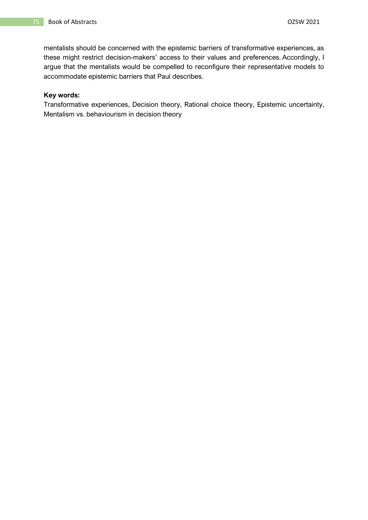mentalists should be concerned with the epistemic barriers of transformative experiences, as these might restrict decision-makers' access to their values and preferences. Accordingly, I argue that the mentalists would be compelled to reconfigure their representative models to accommodate epistemic barriers that Paul describes.

#### **Key words:**

Transformative experiences, Decision theory, Rational choice theory, Epistemic uncertainty, Mentalism vs. behaviourism in decision theory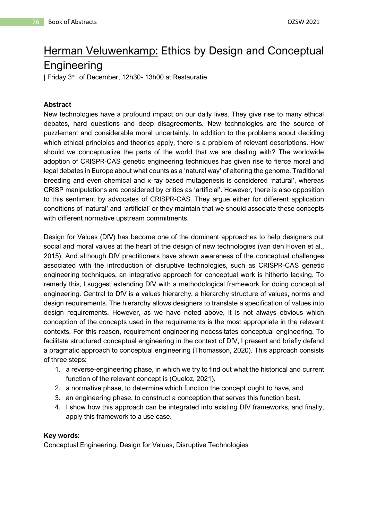# Herman Veluwenkamp: Ethics by Design and Conceptual **Engineering**

| Friday 3 rd of December, 12h30- 13h00 at Restauratie

### **Abstract**

New technologies have a profound impact on our daily lives. They give rise to many ethical debates, hard questions and deep disagreements. New technologies are the source of puzzlement and considerable moral uncertainty. In addition to the problems about deciding which ethical principles and theories apply, there is a problem of relevant descriptions. How should we conceptualize the parts of the world that we are dealing with? The worldwide adoption of CRISPR-CAS genetic engineering techniques has given rise to fierce moral and legal debates in Europe about what counts as a 'natural way' of altering the genome. Traditional breeding and even chemical and x-ray based mutagenesis is considered 'natural', whereas CRISP manipulations are considered by critics as 'artificial'. However, there is also opposition to this sentiment by advocates of CRISPR-CAS. They argue either for different application conditions of 'natural' and 'artificial' or they maintain that we should associate these concepts with different normative upstream commitments.

Design for Values (DfV) has become one of the dominant approaches to help designers put social and moral values at the heart of the design of new technologies (van den Hoven et al., 2015). And although DfV practitioners have shown awareness of the conceptual challenges associated with the introduction of disruptive technologies, such as CRISPR-CAS genetic engineering techniques, an integrative approach for conceptual work is hitherto lacking. To remedy this, I suggest extending DfV with a methodological framework for doing conceptual engineering. Central to DfV is a values hierarchy, a hierarchy structure of values, norms and design requirements. The hierarchy allows designers to translate a specification of values into design requirements. However, as we have noted above, it is not always obvious which conception of the concepts used in the requirements is the most appropriate in the relevant contexts. For this reason, requirement engineering necessitates conceptual engineering. To facilitate structured conceptual engineering in the context of DfV, I present and briefly defend a pragmatic approach to conceptual engineering (Thomasson, 2020). This approach consists of three steps:

- 1. a reverse-engineering phase, in which we try to find out what the historical and current function of the relevant concept is (Queloz, 2021),
- 2. a normative phase, to determine which function the concept ought to have, and
- 3. an engineering phase, to construct a conception that serves this function best.
- 4. I show how this approach can be integrated into existing DfV frameworks, and finally, apply this framework to a use case.

#### **Key words**:

Conceptual Engineering, Design for Values, Disruptive Technologies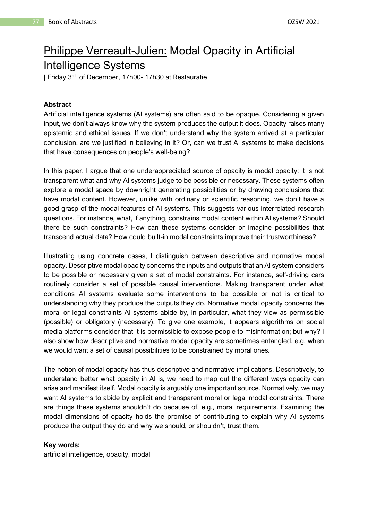# Philippe Verreault-Julien: Modal Opacity in Artificial Intelligence Systems

| Friday 3 rd of December, 17h00- 17h30 at Restauratie

### **Abstract**

Artificial intelligence systems (AI systems) are often said to be opaque. Considering a given input, we don't always know why the system produces the output it does. Opacity raises many epistemic and ethical issues. If we don't understand why the system arrived at a particular conclusion, are we justified in believing in it? Or, can we trust AI systems to make decisions that have consequences on people's well-being?

In this paper, I argue that one underappreciated source of opacity is modal opacity: It is not transparent what and why AI systems judge to be possible or necessary. These systems often explore a modal space by downright generating possibilities or by drawing conclusions that have modal content. However, unlike with ordinary or scientific reasoning, we don't have a good grasp of the modal features of AI systems. This suggests various interrelated research questions. For instance, what, if anything, constrains modal content within AI systems? Should there be such constraints? How can these systems consider or imagine possibilities that transcend actual data? How could built-in modal constraints improve their trustworthiness?

Illustrating using concrete cases, I distinguish between descriptive and normative modal opacity. Descriptive modal opacity concerns the inputs and outputs that an AI system considers to be possible or necessary given a set of modal constraints. For instance, self-driving cars routinely consider a set of possible causal interventions. Making transparent under what conditions AI systems evaluate some interventions to be possible or not is critical to understanding why they produce the outputs they do. Normative modal opacity concerns the moral or legal constraints AI systems abide by, in particular, what they view as permissible (possible) or obligatory (necessary). To give one example, it appears algorithms on social media platforms consider that it is permissible to expose people to misinformation; but why? I also show how descriptive and normative modal opacity are sometimes entangled, e.g. when we would want a set of causal possibilities to be constrained by moral ones.

The notion of modal opacity has thus descriptive and normative implications. Descriptively, to understand better what opacity in AI is, we need to map out the different ways opacity can arise and manifest itself. Modal opacity is arguably one important source. Normatively, we may want AI systems to abide by explicit and transparent moral or legal modal constraints. There are things these systems shouldn't do because of, e.g., moral requirements. Examining the modal dimensions of opacity holds the promise of contributing to explain why AI systems produce the output they do and why we should, or shouldn't, trust them.

#### **Key words:**

artificial intelligence, opacity, modal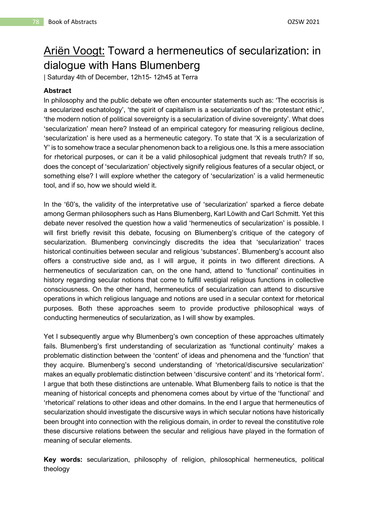# Ariën Voogt: Toward a hermeneutics of secularization: in dialogue with Hans Blumenberg

| Saturday 4th of December, 12h15- 12h45 at Terra

### **Abstract**

In philosophy and the public debate we often encounter statements such as: 'The ecocrisis is a secularized eschatology', 'the spirit of capitalism is a secularization of the protestant ethic', 'the modern notion of political sovereignty is a secularization of divine sovereignty'. What does 'secularization' mean here? Instead of an empirical category for measuring religious decline, 'secularization' is here used as a hermeneutic category. To state that 'X is a secularization of Y' is to somehow trace a secular phenomenon back to a religious one. Is this a mere association for rhetorical purposes, or can it be a valid philosophical judgment that reveals truth? If so, does the concept of 'secularization' objectively signify religious features of a secular object, or something else? I will explore whether the category of 'secularization' is a valid hermeneutic tool, and if so, how we should wield it.

In the '60's, the validity of the interpretative use of 'secularization' sparked a fierce debate among German philosophers such as Hans Blumenberg, Karl Löwith and Carl Schmitt. Yet this debate never resolved the question how a valid 'hermeneutics of secularization' is possible. I will first briefly revisit this debate, focusing on Blumenberg's critique of the category of secularization. Blumenberg convincingly discredits the idea that 'secularization' traces historical continuities between secular and religious 'substances'. Blumenberg's account also offers a constructive side and, as I will argue, it points in two different directions. A hermeneutics of secularization can, on the one hand, attend to 'functional' continuities in history regarding secular notions that come to fulfill vestigial religious functions in collective consciousness. On the other hand, hermeneutics of secularization can attend to discursive operations in which religious language and notions are used in a secular context for rhetorical purposes. Both these approaches seem to provide productive philosophical ways of conducting hermeneutics of secularization, as I will show by examples.

Yet I subsequently argue why Blumenberg's own conception of these approaches ultimately fails. Blumenberg's first understanding of secularization as 'functional continuity' makes a problematic distinction between the 'content' of ideas and phenomena and the 'function' that they acquire. Blumenberg's second understanding of 'rhetorical/discursive secularization' makes an equally problematic distinction between 'discursive content' and its 'rhetorical form'. I argue that both these distinctions are untenable. What Blumenberg fails to notice is that the meaning of historical concepts and phenomena comes about by virtue of the 'functional' and 'rhetorical' relations to other ideas and other domains. In the end I argue that hermeneutics of secularization should investigate the discursive ways in which secular notions have historically been brought into connection with the religious domain, in order to reveal the constitutive role these discursive relations between the secular and religious have played in the formation of meaning of secular elements.

**Key words:** secularization, philosophy of religion, philosophical hermeneutics, political theology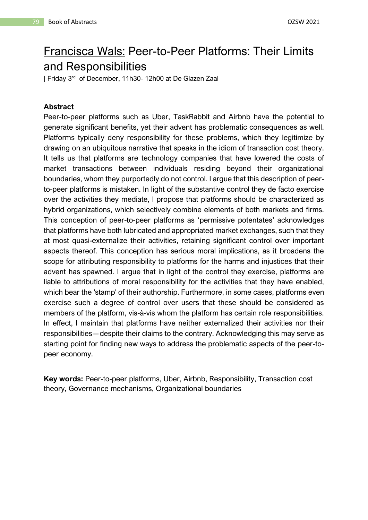# Francisca Wals: Peer-to-Peer Platforms: Their Limits and Responsibilities

| Friday 3 rd of December, 11h30- 12h00 at De Glazen Zaal

### **Abstract**

Peer-to-peer platforms such as Uber, TaskRabbit and Airbnb have the potential to generate significant benefits, yet their advent has problematic consequences as well. Platforms typically deny responsibility for these problems, which they legitimize by drawing on an ubiquitous narrative that speaks in the idiom of transaction cost theory. It tells us that platforms are technology companies that have lowered the costs of market transactions between individuals residing beyond their organizational boundaries, whom they purportedly do not control. I argue that this description of peerto-peer platforms is mistaken. In light of the substantive control they de facto exercise over the activities they mediate, I propose that platforms should be characterized as hybrid organizations, which selectively combine elements of both markets and firms. This conception of peer-to-peer platforms as 'permissive potentates' acknowledges that platforms have both lubricated and appropriated market exchanges, such that they at most quasi-externalize their activities, retaining significant control over important aspects thereof. This conception has serious moral implications, as it broadens the scope for attributing responsibility to platforms for the harms and injustices that their advent has spawned. I argue that in light of the control they exercise, platforms are liable to attributions of moral responsibility for the activities that they have enabled, which bear the 'stamp' of their authorship. Furthermore, in some cases, platforms even exercise such a degree of control over users that these should be considered as members of the platform, vis-à-vis whom the platform has certain role responsibilities. In effect, I maintain that platforms have neither externalized their activities nor their responsibilities―despite their claims to the contrary. Acknowledging this may serve as starting point for finding new ways to address the problematic aspects of the peer-topeer economy.

**Key words:** Peer-to-peer platforms, Uber, Airbnb, Responsibility, Transaction cost theory, Governance mechanisms, Organizational boundaries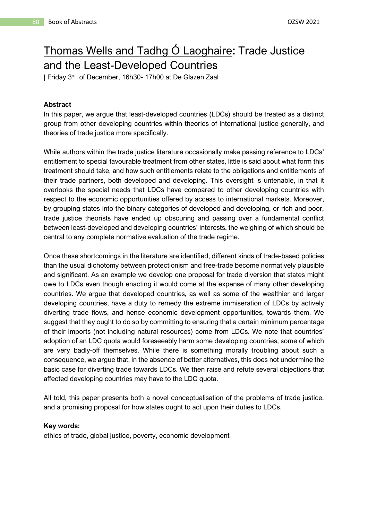# Thomas Wells and Tadhg Ó Laoghaire**:** Trade Justice and the Least-Developed Countries

| Friday 3 rd of December, 16h30- 17h00 at De Glazen Zaal

#### **Abstract**

In this paper, we argue that least-developed countries (LDCs) should be treated as a distinct group from other developing countries within theories of international justice generally, and theories of trade justice more specifically.

While authors within the trade justice literature occasionally make passing reference to LDCs' entitlement to special favourable treatment from other states, little is said about what form this treatment should take, and how such entitlements relate to the obligations and entitlements of their trade partners, both developed and developing. This oversight is untenable, in that it overlooks the special needs that LDCs have compared to other developing countries with respect to the economic opportunities offered by access to international markets. Moreover, by grouping states into the binary categories of developed and developing, or rich and poor, trade justice theorists have ended up obscuring and passing over a fundamental conflict between least-developed and developing countries' interests, the weighing of which should be central to any complete normative evaluation of the trade regime.

Once these shortcomings in the literature are identified, different kinds of trade-based policies than the usual dichotomy between protectionism and free-trade become normatively plausible and significant. As an example we develop one proposal for trade diversion that states might owe to LDCs even though enacting it would come at the expense of many other developing countries. We argue that developed countries, as well as some of the wealthier and larger developing countries, have a duty to remedy the extreme immiseration of LDCs by actively diverting trade flows, and hence economic development opportunities, towards them. We suggest that they ought to do so by committing to ensuring that a certain minimum percentage of their imports (not including natural resources) come from LDCs. We note that countries' adoption of an LDC quota would foreseeably harm some developing countries, some of which are very badly-off themselves. While there is something morally troubling about such a consequence, we argue that, in the absence of better alternatives, this does not undermine the basic case for diverting trade towards LDCs. We then raise and refute several objections that affected developing countries may have to the LDC quota.

All told, this paper presents both a novel conceptualisation of the problems of trade justice, and a promising proposal for how states ought to act upon their duties to LDCs.

#### **Key words:**

ethics of trade, global justice, poverty, economic development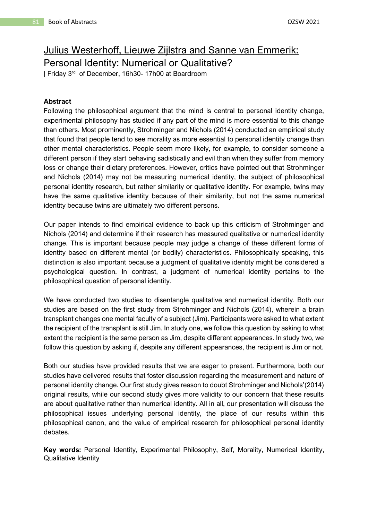# Julius Westerhoff, Lieuwe Zijlstra and Sanne van Emmerik: Personal Identity: Numerical or Qualitative?

| Friday 3 rd of December, 16h30- 17h00 at Boardroom

### **Abstract**

Following the philosophical argument that the mind is central to personal identity change, experimental philosophy has studied if any part of the mind is more essential to this change than others. Most prominently, Strohminger and Nichols (2014) conducted an empirical study that found that people tend to see morality as more essential to personal identity change than other mental characteristics. People seem more likely, for example, to consider someone a different person if they start behaving sadistically and evil than when they suffer from memory loss or change their dietary preferences. However, critics have pointed out that Strohminger and Nichols (2014) may not be measuring numerical identity, the subject of philosophical personal identity research, but rather similarity or qualitative identity. For example, twins may have the same qualitative identity because of their similarity, but not the same numerical identity because twins are ultimately two different persons.

Our paper intends to find empirical evidence to back up this criticism of Strohminger and Nichols (2014) and determine if their research has measured qualitative or numerical identity change. This is important because people may judge a change of these different forms of identity based on different mental (or bodily) characteristics. Philosophically speaking, this distinction is also important because a judgment of qualitative identity might be considered a psychological question. In contrast, a judgment of numerical identity pertains to the philosophical question of personal identity.

We have conducted two studies to disentangle qualitative and numerical identity. Both our studies are based on the first study from Strohminger and Nichols (2014), wherein a brain transplant changes one mental faculty of a subject (Jim). Participants were asked to what extent the recipient of the transplant is still Jim. In study one, we follow this question by asking to what extent the recipient is the same person as Jim, despite different appearances. In study two, we follow this question by asking if, despite any different appearances, the recipient is Jim or not.

Both our studies have provided results that we are eager to present. Furthermore, both our studies have delivered results that foster discussion regarding the measurement and nature of personal identity change. Our first study gives reason to doubt Strohminger and Nichols'(2014) original results, while our second study gives more validity to our concern that these results are about qualitative rather than numerical identity. All in all, our presentation will discuss the philosophical issues underlying personal identity, the place of our results within this philosophical canon, and the value of empirical research for philosophical personal identity debates.

**Key words:** Personal Identity, Experimental Philosophy, Self, Morality, Numerical Identity, Qualitative Identity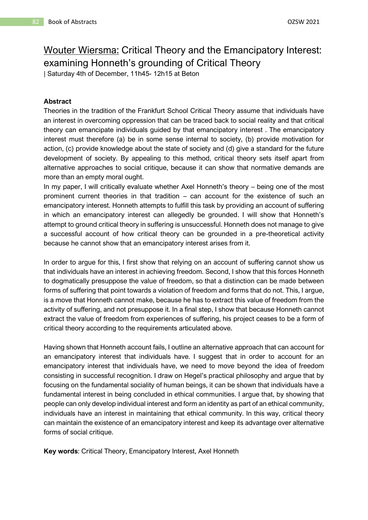# Wouter Wiersma: Critical Theory and the Emancipatory Interest: examining Honneth's grounding of Critical Theory

| Saturday 4th of December, 11h45- 12h15 at Beton

#### **Abstract**

Theories in the tradition of the Frankfurt School Critical Theory assume that individuals have an interest in overcoming oppression that can be traced back to social reality and that critical theory can emancipate individuals guided by that emancipatory interest . The emancipatory interest must therefore (a) be in some sense internal to society, (b) provide motivation for action, (c) provide knowledge about the state of society and (d) give a standard for the future development of society. By appealing to this method, critical theory sets itself apart from alternative approaches to social critique, because it can show that normative demands are more than an empty moral ought.

In my paper, I will critically evaluate whether Axel Honneth's theory – being one of the most prominent current theories in that tradition – can account for the existence of such an emancipatory interest. Honneth attempts to fulfill this task by providing an account of suffering in which an emancipatory interest can allegedly be grounded. I will show that Honneth's attempt to ground critical theory in suffering is unsuccessful. Honneth does not manage to give a successful account of how critical theory can be grounded in a pre-theoretical activity because he cannot show that an emancipatory interest arises from it.

In order to argue for this, I first show that relying on an account of suffering cannot show us that individuals have an interest in achieving freedom. Second, I show that this forces Honneth to dogmatically presuppose the value of freedom, so that a distinction can be made between forms of suffering that point towards a violation of freedom and forms that do not. This, I argue, is a move that Honneth cannot make, because he has to extract this value of freedom from the activity of suffering, and not presuppose it. In a final step, I show that because Honneth cannot extract the value of freedom from experiences of suffering, his project ceases to be a form of critical theory according to the requirements articulated above.

Having shown that Honneth account fails, I outline an alternative approach that can account for an emancipatory interest that individuals have. I suggest that in order to account for an emancipatory interest that individuals have, we need to move beyond the idea of freedom consisting in successful recognition. I draw on Hegel's practical philosophy and argue that by focusing on the fundamental sociality of human beings, it can be shown that individuals have a fundamental interest in being concluded in ethical communities. I argue that, by showing that people can only develop individual interest and form an identity as part of an ethical community, individuals have an interest in maintaining that ethical community. In this way, critical theory can maintain the existence of an emancipatory interest and keep its advantage over alternative forms of social critique.

**Key words**: Critical Theory, Emancipatory Interest, Axel Honneth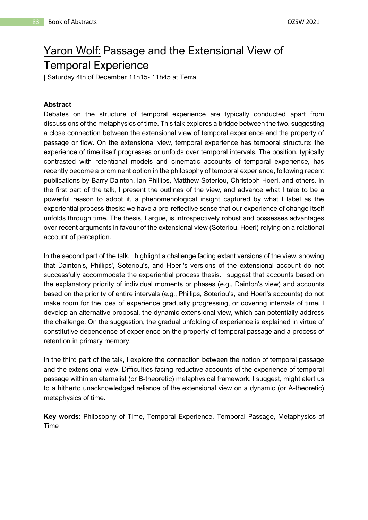# Yaron Wolf: Passage and the Extensional View of Temporal Experience

| Saturday 4th of December 11h15- 11h45 at Terra

#### **Abstract**

Debates on the structure of temporal experience are typically conducted apart from discussions of the metaphysics of time. This talk explores a bridge between the two, suggesting a close connection between the extensional view of temporal experience and the property of passage or flow. On the extensional view, temporal experience has temporal structure: the experience of time itself progresses or unfolds over temporal intervals. The position, typically contrasted with retentional models and cinematic accounts of temporal experience, has recently become a prominent option in the philosophy of temporal experience, following recent publications by Barry Dainton, Ian Phillips, Matthew Soteriou, Christoph Hoerl, and others. In the first part of the talk, I present the outlines of the view, and advance what I take to be a powerful reason to adopt it, a phenomenological insight captured by what I label as the experiential process thesis: we have a pre-reflective sense that our experience of change itself unfolds through time. The thesis, I argue, is introspectively robust and possesses advantages over recent arguments in favour of the extensional view (Soteriou, Hoerl) relying on a relational account of perception.

In the second part of the talk, I highlight a challenge facing extant versions of the view, showing that Dainton's, Phillips', Soteriou's, and Hoerl's versions of the extensional account do not successfully accommodate the experiential process thesis. I suggest that accounts based on the explanatory priority of individual moments or phases (e.g., Dainton's view) and accounts based on the priority of entire intervals (e.g., Phillips, Soteriou's, and Hoerl's accounts) do not make room for the idea of experience gradually progressing, or covering intervals of time. I develop an alternative proposal, the dynamic extensional view, which can potentially address the challenge. On the suggestion, the gradual unfolding of experience is explained in virtue of constitutive dependence of experience on the property of temporal passage and a process of retention in primary memory.

In the third part of the talk, I explore the connection between the notion of temporal passage and the extensional view. Difficulties facing reductive accounts of the experience of temporal passage within an eternalist (or B-theoretic) metaphysical framework, I suggest, might alert us to a hitherto unacknowledged reliance of the extensional view on a dynamic (or A-theoretic) metaphysics of time.

**Key words:** Philosophy of Time, Temporal Experience, Temporal Passage, Metaphysics of Time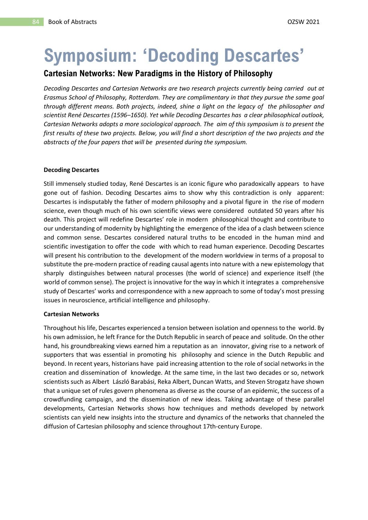# **Symposium: 'Decoding Descartes'**

## **Cartesian Networks: New Paradigms in the History of Philosophy**

*Decoding Descartes and Cartesian Networks are two research projects currently being carried out at Erasmus School of Philosophy, Rotterdam. They are complimentary in that they pursue the same goal through different means. Both projects, indeed, shine a light on the legacy of the philosopher and scientist René Descartes (1596–1650). Yet while Decoding Descartes has a clear philosophical outlook, Cartesian Networks adopts a more sociological approach. The aim of this symposium is to present the first results of these two projects. Below, you will find a short description of the two projects and the abstracts of the four papers that will be presented during the symposium.*

#### **Decoding Descartes**

Still immensely studied today, René Descartes is an iconic figure who paradoxically appears to have gone out of fashion. Decoding Descartes aims to show why this contradiction is only apparent: Descartes is indisputably the father of modern philosophy and a pivotal figure in the rise of modern science, even though much of his own scientific views were considered outdated 50 years after his death. This project will redefine Descartes' role in modern philosophical thought and contribute to our understanding of modernity by highlighting the emergence of the idea of a clash between science and common sense. Descartes considered natural truths to be encoded in the human mind and scientific investigation to offer the code with which to read human experience. Decoding Descartes will present his contribution to the development of the modern worldview in terms of a proposal to substitute the pre-modern practice of reading causal agents into nature with a new epistemology that sharply distinguishes between natural processes (the world of science) and experience itself (the world of common sense). The project is innovative for the way in which it integrates a comprehensive study of Descartes' works and correspondence with a new approach to some of today's most pressing issues in neuroscience, artificial intelligence and philosophy.

#### **Cartesian Networks**

Throughout his life, Descartes experienced a tension between isolation and openness to the world. By his own admission, he left France for the Dutch Republic in search of peace and solitude. On the other hand, his groundbreaking views earned him a reputation as an innovator, giving rise to a network of supporters that was essential in promoting his philosophy and science in the Dutch Republic and beyond. In recent years, historians have paid increasing attention to the role of social networks in the creation and dissemination of knowledge. At the same time, in the last two decades or so, network scientists such as Albert László Barabási, Reka Albert, Duncan Watts, and Steven Strogatz have shown that a unique set of rules govern phenomena as diverse as the course of an epidemic, the success of a crowdfunding campaign, and the dissemination of new ideas. Taking advantage of these parallel developments, Cartesian Networks shows how techniques and methods developed by network scientists can yield new insights into the structure and dynamics of the networks that channeled the diffusion of Cartesian philosophy and science throughout 17th-century Europe.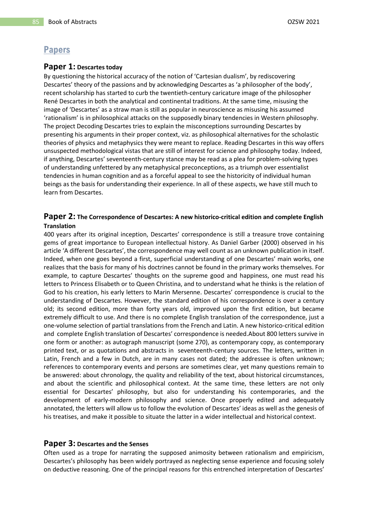# **Papers**

#### **Paper 1: Descartes today**

By questioning the historical accuracy of the notion of 'Cartesian dualism', by rediscovering Descartes' theory of the passions and by acknowledging Descartes as 'a philosopher of the body', recent scholarship has started to curb the twentieth-century caricature image of the philosopher René Descartes in both the analytical and continental traditions. At the same time, misusing the image of 'Descartes' as a straw man is still as popular in neuroscience as misusing his assumed 'rationalism' is in philosophical attacks on the supposedly binary tendencies in Western philosophy. The project Decoding Descartes tries to explain the misconceptions surrounding Descartes by presenting his arguments in their proper context, viz. as philosophical alternatives for the scholastic theories of physics and metaphysics they were meant to replace. Reading Descartes in this way offers unsuspected methodological vistas that are still of interest for science and philosophy today. Indeed, if anything, Descartes' seventeenth-century stance may be read as a plea for problem-solving types of understanding unfettered by any metaphysical preconceptions, as a triumph over essentialist tendencies in human cognition and as a forceful appeal to see the historicity of individual human beings as the basis for understanding their experience. In all of these aspects, we have still much to learn from Descartes.

### **Paper 2: The Correspondence of Descartes: A new historico-critical edition and complete English Translation**

400 years after its original inception, Descartes' correspondence is still a treasure trove containing gems of great importance to European intellectual history. As Daniel Garber (2000) observed in his article 'A different Descartes', the correspondence may well count as an unknown publication in itself. Indeed, when one goes beyond a first, superficial understanding of one Descartes' main works, one realizes that the basis for many of his doctrines cannot be found in the primary works themselves. For example, to capture Descartes' thoughts on the supreme good and happiness, one must read his letters to Princess Elisabeth or to Queen Christina, and to understand what he thinks is the relation of God to his creation, his early letters to Marin Mersenne. Descartes' correspondence is crucial to the understanding of Descartes. However, the standard edition of his correspondence is over a century old; its second edition, more than forty years old, improved upon the first edition, but became extremely difficult to use. And there is no complete English translation of the correspondence, just a one-volume selection of partial translations from the French and Latin. A new historico-critical edition and complete English translation of Descartes' correspondence is needed.About 800 letters survive in one form or another: as autograph manuscript (some 270), as contemporary copy, as contemporary printed text, or as quotations and abstracts in seventeenth-century sources. The letters, written in Latin, French and a few in Dutch, are in many cases not dated; the addressee is often unknown; references to contemporary events and persons are sometimes clear, yet many questions remain to be answered: about chronology, the quality and reliability of the text, about historical circumstances, and about the scientific and philosophical context. At the same time, these letters are not only essential for Descartes' philosophy, but also for understanding his contemporaries, and the development of early-modern philosophy and science. Once properly edited and adequately annotated, the letters will allow us to follow the evolution of Descartes' ideas as well as the genesis of his treatises, and make it possible to situate the latter in a wider intellectual and historical context.

#### **Paper 3: Descartes and the Senses**

Often used as a trope for narrating the supposed animosity between rationalism and empiricism, Descartes's philosophy has been widely portrayed as neglecting sense experience and focusing solely on deductive reasoning. One of the principal reasons for this entrenched interpretation of Descartes'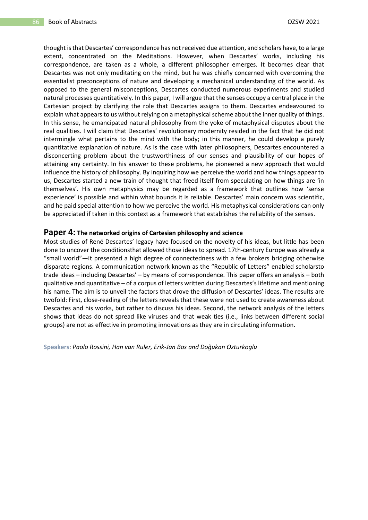thought is that Descartes' correspondence has not received due attention, and scholars have, to a large extent, concentrated on the Meditations. However, when Descartes' works, including his correspondence, are taken as a whole, a different philosopher emerges. It becomes clear that Descartes was not only meditating on the mind, but he was chiefly concerned with overcoming the essentialist preconceptions of nature and developing a mechanical understanding of the world. As opposed to the general misconceptions, Descartes conducted numerous experiments and studied natural processes quantitatively. In this paper, I will argue that the senses occupy a central place in the Cartesian project by clarifying the role that Descartes assigns to them. Descartes endeavoured to explain what appears to us without relying on a metaphysical scheme about the inner quality of things. In this sense, he emancipated natural philosophy from the yoke of metaphysical disputes about the real qualities. I will claim that Descartes' revolutionary modernity resided in the fact that he did not intermingle what pertains to the mind with the body; in this manner, he could develop a purely quantitative explanation of nature. As is the case with later philosophers, Descartes encountered a disconcerting problem about the trustworthiness of our senses and plausibility of our hopes of attaining any certainty. In his answer to these problems, he pioneered a new approach that would influence the history of philosophy. By inquiring how we perceive the world and how things appear to us, Descartes started a new train of thought that freed itself from speculating on how things are 'in themselves'. His own metaphysics may be regarded as a framework that outlines how 'sense experience' is possible and within what bounds it is reliable. Descartes' main concern was scientific, and he paid special attention to how we perceive the world. His metaphysical considerations can only be appreciated if taken in this context as a framework that establishes the reliability of the senses.

#### **Paper 4: The networked origins of Cartesian philosophy and science**

Most studies of René Descartes' legacy have focused on the novelty of his ideas, but little has been done to uncover the conditionsthat allowed those ideas to spread. 17th-century Europe was already a "small world"—it presented a high degree of connectedness with a few brokers bridging otherwise disparate regions. A communication network known as the "Republic of Letters" enabled scholarsto trade ideas – including Descartes' – by means of correspondence. This paper offers an analysis – both qualitative and quantitative – of a corpus of letters written during Descartes's lifetime and mentioning his name. The aim is to unveil the factors that drove the diffusion of Descartes' ideas. The results are twofold: First, close-reading of the letters reveals that these were not used to create awareness about Descartes and his works, but rather to discuss his ideas. Second, the network analysis of the letters shows that ideas do not spread like viruses and that weak ties (i.e., links between different social groups) are not as effective in promoting innovations as they are in circulating information.

**Speakers**: *Paolo Rossini, Han van Ruler, Erik-Jan Bos and Doğukan Ozturkoglu*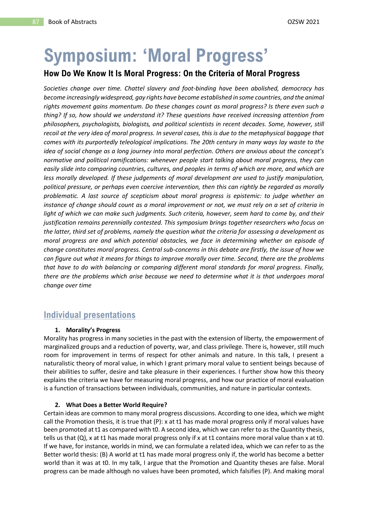# **Symposium: 'Moral Progress'**

## **How Do We Know It Is Moral Progress: On the Criteria of Moral Progress**

*Societies change over time. Chattel slavery and foot-binding have been abolished, democracy has become increasingly widespread, gay rights have become established in some countries, and the animal rights movement gains momentum. Do these changes count as moral progress? Is there even such a thing? If so, how should we understand it? These questions have received increasing attention from philosophers, psychologists, biologists, and political scientists in recent decades. Some, however, still recoil at the very idea of moral progress. In several cases, this is due to the metaphysical baggage that comes with its purportedly teleological implications. The 20th century in many ways lay waste to the idea of social change as a long journey into moral perfection. Others are anxious about the concept's normative and political ramifications: whenever people start talking about moral progress, they can easily slide into comparing countries, cultures, and peoples in terms of which are more, and which are less morally developed. If these judgements of moral development are used to justify manipulation, political pressure, or perhaps even coercive intervention, then this can rightly be regarded as morally problematic. A last source of scepticism about moral progress is epistemic: to judge whether an instance of change should count as a moral improvement or not, we must rely on a set of criteria in light of which we can make such judgments. Such criteria, however, seem hard to come by, and their justification remains perennially contested. This symposium brings together researchers who focus on the latter, third set of problems, namely the question what the criteria for assessing a development as moral progress are and which potential obstacles, we face in determining whether an episode of change constitutes moral progress. Central sub-concerns in this debate are firstly, the issue of how we can figure out what it means for things to improve morally over time. Second, there are the problems that have to do with balancing or comparing different moral standards for moral progress. Finally, there are the problems which arise because we need to determine what it is that undergoes moral change over time*

# **Individual presentations**

#### **1. Morality's Progress**

Morality has progress in many societies in the past with the extension of liberty, the empowerment of marginalized groups and a reduction of poverty, war, and class privilege. There is, however, still much room for improvement in terms of respect for other animals and nature. In this talk, I present a naturalistic theory of moral value, in which I grant primary moral value to sentient beings because of their abilities to suffer, desire and take pleasure in their experiences. I further show how this theory explains the criteria we have for measuring moral progress, and how our practice of moral evaluation is a function of transactions between individuals, communities, and nature in particular contexts.

#### **2. What Does a Better World Require?**

Certain ideas are common to many moral progress discussions. According to one idea, which we might call the Promotion thesis, it is true that (P): x at t1 has made moral progress only if moral values have been promoted at t1 as compared with t0. A second idea, which we can refer to as the Quantity thesis, tells us that (Q), x at t1 has made moral progress only if x at t1 contains more moral value than x at t0. If we have, for instance, worlds in mind, we can formulate a related idea, which we can refer to as the Better world thesis: (B) A world at t1 has made moral progress only if, the world has become a better world than it was at t0. In my talk, I argue that the Promotion and Quantity theses are false. Moral progress can be made although no values have been promoted, which falsifies (P). And making moral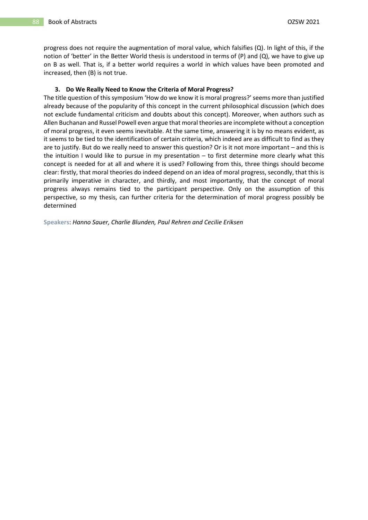progress does not require the augmentation of moral value, which falsifies (Q). In light of this, if the notion of 'better' in the Better World thesis is understood in terms of (P) and (Q), we have to give up on B as well. That is, if a better world requires a world in which values have been promoted and increased, then (B) is not true.

#### **3. Do We Really Need to Know the Criteria of Moral Progress?**

The title question of this symposium 'How do we know it is moral progress?' seems more than justified already because of the popularity of this concept in the current philosophical discussion (which does not exclude fundamental criticism and doubts about this concept). Moreover, when authors such as Allen Buchanan and Russel Powell even argue that moral theories are incomplete without a conception of moral progress, it even seems inevitable. At the same time, answering it is by no means evident, as it seems to be tied to the identification of certain criteria, which indeed are as difficult to find as they are to justify. But do we really need to answer this question? Or is it not more important – and this is the intuition I would like to pursue in my presentation – to first determine more clearly what this concept is needed for at all and where it is used? Following from this, three things should become clear: firstly, that moral theories do indeed depend on an idea of moral progress, secondly, that this is primarily imperative in character, and thirdly, and most importantly, that the concept of moral progress always remains tied to the participant perspective. Only on the assumption of this perspective, so my thesis, can further criteria for the determination of moral progress possibly be determined

**Speakers**: *Hanno Sauer, Charlie Blunden, Paul Rehren and Cecilie Eriksen*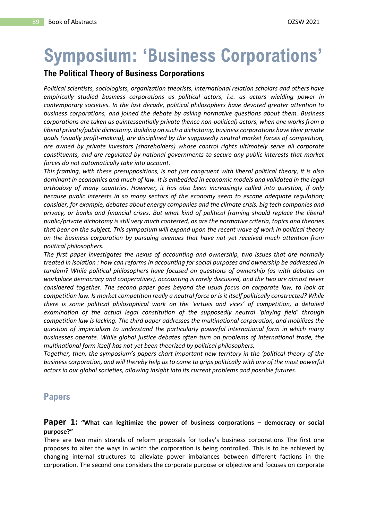# **Symposium: 'Business Corporations'**

## **The Political Theory of Business Corporations**

*Political scientists, sociologists, organization theorists, international relation scholars and others have empirically studied business corporations as political actors, i.e. as actors wielding power in contemporary societies. In the last decade, political philosophers have devoted greater attention to business corporations, and joined the debate by asking normative questions about them. Business corporations are taken as quintessentially private (hence non-political) actors, when one works from a liberal private/public dichotomy. Building on such a dichotomy, business corporations have their private goals (usually profit-making), are disciplined by the supposedly neutral market forces of competition, are owned by private investors (shareholders) whose control rights ultimately serve all corporate constituents, and are regulated by national governments to secure any public interests that market forces do not automatically take into account.*

*This framing, with these presuppositions, is not just congruent with liberal political theory, it is also dominant in economics and much of law. It is embedded in economic models and validated in the legal orthodoxy of many countries. However, it has also been increasingly called into question, if only because public interests in so many sectors of the economy seem to escape adequate regulation; consider, for example, debates about energy companies and the climate crisis, big tech companies and privacy, or banks and financial crises. But what kind of political framing should replace the liberal public/private dichotomy is still very much contested, as are the normative criteria, topics and theories that bear on the subject. This symposium will expand upon the recent wave of work in political theory on the business corporation by pursuing avenues that have not yet received much attention from political philosophers.* 

*The first paper investigates the nexus of accounting and ownership, two issues that are normally treated in isolation : how can reforms in accounting for social purposes and ownership be addressed in tandem? While political philosophers have focused on questions of ownership (as with debates on workplace democracy and cooperatives), accounting is rarely discussed, and the two are almost never considered together. The second paper goes beyond the usual focus on corporate law, to look at competition law. Is market competition really a neutral force or is it itself politically constructed? While there is some political philosophical work on the 'virtues and vices' of competition, a detailed examination of the actual legal constitution of the supposedly neutral 'playing field' through competition law is lacking. The third paper addresses the multinational corporation, and mobilizes the question of imperialism to understand the particularly powerful international form in which many businesses operate. While global justice debates often turn on problems of international trade, the multinational form itself has not yet been theorized by political philosophers.*

*Together, then, the symposium's papers chart important new territory in the 'political theory of the business corporation, and will thereby help us to come to grips politically with one of the most powerful actors in our global societies, allowing insight into its current problems and possible futures.*

# **Papers**

#### **Paper 1: "What can legitimize the power of business corporations – democracy or social purpose?"**

There are two main strands of reform proposals for today's business corporations The first one proposes to alter the ways in which the corporation is being controlled. This is to be achieved by changing internal structures to alleviate power imbalances between different factions in the corporation. The second one considers the corporate purpose or objective and focuses on corporate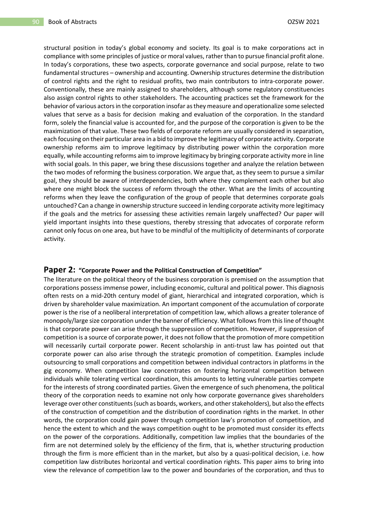structural position in today's global economy and society. Its goal is to make corporations act in compliance with some principles of justice or moral values, rather than to pursue financial profit alone. In today's corporations, these two aspects, corporate governance and social purpose, relate to two fundamental structures – ownership and accounting. Ownership structures determine the distribution of control rights and the right to residual profits, two main contributors to intra-corporate power. Conventionally, these are mainly assigned to shareholders, although some regulatory constituencies also assign control rights to other stakeholders. The accounting practices set the framework for the behavior of various actors in the corporation insofar as they measure and operationalize some selected values that serve as a basis for decision making and evaluation of the corporation. In the standard form, solely the financial value is accounted for, and the purpose of the corporation is given to be the maximization of that value. These two fields of corporate reform are usually considered in separation, each focusing on their particular area in a bid to improve the legitimacy of corporate activity. Corporate ownership reforms aim to improve legitimacy by distributing power within the corporation more equally, while accounting reforms aim to improve legitimacy by bringing corporate activity more in line with social goals. In this paper, we bring these discussions together and analyze the relation between the two modes of reforming the business corporation. We argue that, as they seem to pursue a similar goal, they should be aware of interdependencies, both where they complement each other but also where one might block the success of reform through the other. What are the limits of accounting reforms when they leave the configuration of the group of people that determines corporate goals untouched? Can a change in ownership structure succeed in lending corporate activity more legitimacy if the goals and the metrics for assessing these activities remain largely unaffected? Our paper will yield important insights into these questions, thereby stressing that advocates of corporate reform cannot only focus on one area, but have to be mindful of the multiplicity of determinants of corporate activity.

#### **Paper 2: "Corporate Power and the Political Construction of Competition"**

The literature on the political theory of the business corporation is premised on the assumption that corporations possess immense power, including economic, cultural and political power. This diagnosis often rests on a mid-20th century model of giant, hierarchical and integrated corporation, which is driven by shareholder value maximization. An important component of the accumulation of corporate power is the rise of a neoliberal interpretation of competition law, which allows a greater tolerance of monopoly/large size corporation under the banner of efficiency. What follows from this line of thought is that corporate power can arise through the suppression of competition. However, if suppression of competition is a source of corporate power, it does not follow that the promotion of more competition will necessarily curtail corporate power. Recent scholarship in anti-trust law has pointed out that corporate power can also arise through the strategic promotion of competition. Examples include outsourcing to small corporations and competition between individual contractors in platforms in the gig economy. When competition law concentrates on fostering horizontal competition between individuals while tolerating vertical coordination, this amounts to letting vulnerable parties compete for the interests of strong coordinated parties. Given the emergence of such phenomena, the political theory of the corporation needs to examine not only how corporate governance gives shareholders leverage over other constituents (such as boards, workers, and other stakeholders), but also the effects of the construction of competition and the distribution of coordination rights in the market. In other words, the corporation could gain power through competition law's promotion of competition, and hence the extent to which and the ways competition ought to be promoted must consider its effects on the power of the corporations. Additionally, competition law implies that the boundaries of the firm are not determined solely by the efficiency of the firm, that is, whether structuring production through the firm is more efficient than in the market, but also by a quasi-political decision, i.e. how competition law distributes horizontal and vertical coordination rights. This paper aims to bring into view the relevance of competition law to the power and boundaries of the corporation, and thus to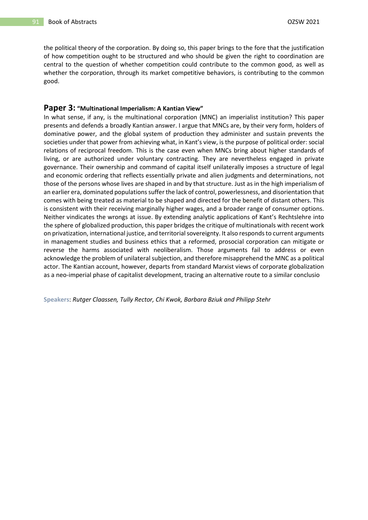the political theory of the corporation. By doing so, this paper brings to the fore that the justification of how competition ought to be structured and who should be given the right to coordination are central to the question of whether competition could contribute to the common good, as well as whether the corporation, through its market competitive behaviors, is contributing to the common good.

#### **Paper 3: "Multinational Imperialism: A Kantian View"**

In what sense, if any, is the multinational corporation (MNC) an imperialist institution? This paper presents and defends a broadly Kantian answer. I argue that MNCs are, by their very form, holders of dominative power, and the global system of production they administer and sustain prevents the societies under that power from achieving what, in Kant's view, is the purpose of political order: social relations of reciprocal freedom. This is the case even when MNCs bring about higher standards of living, or are authorized under voluntary contracting. They are nevertheless engaged in private governance. Their ownership and command of capital itself unilaterally imposes a structure of legal and economic ordering that reflects essentially private and alien judgments and determinations, not those of the persons whose lives are shaped in and by that structure. Just as in the high imperialism of an earlier era, dominated populations suffer the lack of control, powerlessness, and disorientation that comes with being treated as material to be shaped and directed for the benefit of distant others. This is consistent with their receiving marginally higher wages, and a broader range of consumer options. Neither vindicates the wrongs at issue. By extending analytic applications of Kant's Rechtslehre into the sphere of globalized production, this paper bridges the critique of multinationals with recent work on privatization, international justice, and territorial sovereignty. It also responds to current arguments in management studies and business ethics that a reformed, prosocial corporation can mitigate or reverse the harms associated with neoliberalism. Those arguments fail to address or even acknowledge the problem of unilateral subjection, and therefore misapprehend the MNC as a political actor. The Kantian account, however, departs from standard Marxist views of corporate globalization as a neo-imperial phase of capitalist development, tracing an alternative route to a similar conclusio

**Speakers**: *Rutger Claassen, Tully Rector, Chi Kwok, Barbara Bziuk and Philipp Stehr*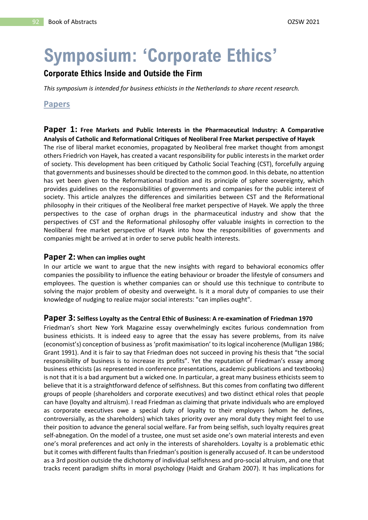# **Symposium: 'Corporate Ethics'**

## **Corporate Ethics Inside and Outside the Firm**

*This symposium is intended for business ethicists in the Netherlands to share recent research.*

## **Papers**

**Paper 1: Free Markets and Public Interests in the Pharmaceutical Industry: A Comparative Analysis of Catholic and Reformational Critiques of Neoliberal Free Market perspective of Hayek**  The rise of liberal market economies, propagated by Neoliberal free market thought from amongst others Friedrich von Hayek, has created a vacant responsibility for public interests in the market order of society. This development has been critiqued by Catholic Social Teaching (CST), forcefully arguing that governments and businesses should be directed to the common good. In this debate, no attention has yet been given to the Reformational tradition and its principle of sphere sovereignty, which provides guidelines on the responsibilities of governments and companies for the public interest of society. This article analyzes the differences and similarities between CST and the Reformational philosophy in their critiques of the Neoliberal free market perspective of Hayek. We apply the three perspectives to the case of orphan drugs in the pharmaceutical industry and show that the perspectives of CST and the Reformational philosophy offer valuable insights in correction to the Neoliberal free market perspective of Hayek into how the responsibilities of governments and companies might be arrived at in order to serve public health interests.

### **Paper 2: When can implies ought**

In our article we want to argue that the new insights with regard to behavioral economics offer companies the possibility to influence the eating behaviour or broader the lifestyle of consumers and employees. The question is whether companies can or should use this technique to contribute to solving the major problem of obesity and overweight. Is it a moral duty of companies to use their knowledge of nudging to realize major social interests: "can implies ought".

#### **Paper 3: Selfless Loyalty as the Central Ethic of Business: A re-examination of Friedman 1970**

Friedman's short New York Magazine essay overwhelmingly excites furious condemnation from business ethicists. It is indeed easy to agree that the essay has severe problems, from its naïve (economist's) conception of business as'profit maximisation' to its logical incoherence (Mulligan 1986; Grant 1991). And it is fair to say that Friedman does not succeed in proving his thesis that "the social responsibility of business is to increase its profits". Yet the reputation of Friedman's essay among business ethicists (as represented in conference presentations, academic publications and textbooks) is not that it is a bad argument but a wicked one. In particular, a great many business ethicists seem to believe that it is a straightforward defence of selfishness. But this comes from conflating two different groups of people (shareholders and corporate executives) and two distinct ethical roles that people can have (loyalty and altruism). I read Friedman as claiming that private individuals who are employed as corporate executives owe a special duty of loyalty to their employers (whom he defines, controversially, as the shareholders) which takes priority over any moral duty they might feel to use their position to advance the general social welfare. Far from being selfish, such loyalty requires great self-abnegation. On the model of a trustee, one must set aside one's own material interests and even one's moral preferences and act only in the interests of shareholders. Loyalty is a problematic ethic but it comes with different faults than Friedman's position is generally accused of. It can be understood as a 3rd position outside the dichotomy of individual selfishness and pro-social altruism, and one that tracks recent paradigm shifts in moral psychology (Haidt and Graham 2007). It has implications for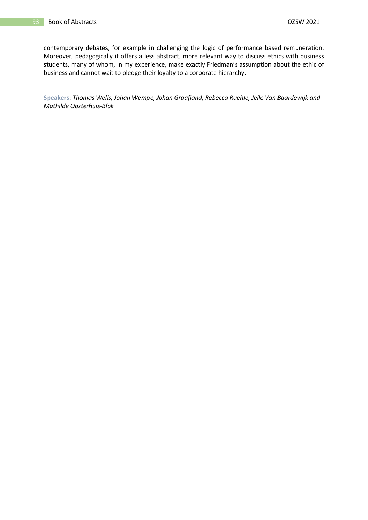contemporary debates, for example in challenging the logic of performance based remuneration. Moreover, pedagogically it offers a less abstract, more relevant way to discuss ethics with business students, many of whom, in my experience, make exactly Friedman's assumption about the ethic of business and cannot wait to pledge their loyalty to a corporate hierarchy.

**Speakers**: *Thomas Wells, Johan Wempe, Johan Graafland, Rebecca Ruehle, Jelle Van Baardewijk and Mathilde Oosterhuis-Blok*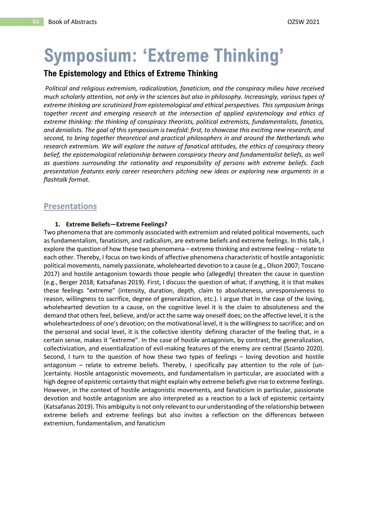# **Symposium: 'Extreme Thinking'**

## **The Epistemology and Ethics of Extreme Thinking**

*Political and religious extremism, radicalization, fanaticism, and the conspiracy milieu have received much scholarly attention, not only in the sciences but also in philosophy. Increasingly, various types of extreme thinking are scrutinized from epistemological and ethical perspectives. This symposium brings together recent and emerging research at the intersection of applied epistemology and ethics of extreme thinking: the thinking of conspiracy theorists, political extremists, fundamentalists, fanatics, and denialists. The goal of this symposium is twofold: first, to showcase this exciting new research, and second, to bring together theoretical and practical philosophers in and around the Netherlands who research extremism. We will explore the nature of fanatical attitudes, the ethics of conspiracy theory belief, the epistemological relationship between conspiracy theory and fundamentalist beliefs, as well as questions surrounding the rationality and responsibility of persons with extreme beliefs. Each presentation features early career researchers pitching new ideas or exploring new arguments in a flashtalk format.* 

## **Presentations**

#### **1. Extreme Beliefs—Extreme Feelings?**

Two phenomena that are commonly associated with extremism and related political movements, such as fundamentalism, fanaticism, and radicalism, are extreme beliefs and extreme feelings. In this talk, I explore the question of how these two phenomena – extreme thinking and extreme feeling – relate to each other. Thereby, I focus on two kinds of affective phenomena characteristic of hostile antagonistic political movements, namely passionate, wholehearted devotion to a cause (e.g., Olson 2007; Toscano 2017) and hostile antagonism towards those people who (allegedly) threaten the cause in question (e.g., Berger 2018; Katsafanas 2019). First, I discuss the question of what, if anything, it is that makes these feelings "extreme" (intensity, duration, depth, claim to absoluteness, unresponsiveness to reason, willingness to sacrifice, degree of generalization, etc.). I argue that in the case of the loving, wholehearted devotion to a cause, on the cognitive level it is the claim to absoluteness and the demand that others feel, believe, and/or act the same way oneself does; on the affective level, it is the wholeheartedness of one's devotion; on the motivational level, it is the willingness to sacrifice; and on the personal and social level, it is the collective identity defining character of the feeling that, in a certain sense, makes it "extreme". In the case of hostile antagonism, by contrast, the generalization, collectivization, and essentialization of evil-making features of the enemy are central (Szanto 2020). Second, I turn to the question of how these two types of feelings – loving devotion and hostile antagonism – relate to extreme beliefs. Thereby, I specifically pay attention to the role of (un- )certainty. Hostile antagonistic movements, and fundamentalism in particular, are associated with a high degree of epistemic certainty that might explain why extreme beliefs give rise to extreme feelings. However, in the context of hostile antagonistic movements, and fanaticism in particular, passionate devotion and hostile antagonism are also interpreted as a reaction to a lack of epistemic certainty (Katsafanas 2019). This ambiguity is not only relevant to our understanding of the relationship between extreme beliefs and extreme feelings but also invites a reflection on the differences between extremism, fundamentalism, and fanaticism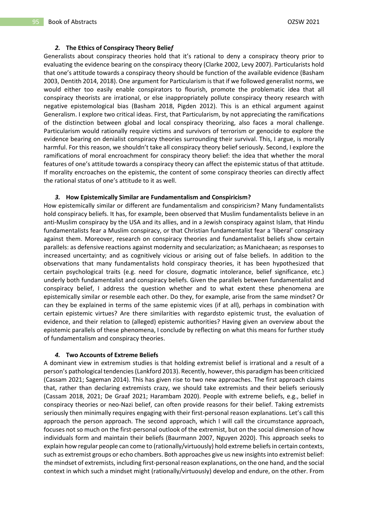#### *2.* **The Ethics of Conspiracy Theory Belie***f*

Generalists about conspiracy theories hold that it's rational to deny a conspiracy theory prior to evaluating the evidence bearing on the conspiracy theory (Clarke 2002, Levy 2007). Particularists hold that one's attitude towards a conspiracy theory should be function of the available evidence (Basham 2003, Dentith 2014, 2018). One argument for Particularism is that if we followed generalist norms, we would either too easily enable conspirators to flourish, promote the problematic idea that all conspiracy theorists are irrational, or else inappropriately pollute conspiracy theory research with negative epistemological bias (Basham 2018, Pigden 2012). This is an ethical argument against Generalism. I explore two critical ideas. First, that Particularism, by not appreciating the ramifications of the distinction between global and local conspiracy theorizing, also faces a moral challenge. Particularism would rationally require victims and survivors of terrorism or genocide to explore the evidence bearing on denialist conspiracy theories surrounding their survival. This, I argue, is morally harmful. For this reason, we shouldn't take all conspiracy theory belief seriously. Second, I explore the ramifications of moral encroachment for conspiracy theory belief: the idea that whether the moral features of one's attitude towards a conspiracy theory can affect the epistemic status of that attitude. If morality encroaches on the epistemic, the content of some conspiracy theories can directly affect the rational status of one's attitude to it as well.

#### *3.* **How Epistemically Similar are Fundamentalism and Conspiricism?**

How epistemically similar or different are fundamentalism and conspiricism? Many fundamentalists hold conspiracy beliefs. It has, for example, been observed that Muslim fundamentalists believe in an anti-Muslim conspiracy by the USA and its allies, and in a Jewish conspiracy against Islam, that Hindu fundamentalists fear a Muslim conspiracy, or that Christian fundamentalist fear a 'liberal' conspiracy against them. Moreover, research on conspiracy theories and fundamentalist beliefs show certain parallels: as defensive reactions against modernity and secularization; as Manichaean; as responses to increased uncertainty; and as cognitively vicious or arising out of false beliefs. In addition to the observations that many fundamentalists hold conspiracy theories, it has been hypothesized that certain psychological traits (e.g. need for closure, dogmatic intolerance, belief significance, etc.) underly both fundamentalist and conspiracy beliefs. Given the parallels between fundamentalist and conspiracy belief, I address the question whether and to what extent these phenomena are epistemically similar or resemble each other. Do they, for example, arise from the same mindset? Or can they be explained in terms of the same epistemic vices (if at all), perhaps in combination with certain epistemic virtues? Are there similarities with regardsto epistemic trust, the evaluation of evidence, and their relation to (alleged) epistemic authorities? Having given an overview about the epistemic parallels of these phenomena, I conclude by reflecting on what this means for further study of fundamentalism and conspiracy theories.

#### *4.* **Two Accounts of Extreme Beliefs**

A dominant view in extremism studies is that holding extremist belief is irrational and a result of a person's pathological tendencies (Lankford 2013). Recently, however, this paradigm has been criticized (Cassam 2021; Sageman 2014). This has given rise to two new approaches. The first approach claims that, rather than declaring extremists crazy, we should take extremists and their beliefs seriously (Cassam 2018, 2021; De Graaf 2021; Harambam 2020). People with extreme beliefs, e.g., belief in conspiracy theories or neo-Nazi belief, can often provide reasons for their belief. Taking extremists seriously then minimally requires engaging with their first-personal reason explanations. Let's call this approach the person approach. The second approach, which I will call the circumstance approach, focuses not so much on the first-personal outlook of the extremist, but on the social dimension of how individuals form and maintain their beliefs (Baurmann 2007, Nguyen 2020). This approach seeks to explain how regular people can come to (rationally/virtuously) hold extreme beliefs in certain contexts, such as extremist groups or echo chambers. Both approaches give us new insights into extremist belief: the mindset of extremists, including first-personal reason explanations, on the one hand, and the social context in which such a mindset might (rationally/virtuously) develop and endure, on the other. From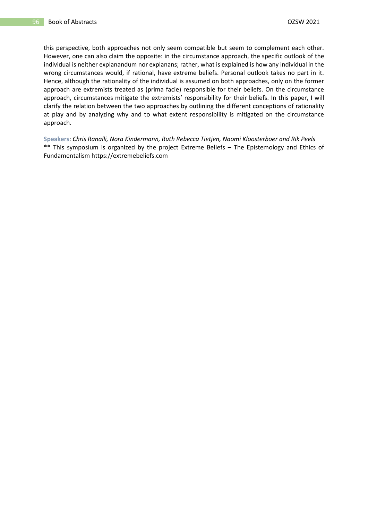this perspective, both approaches not only seem compatible but seem to complement each other. However, one can also claim the opposite: in the circumstance approach, the specific outlook of the individual is neither explanandum nor explanans; rather, what is explained is how any individual in the wrong circumstances would, if rational, have extreme beliefs. Personal outlook takes no part in it. Hence, although the rationality of the individual is assumed on both approaches, only on the former approach are extremists treated as (prima facie) responsible for their beliefs. On the circumstance approach, circumstances mitigate the extremists' responsibility for their beliefs. In this paper, I will clarify the relation between the two approaches by outlining the different conceptions of rationality at play and by analyzing why and to what extent responsibility is mitigated on the circumstance approach.

**Speakers**: *Chris Ranalli, Nora Kindermann, Ruth Rebecca Tietjen, Naomi Kloosterboer and Rik Peels* **\*\*** This symposium is organized by the project Extreme Beliefs – The Epistemology and Ethics of Fundamentalism https://extremebeliefs.com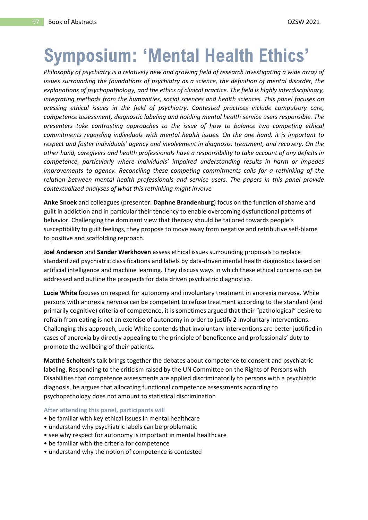# **Symposium: 'Mental Health Ethics'**

*Philosophy of psychiatry is a relatively new and growing field of research investigating a wide array of issues surrounding the foundations of psychiatry as a science, the definition of mental disorder, the explanations of psychopathology, and the ethics of clinical practice. The field is highly interdisciplinary, integrating methods from the humanities, social sciences and health sciences. This panel focuses on pressing ethical issues in the field of psychiatry. Contested practices include compulsory care, competence assessment, diagnostic labeling and holding mental health service users responsible. The presenters take contrasting approaches to the issue of how to balance two competing ethical commitments regarding individuals with mental health issues. On the one hand, it is important to respect and foster individuals' agency and involvement in diagnosis, treatment, and recovery. On the other hand, caregivers and health professionals have a responsibility to take account of any deficits in competence, particularly where individuals' impaired understanding results in harm or impedes improvements to agency. Reconciling these competing commitments calls for a rethinking of the relation between mental health professionals and service users. The papers in this panel provide contextualized analyses of what this rethinking might involve*

**Anke Snoek** and colleagues (presenter: **Daphne Brandenburg**) focus on the function of shame and guilt in addiction and in particular their tendency to enable overcoming dysfunctional patterns of behavior. Challenging the dominant view that therapy should be tailored towards people's susceptibility to guilt feelings, they propose to move away from negative and retributive self-blame to positive and scaffolding reproach.

**Joel Anderson** and **Sander Werkhoven** assess ethical issues surrounding proposals to replace standardized psychiatric classifications and labels by data-driven mental health diagnostics based on artificial intelligence and machine learning. They discuss ways in which these ethical concerns can be addressed and outline the prospects for data driven psychiatric diagnostics.

**Lucie White** focuses on respect for autonomy and involuntary treatment in anorexia nervosa. While persons with anorexia nervosa can be competent to refuse treatment according to the standard (and primarily cognitive) criteria of competence, it is sometimes argued that their "pathological" desire to refrain from eating is not an exercise of autonomy in order to justify 2 involuntary interventions. Challenging this approach, Lucie White contends that involuntary interventions are better justified in cases of anorexia by directly appealing to the principle of beneficence and professionals' duty to promote the wellbeing of their patients.

**Matthé Scholten's** talk brings together the debates about competence to consent and psychiatric labeling. Responding to the criticism raised by the UN Committee on the Rights of Persons with Disabilities that competence assessments are applied discriminatorily to persons with a psychiatric diagnosis, he argues that allocating functional competence assessments according to psychopathology does not amount to statistical discrimination

**After attending this panel, participants will**

- be familiar with key ethical issues in mental healthcare
- understand why psychiatric labels can be problematic
- see why respect for autonomy is important in mental healthcare
- be familiar with the criteria for competence
- understand why the notion of competence is contested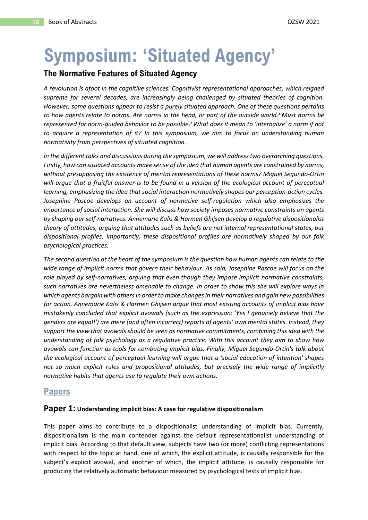# **Symposium: 'Situated Agency'**

## **The Normative Features of Situated Agency**

*A revolution is afoot in the cognitive sciences. Cognitivist representational approaches, which reigned supreme for several decades, are increasingly being challenged by situated theories of cognition. However, some questions appear to resist a purely situated approach. One of these questions pertains to how agents relate to norms. Are norms in the head, or part of the outside world? Must norms be represented for norm-guided behavior to be possible? What does it mean to 'internalize' a norm if not to acquire a representation of it? In this symposium, we aim to focus on understanding human normativity from perspectives of situated cognition.* 

*In the different talks and discussions during the symposium, we will address two overarching questions. Firstly, how can situated accounts make sense of the idea that human agents are constrained by norms, without presupposing the existence of mental representations of these norms? Miguel Segundo-Ortin will argue that a fruitful answer is to be found in a version of the ecological account of perceptual learning, emphasizing the idea that social interaction normatively shapes our perception-action cycles. Josephine Pascoe develops an account of normative self-regulation which also emphasizes the importance of social interaction. She will discuss how society imposes normative constraints on agents by shaping our self-narratives. Annemarie Kalis & Harmen Ghijsen develop a regulative dispositionalist theory of attitudes, arguing that attitudes such as beliefs are not internal representational states, but dispositional profiles. Importantly, these dispositional profiles are normatively shaped by our folk psychological practices.* 

*The second question at the heart of the symposium is the question how human agents can relate to the wide range of implicit norms that govern their behaviour. As said, Josephine Pascoe will focus on the role played by self-narratives, arguing that even though they impose implicit normative constraints, such narratives are nevertheless amenable to change. In order to show this she will explore ways in which agents bargain with others in order to make changes in their narratives and gain new possibilities for action. Annemarie Kalis & Harmen Ghijsen argue that most existing accounts of implicit bias have mistakenly concluded that explicit avowals (such as the expression: 'Yes I genuinely believe that the genders are equal!') are mere (and often incorrect) reports of agents' own mental states. Instead, they support the view that avowals should be seen as normative commitments, combining this idea with the understanding of folk psychology as a regulative practice. With this account they aim to show how avowals can function as tools for combating implicit bias. Finally, Miguel Segundo-Ortin's talk about the ecological account of perceptual learning will argue that a 'social education of intention' shapes not so much explicit rules and propositional attitudes, but precisely the wide range of implicitly normative habits that agents use to regulate their own actions.*

## **Papers**

#### **Paper 1: Understanding implicit bias: A case for regulative dispositionalism**

This paper aims to contribute to a dispositionalist understanding of implicit bias. Currently, dispositionalism is the main contender against the default representationalist understanding of implicit bias. According to that default view, subjects have two (or more) conflicting representations with respect to the topic at hand, one of which, the explicit attitude, is causally responsible for the subject's explicit avowal, and another of which, the implicit attitude, is causally responsible for producing the relatively automatic behaviour measured by psychological tests of implicit bias.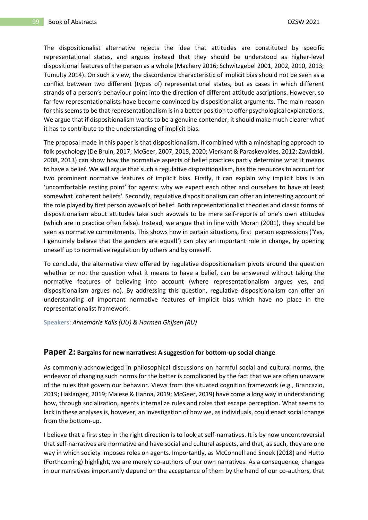The dispositionalist alternative rejects the idea that attitudes are constituted by specific representational states, and argues instead that they should be understood as higher-level dispositional features of the person as a whole (Machery 2016; Schwitzgebel 2001, 2002, 2010, 2013; Tumulty 2014). On such a view, the discordance characteristic of implicit bias should not be seen as a conflict between two different (types of) representational states, but as cases in which different strands of a person's behaviour point into the direction of different attitude ascriptions. However, so far few representationalists have become convinced by dispositionalist arguments. The main reason for this seems to be that representationalism is in a better position to offer psychological explanations. We argue that if dispositionalism wants to be a genuine contender, it should make much clearer what it has to contribute to the understanding of implicit bias.

The proposal made in this paper is that dispositionalism, if combined with a mindshaping approach to folk psychology (De Bruin, 2017; McGeer, 2007, 2015, 2020; Vierkant & Paraskevaides, 2012; Zawidzki, 2008, 2013) can show how the normative aspects of belief practices partly determine what it means to have a belief. We will argue that such a regulative dispositionalism, has the resources to account for two prominent normative features of implicit bias. Firstly, it can explain why implicit bias is an 'uncomfortable resting point' for agents: why we expect each other and ourselves to have at least somewhat 'coherent beliefs'. Secondly, regulative dispositionalism can offer an interesting account of the role played by first person avowals of belief. Both representationalist theories and classic forms of dispositionalism about attitudes take such avowals to be mere self-reports of one's own attitudes (which are in practice often false). Instead, we argue that in line with Moran (2001), they should be seen as normative commitments. This shows how in certain situations, first person expressions ('Yes, I genuinely believe that the genders are equal!') can play an important role in change, by opening oneself up to normative regulation by others and by oneself.

To conclude, the alternative view offered by regulative dispositionalism pivots around the question whether or not the question what it means to have a belief, can be answered without taking the normative features of believing into account (where representationalism argues yes, and dispositionalism argues no). By addressing this question, regulative dispositionalism can offer an understanding of important normative features of implicit bias which have no place in the representationalist framework.

**Speakers**: *Annemarie Kalis (UU) & Harmen Ghijsen (RU)*

#### **Paper 2: Bargains for new narratives: A suggestion for bottom-up social change**

As commonly acknowledged in philosophical discussions on harmful social and cultural norms, the endeavor of changing such norms for the better is complicated by the fact that we are often unaware of the rules that govern our behavior. Views from the situated cognition framework (e.g., Brancazio, 2019; Haslanger, 2019; Maiese & Hanna, 2019; McGeer, 2019) have come a long way in understanding how, through socialization, agents internalize rules and roles that escape perception. What seems to lack in these analyses is, however, an investigation of how we, as individuals, could enact social change from the bottom-up.

I believe that a first step in the right direction is to look at self-narratives. It is by now uncontroversial that self-narratives are normative and have social and cultural aspects, and that, as such, they are one way in which society imposes roles on agents. Importantly, as McConnell and Snoek (2018) and Hutto (Forthcoming) highlight, we are merely co-authors of our own narratives. As a consequence, changes in our narratives importantly depend on the acceptance of them by the hand of our co-authors, that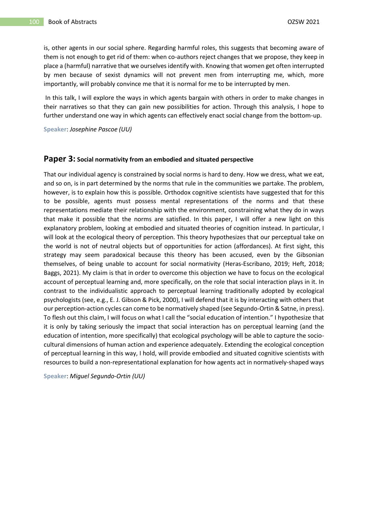is, other agents in our social sphere. Regarding harmful roles, this suggests that becoming aware of them is not enough to get rid of them: when co-authors reject changes that we propose, they keep in place a (harmful) narrative that we ourselves identify with. Knowing that women get often interrupted by men because of sexist dynamics will not prevent men from interrupting me, which, more importantly, will probably convince me that it is normal for me to be interrupted by men.

In this talk, I will explore the ways in which agents bargain with others in order to make changes in their narratives so that they can gain new possibilities for action. Through this analysis, I hope to further understand one way in which agents can effectively enact social change from the bottom-up.

**Speaker**: *Josephine Pascoe (UU)*

#### **Paper 3: Social normativity from an embodied and situated perspective**

That our individual agency is constrained by social norms is hard to deny. How we dress, what we eat, and so on, is in part determined by the norms that rule in the communities we partake. The problem, however, is to explain how this is possible. Orthodox cognitive scientists have suggested that for this to be possible, agents must possess mental representations of the norms and that these representations mediate their relationship with the environment, constraining what they do in ways that make it possible that the norms are satisfied. In this paper, I will offer a new light on this explanatory problem, looking at embodied and situated theories of cognition instead. In particular, I will look at the ecological theory of perception. This theory hypothesizes that our perceptual take on the world is not of neutral objects but of opportunities for action (affordances). At first sight, this strategy may seem paradoxical because this theory has been accused, even by the Gibsonian themselves, of being unable to account for social normativity (Heras-Escribano, 2019; Heft, 2018; Baggs, 2021). My claim is that in order to overcome this objection we have to focus on the ecological account of perceptual learning and, more specifically, on the role that social interaction plays in it. In contrast to the individualistic approach to perceptual learning traditionally adopted by ecological psychologists (see, e.g., E. J. Gibson & Pick, 2000), I will defend that it is by interacting with others that our perception-action cycles can come to be normatively shaped (see Segundo-Ortin & Satne, in press). To flesh out this claim, I will focus on what I call the "social education of intention." I hypothesize that it is only by taking seriously the impact that social interaction has on perceptual learning (and the education of intention, more specifically) that ecological psychology will be able to capture the sociocultural dimensions of human action and experience adequately. Extending the ecological conception of perceptual learning in this way, I hold, will provide embodied and situated cognitive scientists with resources to build a non-representational explanation for how agents act in normatively-shaped ways

**Speaker**: *Miguel Segundo-Ortin (UU)*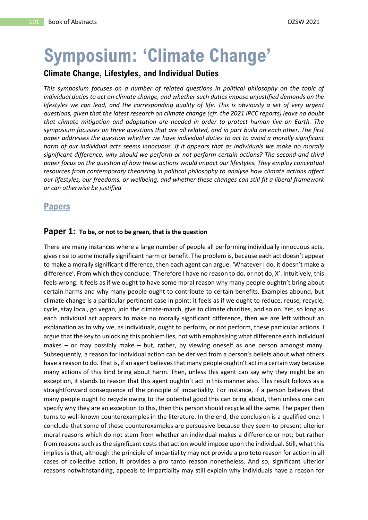# **Symposium: 'Climate Change'**

## **Climate Change, Lifestyles, and Individual Duties**

*This symposium focuses on a number of related questions in political philosophy on the topic of individual duties to act on climate change, and whether such duties impose unjustified demands on the*  lifestyles we can lead, and the corresponding quality of life. This is obviously a set of very urgent *questions, given that the latest research on climate change (cfr. the 2021 IPCC reports) leave no doubt that climate mitigation and adaptation are needed in order to protect human live on Earth. The symposium focusses on three questions that are all related, and in part build on each other. The first paper addresses the question whether we have individual duties to act to avoid a morally significant harm of our individual acts seems innocuous. If it appears that as individuals we make no morally significant difference, why should we perform or not perform certain actions? The second and third paper focus on the question of how these actions would impact our lifestyles. They employ conceptual resources from contemporary theorizing in political philosophy to analyse how climate actions affect our lifestyles, our freedoms, or wellbeing, and whether these changes can still fit a liberal framework or can otherwise be justified*

## **Papers**

#### **Paper 1: To be, or not to be green, that is the question**

There are many instances where a large number of people all performing individually innocuous acts, gives rise to some morally significant harm or benefit. The problem is, because each act doesn't appear to make a morally significant difference, then each agent can argue: 'Whatever I do, it doesn't make a difference'. From which they conclude: 'Therefore I have no reason to do, or not do, X'. Intuitively, this feels wrong. It feels as if we ought to have some moral reason why many people oughtn't bring about certain harms and why many people ought to contribute to certain benefits. Examples abound, but climate change is a particular pertinent case in point: it feels as if we ought to reduce, reuse, recycle, cycle, stay local, go vegan, join the climate-march, give to climate charities, and so on. Yet, so long as each individual act appears to make no morally significant difference, then we are left without an explanation as to why we, as individuals, ought to perform, or not perform, these particular actions. I argue that the key to unlocking this problem lies, not with emphasising what difference each individual makes – or may possibly make – but, rather, by viewing oneself as one person amongst many. Subsequently, a reason for individual action can be derived from a person's beliefs about what others have a reason to do. That is, if an agent believes that many people oughtn't act in a certain way because many actions of this kind bring about harm. Then, unless this agent can say why they might be an exception, it stands to reason that this agent oughtn't act in this manner also. This result follows as a straightforward consequence of the principle of impartiality. For instance, if a person believes that many people ought to recycle owing to the potential good this can bring about, then unless one can specify why they are an exception to this, then this person should recycle all the same. The paper then turns to well-known counterexamples in the literature. In the end, the conclusion is a qualified one: I conclude that some of these counterexamples are persuasive because they seem to present ulterior moral reasons which do not stem from whether an individual makes a difference or not; but rather from reasons such as the significant costs that action would impose upon the individual. Still, what this implies is that, although the principle of impartiality may not provide a pro toto reason for action in all cases of collective action, it provides a pro tanto reason nonetheless. And so, significant ulterior reasons notwithstanding, appeals to impartiality may still explain why individuals have a reason for